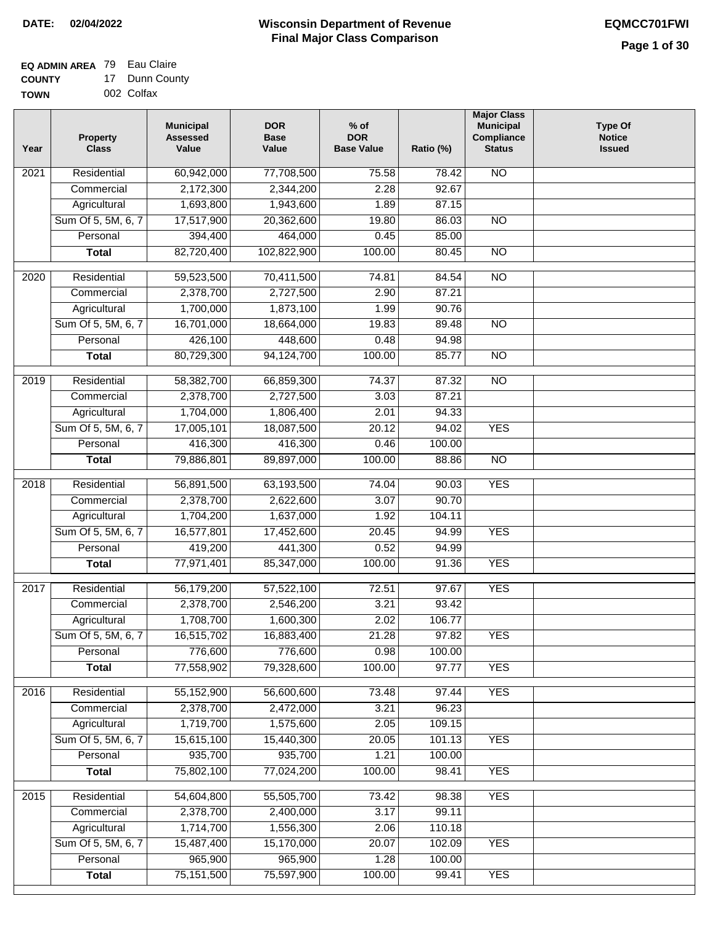#### **EQ ADMIN AREA** 79 Eau Claire **COUNTY** 17 Dunn County

**TOWN** 002 Colfax

| Year              | <b>Property</b><br><b>Class</b> | <b>Municipal</b><br><b>Assessed</b><br>Value | <b>DOR</b><br><b>Base</b><br>Value | % of<br><b>DOR</b><br><b>Base Value</b> | Ratio (%) | <b>Major Class</b><br><b>Municipal</b><br>Compliance<br><b>Status</b> | <b>Type Of</b><br><b>Notice</b><br><b>Issued</b> |
|-------------------|---------------------------------|----------------------------------------------|------------------------------------|-----------------------------------------|-----------|-----------------------------------------------------------------------|--------------------------------------------------|
| 2021              | Residential                     | 60,942,000                                   | 77,708,500                         | 75.58                                   | 78.42     | N <sub>O</sub>                                                        |                                                  |
|                   | Commercial                      | 2,172,300                                    | 2,344,200                          | 2.28                                    | 92.67     |                                                                       |                                                  |
|                   | Agricultural                    | 1,693,800                                    | 1,943,600                          | 1.89                                    | 87.15     |                                                                       |                                                  |
|                   | Sum Of 5, 5M, 6, 7              | 17,517,900                                   | 20,362,600                         | 19.80                                   | 86.03     | $\overline{NO}$                                                       |                                                  |
|                   | Personal                        | 394,400                                      | 464,000                            | 0.45                                    | 85.00     |                                                                       |                                                  |
|                   | <b>Total</b>                    | 82,720,400                                   | 102,822,900                        | 100.00                                  | 80.45     | $\overline{NO}$                                                       |                                                  |
| $\overline{2020}$ | Residential                     | 59,523,500                                   | 70,411,500                         | 74.81                                   | 84.54     | $\overline{10}$                                                       |                                                  |
|                   | Commercial                      | 2,378,700                                    | 2,727,500                          | 2.90                                    | 87.21     |                                                                       |                                                  |
|                   | Agricultural                    | 1,700,000                                    | 1,873,100                          | 1.99                                    | 90.76     |                                                                       |                                                  |
|                   | Sum Of 5, 5M, 6, 7              | 16,701,000                                   | 18,664,000                         | 19.83                                   | 89.48     | $\overline{NO}$                                                       |                                                  |
|                   | Personal                        | 426,100                                      | 448,600                            | 0.48                                    | 94.98     |                                                                       |                                                  |
|                   | <b>Total</b>                    | 80,729,300                                   | 94,124,700                         | 100.00                                  | 85.77     | $\overline{NO}$                                                       |                                                  |
| 2019              | Residential                     | 58,382,700                                   | 66,859,300                         | 74.37                                   | 87.32     | $\overline{10}$                                                       |                                                  |
|                   | Commercial                      | 2,378,700                                    | 2,727,500                          | 3.03                                    | 87.21     |                                                                       |                                                  |
|                   | Agricultural                    | 1,704,000                                    | 1,806,400                          | 2.01                                    | 94.33     |                                                                       |                                                  |
|                   | Sum Of 5, 5M, 6, 7              | 17,005,101                                   | 18,087,500                         | 20.12                                   | 94.02     | <b>YES</b>                                                            |                                                  |
|                   | Personal                        | 416,300                                      | 416,300                            | 0.46                                    | 100.00    |                                                                       |                                                  |
|                   | <b>Total</b>                    | 79,886,801                                   | 89,897,000                         | 100.00                                  | 88.86     | $\overline{NO}$                                                       |                                                  |
| 2018              | Residential                     | 56,891,500                                   | 63,193,500                         | 74.04                                   | 90.03     | <b>YES</b>                                                            |                                                  |
|                   | Commercial                      | 2,378,700                                    | 2,622,600                          | 3.07                                    | 90.70     |                                                                       |                                                  |
|                   | Agricultural                    | 1,704,200                                    | 1,637,000                          | 1.92                                    | 104.11    |                                                                       |                                                  |
|                   | Sum Of 5, 5M, 6, 7              | 16,577,801                                   | 17,452,600                         | 20.45                                   | 94.99     | <b>YES</b>                                                            |                                                  |
|                   | Personal                        | 419,200                                      | 441,300                            | 0.52                                    | 94.99     |                                                                       |                                                  |
|                   | <b>Total</b>                    | 77,971,401                                   | 85,347,000                         | 100.00                                  | 91.36     | <b>YES</b>                                                            |                                                  |
| 2017              | Residential                     | 56,179,200                                   | 57,522,100                         | 72.51                                   | 97.67     | <b>YES</b>                                                            |                                                  |
|                   | Commercial                      | 2,378,700                                    | 2,546,200                          | 3.21                                    | 93.42     |                                                                       |                                                  |
|                   | Agricultural                    | 1,708,700                                    | 1,600,300                          | 2.02                                    | 106.77    |                                                                       |                                                  |
|                   | Sum Of 5, 5M, 6, 7              | 16,515,702                                   | 16,883,400                         | 21.28                                   | 97.82     | <b>YES</b>                                                            |                                                  |
|                   | Personal                        | 776,600                                      | 776,600                            | 0.98                                    | 100.00    |                                                                       |                                                  |
|                   | <b>Total</b>                    | 77,558,902                                   | 79,328,600                         | 100.00                                  | 97.77     | <b>YES</b>                                                            |                                                  |
| 2016              | Residential                     | 55,152,900                                   | 56,600,600                         | 73.48                                   | 97.44     | <b>YES</b>                                                            |                                                  |
|                   | Commercial                      | 2,378,700                                    | 2,472,000                          | 3.21                                    | 96.23     |                                                                       |                                                  |
|                   | Agricultural                    | 1,719,700                                    | 1,575,600                          | 2.05                                    | 109.15    |                                                                       |                                                  |
|                   | Sum Of 5, 5M, 6, 7              | 15,615,100                                   | 15,440,300                         | 20.05                                   | 101.13    | <b>YES</b>                                                            |                                                  |
|                   | Personal                        | 935,700                                      | 935,700                            | 1.21                                    | 100.00    |                                                                       |                                                  |
|                   | <b>Total</b>                    | 75,802,100                                   | 77,024,200                         | 100.00                                  | 98.41     | <b>YES</b>                                                            |                                                  |
| 2015              | Residential                     | 54,604,800                                   | 55,505,700                         | 73.42                                   | 98.38     | <b>YES</b>                                                            |                                                  |
|                   | Commercial                      | 2,378,700                                    | 2,400,000                          | 3.17                                    | 99.11     |                                                                       |                                                  |
|                   | Agricultural                    | 1,714,700                                    | 1,556,300                          | 2.06                                    | 110.18    |                                                                       |                                                  |
|                   | Sum Of 5, 5M, 6, 7              | 15,487,400                                   | 15,170,000                         | 20.07                                   | 102.09    | <b>YES</b>                                                            |                                                  |
|                   | Personal                        | 965,900                                      | 965,900                            | 1.28                                    | 100.00    |                                                                       |                                                  |
|                   | <b>Total</b>                    | 75, 151, 500                                 | 75,597,900                         | 100.00                                  | 99.41     | <b>YES</b>                                                            |                                                  |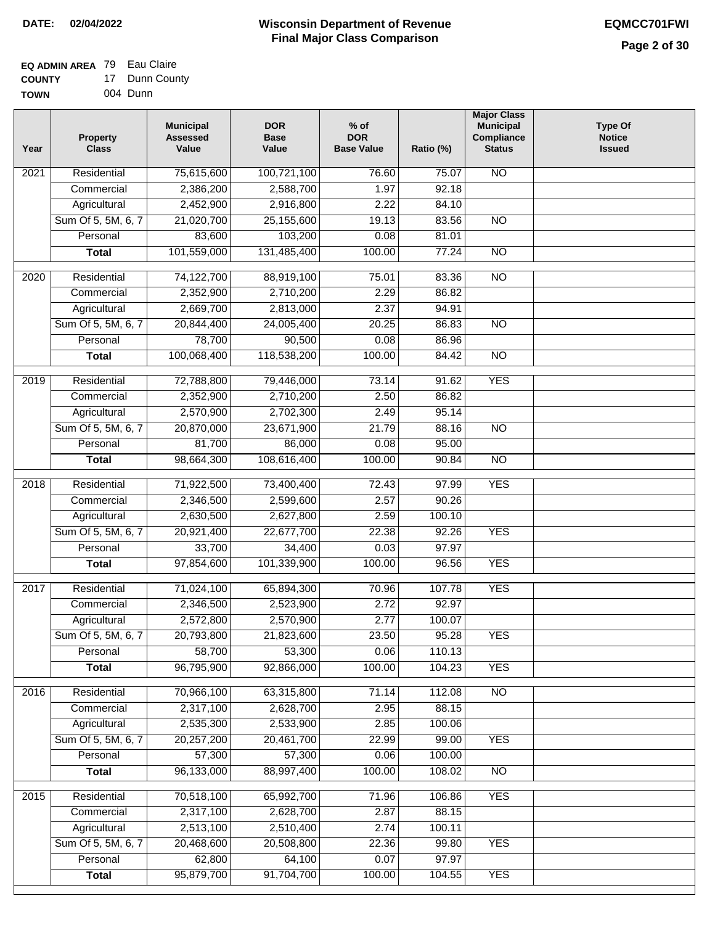#### **Wisconsin Department of Revenue Final Major Class Comparison DATE: 02/04/2022 EQMCC701FWI**

#### **EQ ADMIN AREA** 79 Eau Claire **COUNTY** 17 Dunn County

| <b>UUUNII</b> | Puni vvu |
|---------------|----------|
| <b>TOWN</b>   | 004 Dunn |

| Year | <b>Property</b><br><b>Class</b> | <b>Municipal</b><br><b>Assessed</b><br>Value | <b>DOR</b><br><b>Base</b><br>Value | $%$ of<br><b>DOR</b><br><b>Base Value</b> | Ratio (%) | <b>Major Class</b><br><b>Municipal</b><br>Compliance<br><b>Status</b> | <b>Type Of</b><br><b>Notice</b><br><b>Issued</b> |
|------|---------------------------------|----------------------------------------------|------------------------------------|-------------------------------------------|-----------|-----------------------------------------------------------------------|--------------------------------------------------|
| 2021 | Residential                     | 75,615,600                                   | 100,721,100                        | 76.60                                     | 75.07     | <b>NO</b>                                                             |                                                  |
|      | Commercial                      | 2,386,200                                    | 2,588,700                          | 1.97                                      | 92.18     |                                                                       |                                                  |
|      | Agricultural                    | 2,452,900                                    | 2,916,800                          | 2.22                                      | 84.10     |                                                                       |                                                  |
|      | Sum Of 5, 5M, 6, 7              | 21,020,700                                   | 25,155,600                         | 19.13                                     | 83.56     | $\overline{NO}$                                                       |                                                  |
|      | Personal                        | 83,600                                       | 103,200                            | 0.08                                      | 81.01     |                                                                       |                                                  |
|      | <b>Total</b>                    | 101,559,000                                  | 131,485,400                        | 100.00                                    | 77.24     | $\overline{NO}$                                                       |                                                  |
| 2020 | Residential                     | 74,122,700                                   | 88,919,100                         | 75.01                                     | 83.36     | $\overline{10}$                                                       |                                                  |
|      | Commercial                      | 2,352,900                                    | 2,710,200                          | 2.29                                      | 86.82     |                                                                       |                                                  |
|      | Agricultural                    | 2,669,700                                    | 2,813,000                          | 2.37                                      | 94.91     |                                                                       |                                                  |
|      | Sum Of 5, 5M, 6, 7              | 20,844,400                                   | 24,005,400                         | 20.25                                     | 86.83     | <b>NO</b>                                                             |                                                  |
|      | Personal                        | 78,700                                       | 90,500                             | 0.08                                      | 86.96     |                                                                       |                                                  |
|      | <b>Total</b>                    | 100,068,400                                  | 118,538,200                        | 100.00                                    | 84.42     | <b>NO</b>                                                             |                                                  |
|      |                                 |                                              |                                    |                                           |           |                                                                       |                                                  |
| 2019 | Residential                     | 72,788,800                                   | 79,446,000                         | 73.14                                     | 91.62     | <b>YES</b>                                                            |                                                  |
|      | Commercial                      | 2,352,900                                    | 2,710,200                          | 2.50                                      | 86.82     |                                                                       |                                                  |
|      | Agricultural                    | 2,570,900                                    | 2,702,300                          | 2.49                                      | 95.14     |                                                                       |                                                  |
|      | Sum Of 5, 5M, 6, 7              | 20,870,000                                   | 23,671,900                         | 21.79                                     | 88.16     | $\overline{NO}$                                                       |                                                  |
|      | Personal                        | 81,700                                       | 86,000                             | 0.08                                      | 95.00     |                                                                       |                                                  |
|      | <b>Total</b>                    | 98,664,300                                   | 108,616,400                        | 100.00                                    | 90.84     | $\overline{NO}$                                                       |                                                  |
| 2018 | Residential                     | 71,922,500                                   | 73,400,400                         | 72.43                                     | 97.99     | <b>YES</b>                                                            |                                                  |
|      | Commercial                      | 2,346,500                                    | 2,599,600                          | 2.57                                      | 90.26     |                                                                       |                                                  |
|      | Agricultural                    | 2,630,500                                    | 2,627,800                          | 2.59                                      | 100.10    |                                                                       |                                                  |
|      | Sum Of 5, 5M, 6, 7              | 20,921,400                                   | 22,677,700                         | 22.38                                     | 92.26     | <b>YES</b>                                                            |                                                  |
|      | Personal                        | 33,700                                       | 34,400                             | 0.03                                      | 97.97     |                                                                       |                                                  |
|      | <b>Total</b>                    | 97,854,600                                   | 101,339,900                        | 100.00                                    | 96.56     | <b>YES</b>                                                            |                                                  |
| 2017 | Residential                     | 71,024,100                                   | 65,894,300                         | 70.96                                     | 107.78    | <b>YES</b>                                                            |                                                  |
|      | Commercial                      | 2,346,500                                    | 2,523,900                          | 2.72                                      | 92.97     |                                                                       |                                                  |
|      | Agricultural                    | 2,572,800                                    | 2,570,900                          | 2.77                                      | 100.07    |                                                                       |                                                  |
|      | Sum Of 5, 5M, 6, 7              | 20,793,800                                   | 21,823,600                         | 23.50                                     | 95.28     | <b>YES</b>                                                            |                                                  |
|      | Personal                        | 58,700                                       | 53,300                             | 0.06                                      | 110.13    |                                                                       |                                                  |
|      | <b>Total</b>                    | 96,795,900                                   | 92,866,000                         | 100.00                                    | 104.23    | <b>YES</b>                                                            |                                                  |
| 2016 | Residential                     | 70,966,100                                   | 63,315,800                         | 71.14                                     | 112.08    | N <sub>O</sub>                                                        |                                                  |
|      | Commercial                      | 2,317,100                                    | 2,628,700                          | 2.95                                      | 88.15     |                                                                       |                                                  |
|      | Agricultural                    | 2,535,300                                    | 2,533,900                          | 2.85                                      | 100.06    |                                                                       |                                                  |
|      | Sum Of 5, 5M, 6, 7              | 20,257,200                                   | 20,461,700                         | 22.99                                     | 99.00     | <b>YES</b>                                                            |                                                  |
|      | Personal                        | 57,300                                       | 57,300                             | 0.06                                      | 100.00    |                                                                       |                                                  |
|      | <b>Total</b>                    | 96,133,000                                   | 88,997,400                         | 100.00                                    | 108.02    | N <sub>O</sub>                                                        |                                                  |
|      |                                 |                                              |                                    |                                           |           |                                                                       |                                                  |
| 2015 | Residential                     | 70,518,100                                   | 65,992,700                         | 71.96                                     | 106.86    | <b>YES</b>                                                            |                                                  |
|      | Commercial                      | 2,317,100                                    | 2,628,700                          | 2.87                                      | 88.15     |                                                                       |                                                  |
|      | Agricultural                    | 2,513,100                                    | 2,510,400                          | 2.74                                      | 100.11    |                                                                       |                                                  |
|      | Sum Of 5, 5M, 6, 7              | 20,468,600                                   | 20,508,800                         | 22.36                                     | 99.80     | <b>YES</b>                                                            |                                                  |
|      | Personal                        | 62,800                                       | 64,100                             | 0.07                                      | 97.97     |                                                                       |                                                  |
|      | <b>Total</b>                    | 95,879,700                                   | 91,704,700                         | 100.00                                    | 104.55    | <b>YES</b>                                                            |                                                  |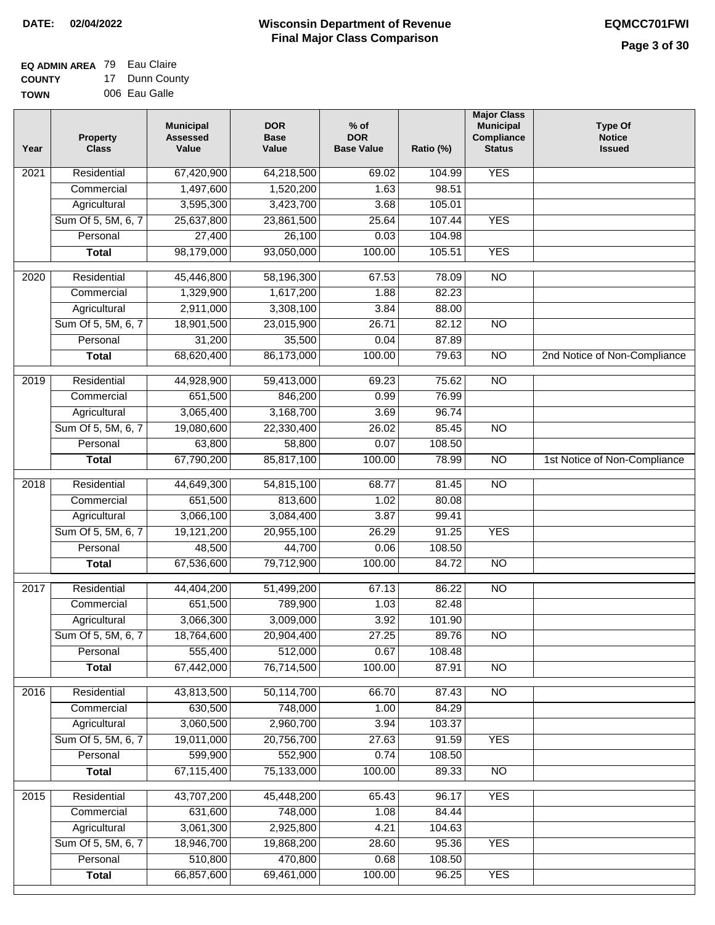#### **EQ ADMIN AREA** 79 Eau Claire **COUNTY** 17 Dunn County

**TOWN** 006 Eau Galle

| <b>YES</b><br>Residential<br>$\overline{202}1$<br>67,420,900<br>64,218,500<br>69.02<br>104.99<br>1,497,600<br>1,520,200<br>1.63<br>98.51<br>Commercial<br>Agricultural<br>3,595,300<br>3,423,700<br>105.01<br>3.68<br>Sum Of 5, 5M, 6, 7<br>25,637,800<br>23,861,500<br>25.64<br>107.44<br><b>YES</b><br>26,100<br>Personal<br>27,400<br>0.03<br>104.98<br>98,179,000<br>93,050,000<br>100.00<br>105.51<br><b>YES</b><br><b>Total</b><br>$\overline{NO}$<br>$\overline{2020}$<br>Residential<br>45,446,800<br>58,196,300<br>67.53<br>78.09<br>1,329,900<br>1,617,200<br>82.23<br>Commercial<br>1.88<br>2,911,000<br>3,308,100<br>3.84<br>88.00<br>Agricultural<br>Sum Of 5, 5M, 6, 7<br>18,901,500<br>23,015,900<br>26.71<br>82.12<br>$\overline{NO}$<br>31,200<br>35,500<br>87.89<br>Personal<br>0.04<br>68,620,400<br>86,173,000<br>$\overline{NO}$<br>100.00<br>79.63<br>2nd Notice of Non-Compliance<br><b>Total</b><br>75.62<br>2019<br>Residential<br>44,928,900<br>59,413,000<br>69.23<br>$\overline{N}$<br>651,500<br>846,200<br>0.99<br>76.99<br>Commercial<br>3,065,400<br>3,168,700<br>3.69<br>96.74<br>Agricultural<br>Sum Of 5, 5M, 6, 7<br>19,080,600<br>22,330,400<br>26.02<br>85.45<br>N <sub>O</sub><br>108.50<br>Personal<br>63,800<br>58,800<br>0.07<br>67,790,200<br>85,817,100<br>100.00<br>$\overline{NO}$<br><b>Total</b><br>78.99<br>1st Notice of Non-Compliance<br>Residential<br>44,649,300<br>54,815,100<br>$\overline{NO}$<br>2018<br>68.77<br>81.45<br>Commercial<br>651,500<br>813,600<br>1.02<br>80.08<br>3,066,100<br>3,084,400<br>99.41<br>Agricultural<br>3.87<br>Sum Of 5, 5M, 6, 7<br>19,121,200<br>20,955,100<br>26.29<br>91.25<br><b>YES</b><br>Personal<br>48,500<br>44,700<br>0.06<br>108.50<br>67,536,600<br>79,712,900<br>100.00<br>84.72<br><b>NO</b><br><b>Total</b><br>2017<br>Residential<br>44,404,200<br>51,499,200<br>86.22<br>$\overline{NO}$<br>67.13<br>Commercial<br>651,500<br>789,900<br>1.03<br>82.48<br>3,009,000<br>3,066,300<br>3.92<br>101.90<br>Agricultural<br>27.25<br>89.76<br>Sum Of 5, 5M, 6, 7<br>18,764,600<br>20,904,400<br><b>NO</b><br>555,400<br>Personal<br>512,000<br>0.67<br>108.48<br>67,442,000<br>76,714,500<br>100.00<br>87.91<br><b>Total</b><br><b>NO</b><br>Residential<br>43,813,500<br>50,114,700<br>N <sub>O</sub><br>2016<br>66.70<br>87.43<br>630,500<br>748,000<br>1.00<br>84.29<br>Commercial<br>3,060,500<br>2,960,700<br>3.94<br>103.37<br>Agricultural<br>Sum Of 5, 5M, 6, 7<br>19,011,000<br>20,756,700<br><b>YES</b><br>27.63<br>91.59<br>599,900<br>Personal<br>552,900<br>0.74<br>108.50<br>100.00<br>67,115,400<br>75,133,000<br>89.33<br>$\overline{NO}$<br><b>Total</b><br><b>YES</b><br>Residential<br>43,707,200<br>45,448,200<br>65.43<br>96.17<br>2015<br>631,600<br>748,000<br>1.08<br>84.44<br>Commercial<br>3,061,300<br>2,925,800<br>104.63<br>Agricultural<br>4.21<br>Sum Of 5, 5M, 6, 7<br>18,946,700<br>19,868,200<br>28.60<br>95.36<br><b>YES</b><br>510,800<br>470,800<br>Personal<br>0.68<br>108.50<br>66,857,600<br>69,461,000<br>100.00<br><b>YES</b><br><b>Total</b><br>96.25 | Year | <b>Property</b><br><b>Class</b> | <b>Municipal</b><br><b>Assessed</b><br>Value | <b>DOR</b><br><b>Base</b><br>Value | % of<br><b>DOR</b><br><b>Base Value</b> | Ratio (%) | <b>Major Class</b><br><b>Municipal</b><br>Compliance<br><b>Status</b> | <b>Type Of</b><br><b>Notice</b><br><b>Issued</b> |
|----------------------------------------------------------------------------------------------------------------------------------------------------------------------------------------------------------------------------------------------------------------------------------------------------------------------------------------------------------------------------------------------------------------------------------------------------------------------------------------------------------------------------------------------------------------------------------------------------------------------------------------------------------------------------------------------------------------------------------------------------------------------------------------------------------------------------------------------------------------------------------------------------------------------------------------------------------------------------------------------------------------------------------------------------------------------------------------------------------------------------------------------------------------------------------------------------------------------------------------------------------------------------------------------------------------------------------------------------------------------------------------------------------------------------------------------------------------------------------------------------------------------------------------------------------------------------------------------------------------------------------------------------------------------------------------------------------------------------------------------------------------------------------------------------------------------------------------------------------------------------------------------------------------------------------------------------------------------------------------------------------------------------------------------------------------------------------------------------------------------------------------------------------------------------------------------------------------------------------------------------------------------------------------------------------------------------------------------------------------------------------------------------------------------------------------------------------------------------------------------------------------------------------------------------------------------------------------------------------------------------------------------------------------------------------------------------------------------------------------------------------------------------------------------------------------------------------------------------------------------------------------------------------------------------------------------------------------------------------------------------------------------------------------------------------------------------------------------------|------|---------------------------------|----------------------------------------------|------------------------------------|-----------------------------------------|-----------|-----------------------------------------------------------------------|--------------------------------------------------|
|                                                                                                                                                                                                                                                                                                                                                                                                                                                                                                                                                                                                                                                                                                                                                                                                                                                                                                                                                                                                                                                                                                                                                                                                                                                                                                                                                                                                                                                                                                                                                                                                                                                                                                                                                                                                                                                                                                                                                                                                                                                                                                                                                                                                                                                                                                                                                                                                                                                                                                                                                                                                                                                                                                                                                                                                                                                                                                                                                                                                                                                                                                    |      |                                 |                                              |                                    |                                         |           |                                                                       |                                                  |
|                                                                                                                                                                                                                                                                                                                                                                                                                                                                                                                                                                                                                                                                                                                                                                                                                                                                                                                                                                                                                                                                                                                                                                                                                                                                                                                                                                                                                                                                                                                                                                                                                                                                                                                                                                                                                                                                                                                                                                                                                                                                                                                                                                                                                                                                                                                                                                                                                                                                                                                                                                                                                                                                                                                                                                                                                                                                                                                                                                                                                                                                                                    |      |                                 |                                              |                                    |                                         |           |                                                                       |                                                  |
|                                                                                                                                                                                                                                                                                                                                                                                                                                                                                                                                                                                                                                                                                                                                                                                                                                                                                                                                                                                                                                                                                                                                                                                                                                                                                                                                                                                                                                                                                                                                                                                                                                                                                                                                                                                                                                                                                                                                                                                                                                                                                                                                                                                                                                                                                                                                                                                                                                                                                                                                                                                                                                                                                                                                                                                                                                                                                                                                                                                                                                                                                                    |      |                                 |                                              |                                    |                                         |           |                                                                       |                                                  |
|                                                                                                                                                                                                                                                                                                                                                                                                                                                                                                                                                                                                                                                                                                                                                                                                                                                                                                                                                                                                                                                                                                                                                                                                                                                                                                                                                                                                                                                                                                                                                                                                                                                                                                                                                                                                                                                                                                                                                                                                                                                                                                                                                                                                                                                                                                                                                                                                                                                                                                                                                                                                                                                                                                                                                                                                                                                                                                                                                                                                                                                                                                    |      |                                 |                                              |                                    |                                         |           |                                                                       |                                                  |
|                                                                                                                                                                                                                                                                                                                                                                                                                                                                                                                                                                                                                                                                                                                                                                                                                                                                                                                                                                                                                                                                                                                                                                                                                                                                                                                                                                                                                                                                                                                                                                                                                                                                                                                                                                                                                                                                                                                                                                                                                                                                                                                                                                                                                                                                                                                                                                                                                                                                                                                                                                                                                                                                                                                                                                                                                                                                                                                                                                                                                                                                                                    |      |                                 |                                              |                                    |                                         |           |                                                                       |                                                  |
|                                                                                                                                                                                                                                                                                                                                                                                                                                                                                                                                                                                                                                                                                                                                                                                                                                                                                                                                                                                                                                                                                                                                                                                                                                                                                                                                                                                                                                                                                                                                                                                                                                                                                                                                                                                                                                                                                                                                                                                                                                                                                                                                                                                                                                                                                                                                                                                                                                                                                                                                                                                                                                                                                                                                                                                                                                                                                                                                                                                                                                                                                                    |      |                                 |                                              |                                    |                                         |           |                                                                       |                                                  |
|                                                                                                                                                                                                                                                                                                                                                                                                                                                                                                                                                                                                                                                                                                                                                                                                                                                                                                                                                                                                                                                                                                                                                                                                                                                                                                                                                                                                                                                                                                                                                                                                                                                                                                                                                                                                                                                                                                                                                                                                                                                                                                                                                                                                                                                                                                                                                                                                                                                                                                                                                                                                                                                                                                                                                                                                                                                                                                                                                                                                                                                                                                    |      |                                 |                                              |                                    |                                         |           |                                                                       |                                                  |
|                                                                                                                                                                                                                                                                                                                                                                                                                                                                                                                                                                                                                                                                                                                                                                                                                                                                                                                                                                                                                                                                                                                                                                                                                                                                                                                                                                                                                                                                                                                                                                                                                                                                                                                                                                                                                                                                                                                                                                                                                                                                                                                                                                                                                                                                                                                                                                                                                                                                                                                                                                                                                                                                                                                                                                                                                                                                                                                                                                                                                                                                                                    |      |                                 |                                              |                                    |                                         |           |                                                                       |                                                  |
|                                                                                                                                                                                                                                                                                                                                                                                                                                                                                                                                                                                                                                                                                                                                                                                                                                                                                                                                                                                                                                                                                                                                                                                                                                                                                                                                                                                                                                                                                                                                                                                                                                                                                                                                                                                                                                                                                                                                                                                                                                                                                                                                                                                                                                                                                                                                                                                                                                                                                                                                                                                                                                                                                                                                                                                                                                                                                                                                                                                                                                                                                                    |      |                                 |                                              |                                    |                                         |           |                                                                       |                                                  |
|                                                                                                                                                                                                                                                                                                                                                                                                                                                                                                                                                                                                                                                                                                                                                                                                                                                                                                                                                                                                                                                                                                                                                                                                                                                                                                                                                                                                                                                                                                                                                                                                                                                                                                                                                                                                                                                                                                                                                                                                                                                                                                                                                                                                                                                                                                                                                                                                                                                                                                                                                                                                                                                                                                                                                                                                                                                                                                                                                                                                                                                                                                    |      |                                 |                                              |                                    |                                         |           |                                                                       |                                                  |
|                                                                                                                                                                                                                                                                                                                                                                                                                                                                                                                                                                                                                                                                                                                                                                                                                                                                                                                                                                                                                                                                                                                                                                                                                                                                                                                                                                                                                                                                                                                                                                                                                                                                                                                                                                                                                                                                                                                                                                                                                                                                                                                                                                                                                                                                                                                                                                                                                                                                                                                                                                                                                                                                                                                                                                                                                                                                                                                                                                                                                                                                                                    |      |                                 |                                              |                                    |                                         |           |                                                                       |                                                  |
|                                                                                                                                                                                                                                                                                                                                                                                                                                                                                                                                                                                                                                                                                                                                                                                                                                                                                                                                                                                                                                                                                                                                                                                                                                                                                                                                                                                                                                                                                                                                                                                                                                                                                                                                                                                                                                                                                                                                                                                                                                                                                                                                                                                                                                                                                                                                                                                                                                                                                                                                                                                                                                                                                                                                                                                                                                                                                                                                                                                                                                                                                                    |      |                                 |                                              |                                    |                                         |           |                                                                       |                                                  |
|                                                                                                                                                                                                                                                                                                                                                                                                                                                                                                                                                                                                                                                                                                                                                                                                                                                                                                                                                                                                                                                                                                                                                                                                                                                                                                                                                                                                                                                                                                                                                                                                                                                                                                                                                                                                                                                                                                                                                                                                                                                                                                                                                                                                                                                                                                                                                                                                                                                                                                                                                                                                                                                                                                                                                                                                                                                                                                                                                                                                                                                                                                    |      |                                 |                                              |                                    |                                         |           |                                                                       |                                                  |
|                                                                                                                                                                                                                                                                                                                                                                                                                                                                                                                                                                                                                                                                                                                                                                                                                                                                                                                                                                                                                                                                                                                                                                                                                                                                                                                                                                                                                                                                                                                                                                                                                                                                                                                                                                                                                                                                                                                                                                                                                                                                                                                                                                                                                                                                                                                                                                                                                                                                                                                                                                                                                                                                                                                                                                                                                                                                                                                                                                                                                                                                                                    |      |                                 |                                              |                                    |                                         |           |                                                                       |                                                  |
|                                                                                                                                                                                                                                                                                                                                                                                                                                                                                                                                                                                                                                                                                                                                                                                                                                                                                                                                                                                                                                                                                                                                                                                                                                                                                                                                                                                                                                                                                                                                                                                                                                                                                                                                                                                                                                                                                                                                                                                                                                                                                                                                                                                                                                                                                                                                                                                                                                                                                                                                                                                                                                                                                                                                                                                                                                                                                                                                                                                                                                                                                                    |      |                                 |                                              |                                    |                                         |           |                                                                       |                                                  |
|                                                                                                                                                                                                                                                                                                                                                                                                                                                                                                                                                                                                                                                                                                                                                                                                                                                                                                                                                                                                                                                                                                                                                                                                                                                                                                                                                                                                                                                                                                                                                                                                                                                                                                                                                                                                                                                                                                                                                                                                                                                                                                                                                                                                                                                                                                                                                                                                                                                                                                                                                                                                                                                                                                                                                                                                                                                                                                                                                                                                                                                                                                    |      |                                 |                                              |                                    |                                         |           |                                                                       |                                                  |
|                                                                                                                                                                                                                                                                                                                                                                                                                                                                                                                                                                                                                                                                                                                                                                                                                                                                                                                                                                                                                                                                                                                                                                                                                                                                                                                                                                                                                                                                                                                                                                                                                                                                                                                                                                                                                                                                                                                                                                                                                                                                                                                                                                                                                                                                                                                                                                                                                                                                                                                                                                                                                                                                                                                                                                                                                                                                                                                                                                                                                                                                                                    |      |                                 |                                              |                                    |                                         |           |                                                                       |                                                  |
|                                                                                                                                                                                                                                                                                                                                                                                                                                                                                                                                                                                                                                                                                                                                                                                                                                                                                                                                                                                                                                                                                                                                                                                                                                                                                                                                                                                                                                                                                                                                                                                                                                                                                                                                                                                                                                                                                                                                                                                                                                                                                                                                                                                                                                                                                                                                                                                                                                                                                                                                                                                                                                                                                                                                                                                                                                                                                                                                                                                                                                                                                                    |      |                                 |                                              |                                    |                                         |           |                                                                       |                                                  |
|                                                                                                                                                                                                                                                                                                                                                                                                                                                                                                                                                                                                                                                                                                                                                                                                                                                                                                                                                                                                                                                                                                                                                                                                                                                                                                                                                                                                                                                                                                                                                                                                                                                                                                                                                                                                                                                                                                                                                                                                                                                                                                                                                                                                                                                                                                                                                                                                                                                                                                                                                                                                                                                                                                                                                                                                                                                                                                                                                                                                                                                                                                    |      |                                 |                                              |                                    |                                         |           |                                                                       |                                                  |
|                                                                                                                                                                                                                                                                                                                                                                                                                                                                                                                                                                                                                                                                                                                                                                                                                                                                                                                                                                                                                                                                                                                                                                                                                                                                                                                                                                                                                                                                                                                                                                                                                                                                                                                                                                                                                                                                                                                                                                                                                                                                                                                                                                                                                                                                                                                                                                                                                                                                                                                                                                                                                                                                                                                                                                                                                                                                                                                                                                                                                                                                                                    |      |                                 |                                              |                                    |                                         |           |                                                                       |                                                  |
|                                                                                                                                                                                                                                                                                                                                                                                                                                                                                                                                                                                                                                                                                                                                                                                                                                                                                                                                                                                                                                                                                                                                                                                                                                                                                                                                                                                                                                                                                                                                                                                                                                                                                                                                                                                                                                                                                                                                                                                                                                                                                                                                                                                                                                                                                                                                                                                                                                                                                                                                                                                                                                                                                                                                                                                                                                                                                                                                                                                                                                                                                                    |      |                                 |                                              |                                    |                                         |           |                                                                       |                                                  |
|                                                                                                                                                                                                                                                                                                                                                                                                                                                                                                                                                                                                                                                                                                                                                                                                                                                                                                                                                                                                                                                                                                                                                                                                                                                                                                                                                                                                                                                                                                                                                                                                                                                                                                                                                                                                                                                                                                                                                                                                                                                                                                                                                                                                                                                                                                                                                                                                                                                                                                                                                                                                                                                                                                                                                                                                                                                                                                                                                                                                                                                                                                    |      |                                 |                                              |                                    |                                         |           |                                                                       |                                                  |
|                                                                                                                                                                                                                                                                                                                                                                                                                                                                                                                                                                                                                                                                                                                                                                                                                                                                                                                                                                                                                                                                                                                                                                                                                                                                                                                                                                                                                                                                                                                                                                                                                                                                                                                                                                                                                                                                                                                                                                                                                                                                                                                                                                                                                                                                                                                                                                                                                                                                                                                                                                                                                                                                                                                                                                                                                                                                                                                                                                                                                                                                                                    |      |                                 |                                              |                                    |                                         |           |                                                                       |                                                  |
|                                                                                                                                                                                                                                                                                                                                                                                                                                                                                                                                                                                                                                                                                                                                                                                                                                                                                                                                                                                                                                                                                                                                                                                                                                                                                                                                                                                                                                                                                                                                                                                                                                                                                                                                                                                                                                                                                                                                                                                                                                                                                                                                                                                                                                                                                                                                                                                                                                                                                                                                                                                                                                                                                                                                                                                                                                                                                                                                                                                                                                                                                                    |      |                                 |                                              |                                    |                                         |           |                                                                       |                                                  |
|                                                                                                                                                                                                                                                                                                                                                                                                                                                                                                                                                                                                                                                                                                                                                                                                                                                                                                                                                                                                                                                                                                                                                                                                                                                                                                                                                                                                                                                                                                                                                                                                                                                                                                                                                                                                                                                                                                                                                                                                                                                                                                                                                                                                                                                                                                                                                                                                                                                                                                                                                                                                                                                                                                                                                                                                                                                                                                                                                                                                                                                                                                    |      |                                 |                                              |                                    |                                         |           |                                                                       |                                                  |
|                                                                                                                                                                                                                                                                                                                                                                                                                                                                                                                                                                                                                                                                                                                                                                                                                                                                                                                                                                                                                                                                                                                                                                                                                                                                                                                                                                                                                                                                                                                                                                                                                                                                                                                                                                                                                                                                                                                                                                                                                                                                                                                                                                                                                                                                                                                                                                                                                                                                                                                                                                                                                                                                                                                                                                                                                                                                                                                                                                                                                                                                                                    |      |                                 |                                              |                                    |                                         |           |                                                                       |                                                  |
|                                                                                                                                                                                                                                                                                                                                                                                                                                                                                                                                                                                                                                                                                                                                                                                                                                                                                                                                                                                                                                                                                                                                                                                                                                                                                                                                                                                                                                                                                                                                                                                                                                                                                                                                                                                                                                                                                                                                                                                                                                                                                                                                                                                                                                                                                                                                                                                                                                                                                                                                                                                                                                                                                                                                                                                                                                                                                                                                                                                                                                                                                                    |      |                                 |                                              |                                    |                                         |           |                                                                       |                                                  |
|                                                                                                                                                                                                                                                                                                                                                                                                                                                                                                                                                                                                                                                                                                                                                                                                                                                                                                                                                                                                                                                                                                                                                                                                                                                                                                                                                                                                                                                                                                                                                                                                                                                                                                                                                                                                                                                                                                                                                                                                                                                                                                                                                                                                                                                                                                                                                                                                                                                                                                                                                                                                                                                                                                                                                                                                                                                                                                                                                                                                                                                                                                    |      |                                 |                                              |                                    |                                         |           |                                                                       |                                                  |
|                                                                                                                                                                                                                                                                                                                                                                                                                                                                                                                                                                                                                                                                                                                                                                                                                                                                                                                                                                                                                                                                                                                                                                                                                                                                                                                                                                                                                                                                                                                                                                                                                                                                                                                                                                                                                                                                                                                                                                                                                                                                                                                                                                                                                                                                                                                                                                                                                                                                                                                                                                                                                                                                                                                                                                                                                                                                                                                                                                                                                                                                                                    |      |                                 |                                              |                                    |                                         |           |                                                                       |                                                  |
|                                                                                                                                                                                                                                                                                                                                                                                                                                                                                                                                                                                                                                                                                                                                                                                                                                                                                                                                                                                                                                                                                                                                                                                                                                                                                                                                                                                                                                                                                                                                                                                                                                                                                                                                                                                                                                                                                                                                                                                                                                                                                                                                                                                                                                                                                                                                                                                                                                                                                                                                                                                                                                                                                                                                                                                                                                                                                                                                                                                                                                                                                                    |      |                                 |                                              |                                    |                                         |           |                                                                       |                                                  |
|                                                                                                                                                                                                                                                                                                                                                                                                                                                                                                                                                                                                                                                                                                                                                                                                                                                                                                                                                                                                                                                                                                                                                                                                                                                                                                                                                                                                                                                                                                                                                                                                                                                                                                                                                                                                                                                                                                                                                                                                                                                                                                                                                                                                                                                                                                                                                                                                                                                                                                                                                                                                                                                                                                                                                                                                                                                                                                                                                                                                                                                                                                    |      |                                 |                                              |                                    |                                         |           |                                                                       |                                                  |
|                                                                                                                                                                                                                                                                                                                                                                                                                                                                                                                                                                                                                                                                                                                                                                                                                                                                                                                                                                                                                                                                                                                                                                                                                                                                                                                                                                                                                                                                                                                                                                                                                                                                                                                                                                                                                                                                                                                                                                                                                                                                                                                                                                                                                                                                                                                                                                                                                                                                                                                                                                                                                                                                                                                                                                                                                                                                                                                                                                                                                                                                                                    |      |                                 |                                              |                                    |                                         |           |                                                                       |                                                  |
|                                                                                                                                                                                                                                                                                                                                                                                                                                                                                                                                                                                                                                                                                                                                                                                                                                                                                                                                                                                                                                                                                                                                                                                                                                                                                                                                                                                                                                                                                                                                                                                                                                                                                                                                                                                                                                                                                                                                                                                                                                                                                                                                                                                                                                                                                                                                                                                                                                                                                                                                                                                                                                                                                                                                                                                                                                                                                                                                                                                                                                                                                                    |      |                                 |                                              |                                    |                                         |           |                                                                       |                                                  |
|                                                                                                                                                                                                                                                                                                                                                                                                                                                                                                                                                                                                                                                                                                                                                                                                                                                                                                                                                                                                                                                                                                                                                                                                                                                                                                                                                                                                                                                                                                                                                                                                                                                                                                                                                                                                                                                                                                                                                                                                                                                                                                                                                                                                                                                                                                                                                                                                                                                                                                                                                                                                                                                                                                                                                                                                                                                                                                                                                                                                                                                                                                    |      |                                 |                                              |                                    |                                         |           |                                                                       |                                                  |
|                                                                                                                                                                                                                                                                                                                                                                                                                                                                                                                                                                                                                                                                                                                                                                                                                                                                                                                                                                                                                                                                                                                                                                                                                                                                                                                                                                                                                                                                                                                                                                                                                                                                                                                                                                                                                                                                                                                                                                                                                                                                                                                                                                                                                                                                                                                                                                                                                                                                                                                                                                                                                                                                                                                                                                                                                                                                                                                                                                                                                                                                                                    |      |                                 |                                              |                                    |                                         |           |                                                                       |                                                  |
|                                                                                                                                                                                                                                                                                                                                                                                                                                                                                                                                                                                                                                                                                                                                                                                                                                                                                                                                                                                                                                                                                                                                                                                                                                                                                                                                                                                                                                                                                                                                                                                                                                                                                                                                                                                                                                                                                                                                                                                                                                                                                                                                                                                                                                                                                                                                                                                                                                                                                                                                                                                                                                                                                                                                                                                                                                                                                                                                                                                                                                                                                                    |      |                                 |                                              |                                    |                                         |           |                                                                       |                                                  |
|                                                                                                                                                                                                                                                                                                                                                                                                                                                                                                                                                                                                                                                                                                                                                                                                                                                                                                                                                                                                                                                                                                                                                                                                                                                                                                                                                                                                                                                                                                                                                                                                                                                                                                                                                                                                                                                                                                                                                                                                                                                                                                                                                                                                                                                                                                                                                                                                                                                                                                                                                                                                                                                                                                                                                                                                                                                                                                                                                                                                                                                                                                    |      |                                 |                                              |                                    |                                         |           |                                                                       |                                                  |
|                                                                                                                                                                                                                                                                                                                                                                                                                                                                                                                                                                                                                                                                                                                                                                                                                                                                                                                                                                                                                                                                                                                                                                                                                                                                                                                                                                                                                                                                                                                                                                                                                                                                                                                                                                                                                                                                                                                                                                                                                                                                                                                                                                                                                                                                                                                                                                                                                                                                                                                                                                                                                                                                                                                                                                                                                                                                                                                                                                                                                                                                                                    |      |                                 |                                              |                                    |                                         |           |                                                                       |                                                  |
|                                                                                                                                                                                                                                                                                                                                                                                                                                                                                                                                                                                                                                                                                                                                                                                                                                                                                                                                                                                                                                                                                                                                                                                                                                                                                                                                                                                                                                                                                                                                                                                                                                                                                                                                                                                                                                                                                                                                                                                                                                                                                                                                                                                                                                                                                                                                                                                                                                                                                                                                                                                                                                                                                                                                                                                                                                                                                                                                                                                                                                                                                                    |      |                                 |                                              |                                    |                                         |           |                                                                       |                                                  |
|                                                                                                                                                                                                                                                                                                                                                                                                                                                                                                                                                                                                                                                                                                                                                                                                                                                                                                                                                                                                                                                                                                                                                                                                                                                                                                                                                                                                                                                                                                                                                                                                                                                                                                                                                                                                                                                                                                                                                                                                                                                                                                                                                                                                                                                                                                                                                                                                                                                                                                                                                                                                                                                                                                                                                                                                                                                                                                                                                                                                                                                                                                    |      |                                 |                                              |                                    |                                         |           |                                                                       |                                                  |
|                                                                                                                                                                                                                                                                                                                                                                                                                                                                                                                                                                                                                                                                                                                                                                                                                                                                                                                                                                                                                                                                                                                                                                                                                                                                                                                                                                                                                                                                                                                                                                                                                                                                                                                                                                                                                                                                                                                                                                                                                                                                                                                                                                                                                                                                                                                                                                                                                                                                                                                                                                                                                                                                                                                                                                                                                                                                                                                                                                                                                                                                                                    |      |                                 |                                              |                                    |                                         |           |                                                                       |                                                  |
|                                                                                                                                                                                                                                                                                                                                                                                                                                                                                                                                                                                                                                                                                                                                                                                                                                                                                                                                                                                                                                                                                                                                                                                                                                                                                                                                                                                                                                                                                                                                                                                                                                                                                                                                                                                                                                                                                                                                                                                                                                                                                                                                                                                                                                                                                                                                                                                                                                                                                                                                                                                                                                                                                                                                                                                                                                                                                                                                                                                                                                                                                                    |      |                                 |                                              |                                    |                                         |           |                                                                       |                                                  |
|                                                                                                                                                                                                                                                                                                                                                                                                                                                                                                                                                                                                                                                                                                                                                                                                                                                                                                                                                                                                                                                                                                                                                                                                                                                                                                                                                                                                                                                                                                                                                                                                                                                                                                                                                                                                                                                                                                                                                                                                                                                                                                                                                                                                                                                                                                                                                                                                                                                                                                                                                                                                                                                                                                                                                                                                                                                                                                                                                                                                                                                                                                    |      |                                 |                                              |                                    |                                         |           |                                                                       |                                                  |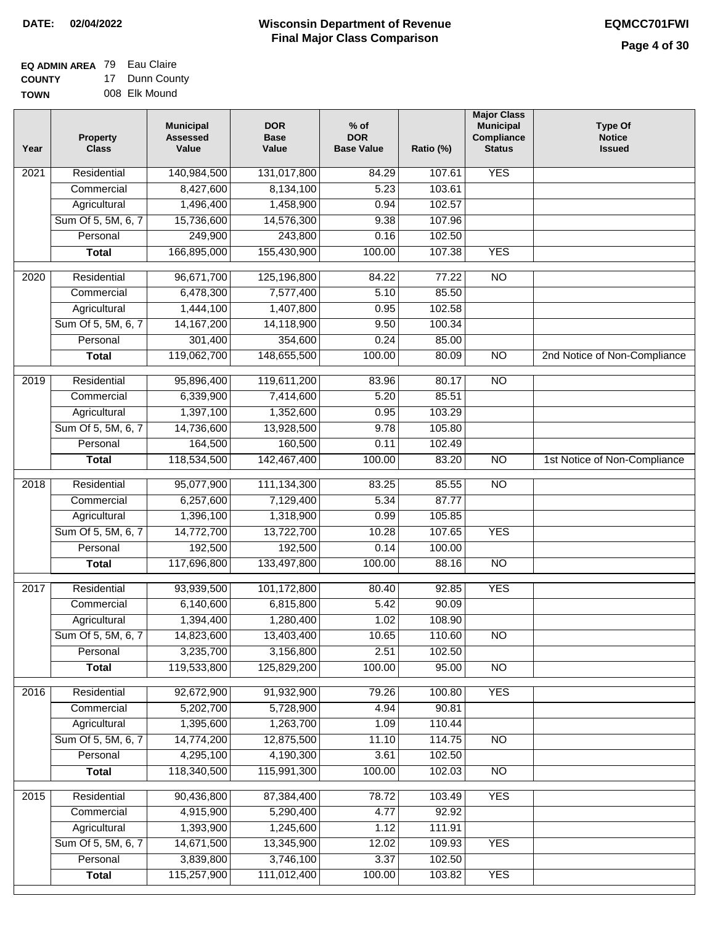#### **EQ ADMIN AREA** 79 Eau Claire **COUNTY** 17 Dunn County

**TOWN** 008 Elk Mound

| Year              | <b>Property</b><br><b>Class</b> | <b>Municipal</b><br><b>Assessed</b><br>Value | <b>DOR</b><br><b>Base</b><br>Value | $%$ of<br><b>DOR</b><br><b>Base Value</b> | Ratio (%) | <b>Major Class</b><br><b>Municipal</b><br>Compliance<br><b>Status</b> | <b>Type Of</b><br><b>Notice</b><br><b>Issued</b> |
|-------------------|---------------------------------|----------------------------------------------|------------------------------------|-------------------------------------------|-----------|-----------------------------------------------------------------------|--------------------------------------------------|
| $\overline{202}1$ | Residential                     | 140,984,500                                  | 131,017,800                        | 84.29                                     | 107.61    | <b>YES</b>                                                            |                                                  |
|                   | Commercial                      | 8,427,600                                    | 8,134,100                          | 5.23                                      | 103.61    |                                                                       |                                                  |
|                   | Agricultural                    | 1,496,400                                    | 1,458,900                          | 0.94                                      | 102.57    |                                                                       |                                                  |
|                   | Sum Of 5, 5M, 6, 7              | 15,736,600                                   | 14,576,300                         | 9.38                                      | 107.96    |                                                                       |                                                  |
|                   | Personal                        | 249,900                                      | 243,800                            | 0.16                                      | 102.50    |                                                                       |                                                  |
|                   | <b>Total</b>                    | 166,895,000                                  | 155,430,900                        | 100.00                                    | 107.38    | <b>YES</b>                                                            |                                                  |
| 2020              | Residential                     | 96,671,700                                   | 125,196,800                        | 84.22                                     | 77.22     | $\overline{10}$                                                       |                                                  |
|                   | Commercial                      | 6,478,300                                    | 7,577,400                          | 5.10                                      | 85.50     |                                                                       |                                                  |
|                   | Agricultural                    | 1,444,100                                    | 1,407,800                          | 0.95                                      | 102.58    |                                                                       |                                                  |
|                   | Sum Of 5, 5M, 6, 7              | 14, 167, 200                                 | 14,118,900                         | 9.50                                      | 100.34    |                                                                       |                                                  |
|                   | Personal                        | 301,400                                      | 354,600                            | 0.24                                      | 85.00     |                                                                       |                                                  |
|                   | <b>Total</b>                    | 119,062,700                                  | 148,655,500                        | 100.00                                    | 80.09     | $\overline{NO}$                                                       | 2nd Notice of Non-Compliance                     |
| 2019              | Residential                     | 95,896,400                                   | 119,611,200                        | 83.96                                     | 80.17     | $\overline{10}$                                                       |                                                  |
|                   | Commercial                      | 6,339,900                                    | 7,414,600                          | 5.20                                      | 85.51     |                                                                       |                                                  |
|                   | Agricultural                    | 1,397,100                                    | 1,352,600                          | 0.95                                      | 103.29    |                                                                       |                                                  |
|                   | Sum Of 5, 5M, 6, 7              | 14,736,600                                   | 13,928,500                         | 9.78                                      | 105.80    |                                                                       |                                                  |
|                   | Personal                        | 164,500                                      | 160,500                            | 0.11                                      | 102.49    |                                                                       |                                                  |
|                   | <b>Total</b>                    | 118,534,500                                  | 142,467,400                        | 100.00                                    | 83.20     | $\overline{NO}$                                                       | 1st Notice of Non-Compliance                     |
| 2018              | Residential                     | 95,077,900                                   | 111,134,300                        | 83.25                                     | 85.55     | $\overline{10}$                                                       |                                                  |
|                   | Commercial                      | 6,257,600                                    | 7,129,400                          | 5.34                                      | 87.77     |                                                                       |                                                  |
|                   | Agricultural                    | 1,396,100                                    | 1,318,900                          | 0.99                                      | 105.85    |                                                                       |                                                  |
|                   | Sum Of 5, 5M, 6, 7              | 14,772,700                                   | 13,722,700                         | 10.28                                     | 107.65    | <b>YES</b>                                                            |                                                  |
|                   | Personal                        | 192,500                                      | 192,500                            | 0.14                                      | 100.00    |                                                                       |                                                  |
|                   | <b>Total</b>                    | 117,696,800                                  | 133,497,800                        | 100.00                                    | 88.16     | $\overline{NO}$                                                       |                                                  |
| $\overline{2017}$ | Residential                     | 93,939,500                                   | 101,172,800                        | 80.40                                     | 92.85     | <b>YES</b>                                                            |                                                  |
|                   | Commercial                      | 6,140,600                                    | 6,815,800                          | 5.42                                      | 90.09     |                                                                       |                                                  |
|                   | Agricultural                    | 1,394,400                                    | 1,280,400                          | 1.02                                      | 108.90    |                                                                       |                                                  |
|                   | Sum Of 5, 5M, 6, 7              | 14,823,600                                   | 13,403,400                         | 10.65                                     | 110.60    | <b>NO</b>                                                             |                                                  |
|                   | Personal                        | 3,235,700                                    | 3,156,800                          | 2.51                                      | 102.50    |                                                                       |                                                  |
|                   | <b>Total</b>                    | 119,533,800                                  | 125,829,200                        | 100.00                                    | 95.00     | <b>NO</b>                                                             |                                                  |
| 2016              | Residential                     | 92,672,900                                   | 91,932,900                         | 79.26                                     | 100.80    | <b>YES</b>                                                            |                                                  |
|                   | Commercial                      | 5,202,700                                    | 5,728,900                          | 4.94                                      | 90.81     |                                                                       |                                                  |
|                   | Agricultural                    | 1,395,600                                    | 1,263,700                          | 1.09                                      | 110.44    |                                                                       |                                                  |
|                   | Sum Of 5, 5M, 6, 7              | 14,774,200                                   | 12,875,500                         | 11.10                                     | 114.75    | $\overline{NO}$                                                       |                                                  |
|                   | Personal                        | 4,295,100                                    | 4,190,300                          | 3.61                                      | 102.50    |                                                                       |                                                  |
|                   | <b>Total</b>                    | 118,340,500                                  | 115,991,300                        | 100.00                                    | 102.03    | N <sub>O</sub>                                                        |                                                  |
| 2015              | Residential                     | 90,436,800                                   | 87,384,400                         | 78.72                                     | 103.49    | <b>YES</b>                                                            |                                                  |
|                   | Commercial                      | 4,915,900                                    | 5,290,400                          | 4.77                                      | 92.92     |                                                                       |                                                  |
|                   | Agricultural                    | 1,393,900                                    | 1,245,600                          | 1.12                                      | 111.91    |                                                                       |                                                  |
|                   | Sum Of 5, 5M, 6, 7              | 14,671,500                                   | 13,345,900                         | 12.02                                     | 109.93    | <b>YES</b>                                                            |                                                  |
|                   | Personal                        | 3,839,800                                    | 3,746,100                          | 3.37                                      | 102.50    |                                                                       |                                                  |
|                   | <b>Total</b>                    | 115,257,900                                  | 111,012,400                        | 100.00                                    | 103.82    | <b>YES</b>                                                            |                                                  |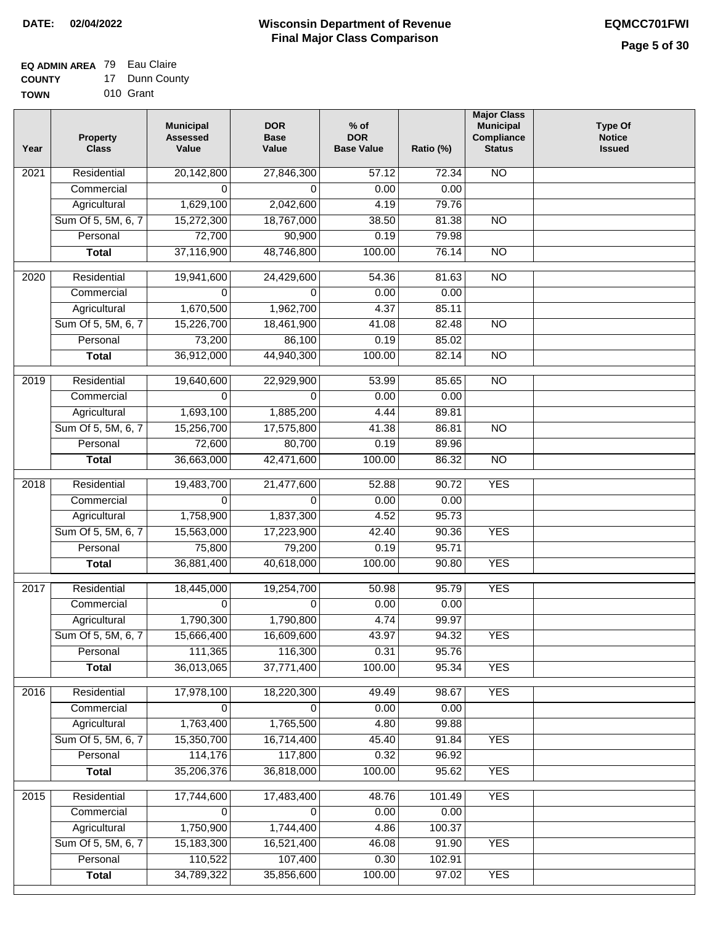# **EQ ADMIN AREA** 79 Eau Claire

**COUNTY TOWN** 17 Dunn County 010 Grant

| Year              | <b>Property</b><br><b>Class</b> | <b>Municipal</b><br><b>Assessed</b><br>Value | <b>DOR</b><br><b>Base</b><br>Value | $%$ of<br><b>DOR</b><br><b>Base Value</b> | Ratio (%) | <b>Major Class</b><br><b>Municipal</b><br>Compliance<br><b>Status</b> | <b>Type Of</b><br><b>Notice</b><br><b>Issued</b> |
|-------------------|---------------------------------|----------------------------------------------|------------------------------------|-------------------------------------------|-----------|-----------------------------------------------------------------------|--------------------------------------------------|
| $\overline{202}1$ | Residential                     | 20,142,800                                   | 27,846,300                         | 57.12                                     | 72.34     | N <sub>O</sub>                                                        |                                                  |
|                   | Commercial                      | 0                                            | $\Omega$                           | 0.00                                      | 0.00      |                                                                       |                                                  |
|                   | Agricultural                    | 1,629,100                                    | 2,042,600                          | 4.19                                      | 79.76     |                                                                       |                                                  |
|                   | Sum Of 5, 5M, 6, 7              | 15,272,300                                   | 18,767,000                         | 38.50                                     | 81.38     | $\overline{NO}$                                                       |                                                  |
|                   | Personal                        | 72,700                                       | 90,900                             | 0.19                                      | 79.98     |                                                                       |                                                  |
|                   | <b>Total</b>                    | 37,116,900                                   | 48,746,800                         | 100.00                                    | 76.14     | <b>NO</b>                                                             |                                                  |
| $\overline{2020}$ | Residential                     | 19,941,600                                   | 24,429,600                         | 54.36                                     | 81.63     | $\overline{10}$                                                       |                                                  |
|                   | Commercial                      | $\Omega$                                     | 0                                  | 0.00                                      | 0.00      |                                                                       |                                                  |
|                   | Agricultural                    | 1,670,500                                    | 1,962,700                          | 4.37                                      | 85.11     |                                                                       |                                                  |
|                   | Sum Of 5, 5M, 6, 7              | 15,226,700                                   | 18,461,900                         | 41.08                                     | 82.48     | $\overline{NO}$                                                       |                                                  |
|                   | Personal                        | 73,200                                       | 86,100                             | 0.19                                      | 85.02     |                                                                       |                                                  |
|                   | <b>Total</b>                    | 36,912,000                                   | 44,940,300                         | 100.00                                    | 82.14     | $\overline{NO}$                                                       |                                                  |
| 2019              | Residential                     | 19,640,600                                   | 22,929,900                         | 53.99                                     | 85.65     | $\overline{NO}$                                                       |                                                  |
|                   | Commercial                      | $\Omega$                                     | $\Omega$                           | 0.00                                      | 0.00      |                                                                       |                                                  |
|                   | Agricultural                    | 1,693,100                                    | 1,885,200                          | 4.44                                      | 89.81     |                                                                       |                                                  |
|                   | Sum Of 5, 5M, 6, 7              | 15,256,700                                   | 17,575,800                         | 41.38                                     | 86.81     | $\overline{NO}$                                                       |                                                  |
|                   | Personal                        | 72,600                                       | 80,700                             | 0.19                                      | 89.96     |                                                                       |                                                  |
|                   | <b>Total</b>                    | 36,663,000                                   | 42,471,600                         | 100.00                                    | 86.32     | $\overline{NO}$                                                       |                                                  |
| 2018              | Residential                     | 19,483,700                                   | 21,477,600                         | 52.88                                     | 90.72     | <b>YES</b>                                                            |                                                  |
|                   | Commercial                      | $\Omega$                                     | $\Omega$                           | 0.00                                      | 0.00      |                                                                       |                                                  |
|                   | Agricultural                    | 1,758,900                                    | 1,837,300                          | 4.52                                      | 95.73     |                                                                       |                                                  |
|                   | Sum Of 5, 5M, 6, 7              | 15,563,000                                   | 17,223,900                         | 42.40                                     | 90.36     | <b>YES</b>                                                            |                                                  |
|                   | Personal                        | 75,800                                       | 79,200                             | 0.19                                      | 95.71     |                                                                       |                                                  |
|                   | <b>Total</b>                    | 36,881,400                                   | 40,618,000                         | 100.00                                    | 90.80     | <b>YES</b>                                                            |                                                  |
| 2017              | Residential                     | 18,445,000                                   | 19,254,700                         | 50.98                                     | 95.79     | <b>YES</b>                                                            |                                                  |
|                   | Commercial                      | $\Omega$                                     | 0                                  | 0.00                                      | 0.00      |                                                                       |                                                  |
|                   | Agricultural                    | 1,790,300                                    | 1,790,800                          | 4.74                                      | 99.97     |                                                                       |                                                  |
|                   | Sum Of 5, 5M, 6, 7              | 15,666,400                                   | 16,609,600                         | 43.97                                     | 94.32     | <b>YES</b>                                                            |                                                  |
|                   | Personal                        | 111,365                                      | 116,300                            | 0.31                                      | 95.76     |                                                                       |                                                  |
|                   | <b>Total</b>                    | 36,013,065                                   | 37,771,400                         | 100.00                                    | 95.34     | <b>YES</b>                                                            |                                                  |
| 2016              | Residential                     | 17,978,100                                   | 18,220,300                         | 49.49                                     | 98.67     | <b>YES</b>                                                            |                                                  |
|                   | Commercial                      | 0                                            | 0                                  | 0.00                                      | 0.00      |                                                                       |                                                  |
|                   | Agricultural                    | 1,763,400                                    | 1,765,500                          | 4.80                                      | 99.88     |                                                                       |                                                  |
|                   | Sum Of 5, 5M, 6, 7              | 15,350,700                                   | 16,714,400                         | 45.40                                     | 91.84     | <b>YES</b>                                                            |                                                  |
|                   | Personal                        | 114,176                                      | 117,800                            | 0.32                                      | 96.92     |                                                                       |                                                  |
|                   | <b>Total</b>                    | 35,206,376                                   | 36,818,000                         | 100.00                                    | 95.62     | <b>YES</b>                                                            |                                                  |
| 2015              | Residential                     | 17,744,600                                   | 17,483,400                         | 48.76                                     | 101.49    | <b>YES</b>                                                            |                                                  |
|                   | Commercial                      | 0                                            | $\Omega$                           | 0.00                                      | 0.00      |                                                                       |                                                  |
|                   | Agricultural                    | 1,750,900                                    | 1,744,400                          | 4.86                                      | 100.37    |                                                                       |                                                  |
|                   | Sum Of 5, 5M, 6, 7              | 15,183,300                                   | 16,521,400                         | 46.08                                     | 91.90     | <b>YES</b>                                                            |                                                  |
|                   | Personal                        | 110,522                                      | 107,400                            | 0.30                                      | 102.91    |                                                                       |                                                  |
|                   | <b>Total</b>                    | 34,789,322                                   | 35,856,600                         | 100.00                                    | 97.02     | <b>YES</b>                                                            |                                                  |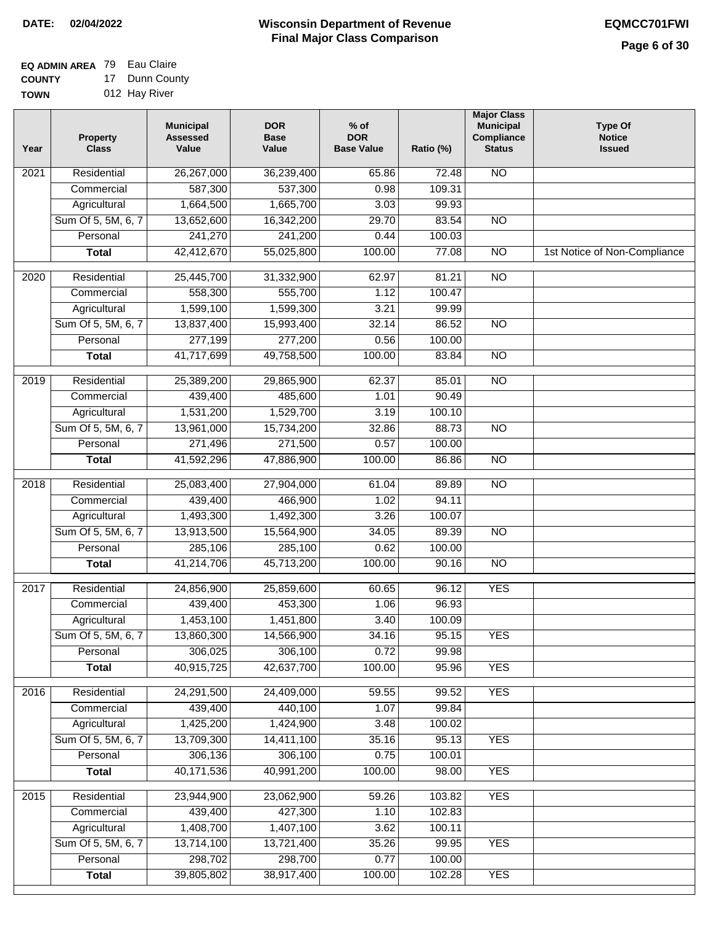#### **EQ ADMIN AREA** 79 Eau Claire **COUNTY** 17 Dunn County

**TOWN** 012 Hay River

| Year | <b>Property</b><br><b>Class</b> | <b>Municipal</b><br><b>Assessed</b><br>Value | <b>DOR</b><br><b>Base</b><br>Value | $%$ of<br><b>DOR</b><br><b>Base Value</b> | Ratio (%) | <b>Major Class</b><br><b>Municipal</b><br>Compliance<br><b>Status</b> | <b>Type Of</b><br><b>Notice</b><br><b>Issued</b> |
|------|---------------------------------|----------------------------------------------|------------------------------------|-------------------------------------------|-----------|-----------------------------------------------------------------------|--------------------------------------------------|
| 2021 | Residential                     | 26,267,000                                   | 36,239,400                         | 65.86                                     | 72.48     | <b>NO</b>                                                             |                                                  |
|      | Commercial                      | 587,300                                      | 537,300                            | 0.98                                      | 109.31    |                                                                       |                                                  |
|      | Agricultural                    | 1,664,500                                    | 1,665,700                          | 3.03                                      | 99.93     |                                                                       |                                                  |
|      | Sum Of 5, 5M, 6, 7              | 13,652,600                                   | 16,342,200                         | 29.70                                     | 83.54     | $\overline{NO}$                                                       |                                                  |
|      | Personal                        | 241,270                                      | 241,200                            | 0.44                                      | 100.03    |                                                                       |                                                  |
|      | <b>Total</b>                    | 42,412,670                                   | 55,025,800                         | 100.00                                    | 77.08     | $\overline{NO}$                                                       | 1st Notice of Non-Compliance                     |
| 2020 | Residential                     | 25,445,700                                   | 31,332,900                         | 62.97                                     | 81.21     | $\overline{NO}$                                                       |                                                  |
|      | Commercial                      | 558,300                                      | 555,700                            | 1.12                                      | 100.47    |                                                                       |                                                  |
|      | Agricultural                    | 1,599,100                                    | 1,599,300                          | 3.21                                      | 99.99     |                                                                       |                                                  |
|      | Sum Of 5, 5M, 6, 7              | 13,837,400                                   | 15,993,400                         | 32.14                                     | 86.52     | <b>NO</b>                                                             |                                                  |
|      | Personal                        | 277,199                                      | 277,200                            | 0.56                                      | 100.00    |                                                                       |                                                  |
|      | <b>Total</b>                    | 41,717,699                                   | 49,758,500                         | 100.00                                    | 83.84     | $\overline{NO}$                                                       |                                                  |
| 2019 | Residential                     | 25,389,200                                   | 29,865,900                         | 62.37                                     | 85.01     | $\overline{NO}$                                                       |                                                  |
|      | Commercial                      | 439,400                                      | 485,600                            | 1.01                                      | 90.49     |                                                                       |                                                  |
|      | Agricultural                    | 1,531,200                                    | 1,529,700                          | 3.19                                      | 100.10    |                                                                       |                                                  |
|      | Sum Of 5, 5M, 6, 7              | 13,961,000                                   | 15,734,200                         | 32.86                                     | 88.73     | $\overline{NO}$                                                       |                                                  |
|      | Personal                        | 271,496                                      | 271,500                            | 0.57                                      | 100.00    |                                                                       |                                                  |
|      | <b>Total</b>                    | 41,592,296                                   | 47,886,900                         | 100.00                                    | 86.86     | $\overline{NO}$                                                       |                                                  |
| 2018 | Residential                     | 25,083,400                                   | 27,904,000                         | 61.04                                     | 89.89     | $\overline{NO}$                                                       |                                                  |
|      | Commercial                      | 439,400                                      | 466,900                            | 1.02                                      | 94.11     |                                                                       |                                                  |
|      | Agricultural                    | 1,493,300                                    | 1,492,300                          | 3.26                                      | 100.07    |                                                                       |                                                  |
|      | Sum Of 5, 5M, 6, 7              | 13,913,500                                   | 15,564,900                         | 34.05                                     | 89.39     | $\overline{10}$                                                       |                                                  |
|      | Personal                        | 285,106                                      | 285,100                            | 0.62                                      | 100.00    |                                                                       |                                                  |
|      | <b>Total</b>                    | 41,214,706                                   | 45,713,200                         | 100.00                                    | 90.16     | <b>NO</b>                                                             |                                                  |
| 2017 | Residential                     | 24,856,900                                   | 25,859,600                         | 60.65                                     | 96.12     | <b>YES</b>                                                            |                                                  |
|      | Commercial                      | 439,400                                      | 453,300                            | 1.06                                      | 96.93     |                                                                       |                                                  |
|      | Agricultural                    | 1,453,100                                    | 1,451,800                          | 3.40                                      | 100.09    |                                                                       |                                                  |
|      | Sum Of 5, 5M, 6, 7              | 13,860,300                                   | 14,566,900                         | 34.16                                     | 95.15     | <b>YES</b>                                                            |                                                  |
|      | Personal                        | 306,025                                      | 306,100                            | 0.72                                      | 99.98     |                                                                       |                                                  |
|      | <b>Total</b>                    | 40,915,725                                   | 42,637,700                         | 100.00                                    | 95.96     | <b>YES</b>                                                            |                                                  |
| 2016 | Residential                     | 24,291,500                                   | 24,409,000                         | 59.55                                     | 99.52     | <b>YES</b>                                                            |                                                  |
|      | Commercial                      | 439,400                                      | 440,100                            | 1.07                                      | 99.84     |                                                                       |                                                  |
|      | Agricultural                    | 1,425,200                                    | 1,424,900                          | 3.48                                      | 100.02    |                                                                       |                                                  |
|      | Sum Of 5, 5M, 6, 7              | 13,709,300                                   | 14,411,100                         | 35.16                                     | 95.13     | <b>YES</b>                                                            |                                                  |
|      | Personal                        | 306,136                                      | 306,100                            | 0.75                                      | 100.01    |                                                                       |                                                  |
|      | <b>Total</b>                    | 40,171,536                                   | 40,991,200                         | 100.00                                    | 98.00     | <b>YES</b>                                                            |                                                  |
| 2015 | Residential                     | 23,944,900                                   | 23,062,900                         | 59.26                                     | 103.82    | <b>YES</b>                                                            |                                                  |
|      | Commercial                      | 439,400                                      | 427,300                            | 1.10                                      | 102.83    |                                                                       |                                                  |
|      | Agricultural                    | 1,408,700                                    | 1,407,100                          | 3.62                                      | 100.11    |                                                                       |                                                  |
|      | Sum Of 5, 5M, 6, 7              | 13,714,100                                   | 13,721,400                         | 35.26                                     | 99.95     | <b>YES</b>                                                            |                                                  |
|      | Personal                        | 298,702                                      | 298,700                            | 0.77                                      | 100.00    |                                                                       |                                                  |
|      | <b>Total</b>                    | 39,805,802                                   | 38,917,400                         | 100.00                                    | 102.28    | <b>YES</b>                                                            |                                                  |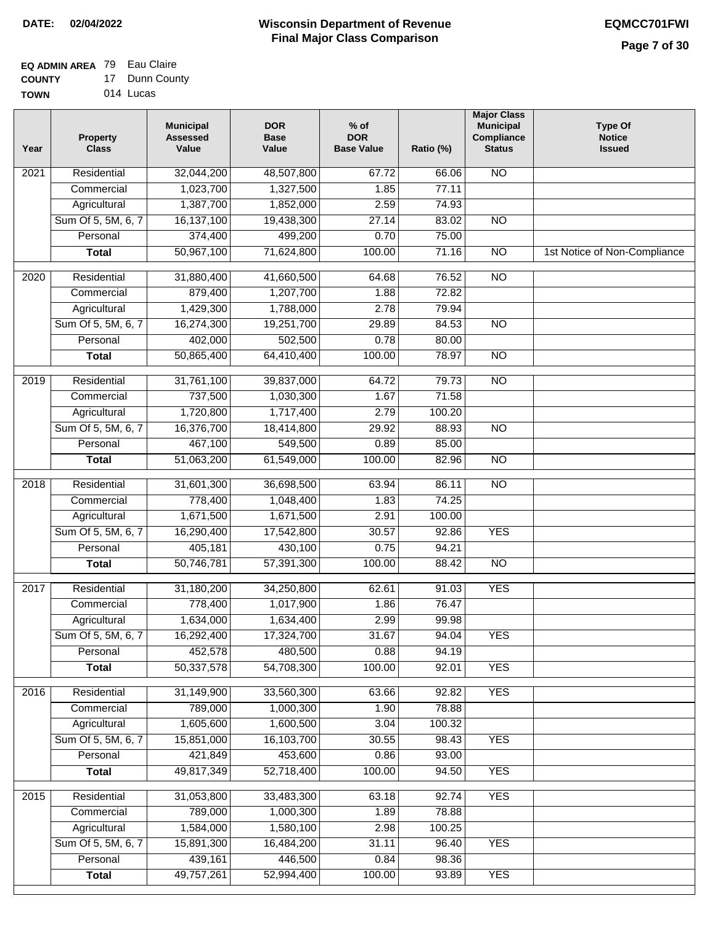# **EQ ADMIN AREA** 79 Eau Claire

**COUNTY TOWN** 17 Dunn County 014 Lucas

| Year              | <b>Property</b><br><b>Class</b> | <b>Municipal</b><br><b>Assessed</b><br>Value | <b>DOR</b><br><b>Base</b><br>Value | % of<br><b>DOR</b><br><b>Base Value</b> | Ratio (%) | <b>Major Class</b><br><b>Municipal</b><br>Compliance<br><b>Status</b> | <b>Type Of</b><br><b>Notice</b><br><b>Issued</b> |
|-------------------|---------------------------------|----------------------------------------------|------------------------------------|-----------------------------------------|-----------|-----------------------------------------------------------------------|--------------------------------------------------|
| $\overline{202}1$ | Residential                     | 32,044,200                                   | 48,507,800                         | 67.72                                   | 66.06     | $\overline{NO}$                                                       |                                                  |
|                   | Commercial                      | 1,023,700                                    | 1,327,500                          | 1.85                                    | 77.11     |                                                                       |                                                  |
|                   | Agricultural                    | 1,387,700                                    | 1,852,000                          | 2.59                                    | 74.93     |                                                                       |                                                  |
|                   | Sum Of 5, 5M, 6, 7              | 16,137,100                                   | 19,438,300                         | 27.14                                   | 83.02     | N <sub>O</sub>                                                        |                                                  |
|                   | Personal                        | 374,400                                      | 499,200                            | 0.70                                    | 75.00     |                                                                       |                                                  |
|                   | <b>Total</b>                    | 50,967,100                                   | 71,624,800                         | 100.00                                  | 71.16     | $\overline{NO}$                                                       | 1st Notice of Non-Compliance                     |
| $\overline{2020}$ | Residential                     | 31,880,400                                   | 41,660,500                         | 64.68                                   | 76.52     | $\overline{NO}$                                                       |                                                  |
|                   | Commercial                      | 879,400                                      | 1,207,700                          | 1.88                                    | 72.82     |                                                                       |                                                  |
|                   | Agricultural                    | 1,429,300                                    | 1,788,000                          | 2.78                                    | 79.94     |                                                                       |                                                  |
|                   | Sum Of 5, 5M, 6, 7              | 16,274,300                                   | 19,251,700                         | 29.89                                   | 84.53     | $\overline{NO}$                                                       |                                                  |
|                   | Personal                        | 402,000                                      | 502,500                            | 0.78                                    | 80.00     |                                                                       |                                                  |
|                   | <b>Total</b>                    | 50,865,400                                   | 64,410,400                         | 100.00                                  | 78.97     | $\overline{NO}$                                                       |                                                  |
| 2019              | Residential                     | 31,761,100                                   | 39,837,000                         | 64.72                                   | 79.73     | <b>NO</b>                                                             |                                                  |
|                   | Commercial                      | 737,500                                      | 1,030,300                          | 1.67                                    | 71.58     |                                                                       |                                                  |
|                   | Agricultural                    | 1,720,800                                    | 1,717,400                          | 2.79                                    | 100.20    |                                                                       |                                                  |
|                   | Sum Of 5, 5M, 6, 7              | 16,376,700                                   | 18,414,800                         | 29.92                                   | 88.93     | $\overline{NO}$                                                       |                                                  |
|                   | Personal                        | 467,100                                      | 549,500                            | 0.89                                    | 85.00     |                                                                       |                                                  |
|                   | <b>Total</b>                    | 51,063,200                                   | 61,549,000                         | 100.00                                  | 82.96     | $\overline{NO}$                                                       |                                                  |
| 2018              | Residential                     | 31,601,300                                   | 36,698,500                         | 63.94                                   | 86.11     | $\overline{NO}$                                                       |                                                  |
|                   | Commercial                      | 778,400                                      | 1,048,400                          | 1.83                                    | 74.25     |                                                                       |                                                  |
|                   | Agricultural                    | 1,671,500                                    | 1,671,500                          | 2.91                                    | 100.00    |                                                                       |                                                  |
|                   | Sum Of 5, 5M, 6, 7              | 16,290,400                                   | 17,542,800                         | 30.57                                   | 92.86     | <b>YES</b>                                                            |                                                  |
|                   | Personal                        | 405,181                                      | 430,100                            | 0.75                                    | 94.21     |                                                                       |                                                  |
|                   | <b>Total</b>                    | 50,746,781                                   | 57,391,300                         | 100.00                                  | 88.42     | <b>NO</b>                                                             |                                                  |
| 2017              | Residential                     | 31,180,200                                   | 34,250,800                         | 62.61                                   | 91.03     | <b>YES</b>                                                            |                                                  |
|                   | Commercial                      | 778,400                                      | 1,017,900                          | 1.86                                    | 76.47     |                                                                       |                                                  |
|                   | Agricultural                    | 1,634,000                                    | 1,634,400                          | 2.99                                    | 99.98     |                                                                       |                                                  |
|                   | Sum Of 5, 5M, 6, 7              | 16,292,400                                   | 17,324,700                         | 31.67                                   | 94.04     | <b>YES</b>                                                            |                                                  |
|                   | Personal                        | 452,578                                      | 480,500                            | 0.88                                    | 94.19     |                                                                       |                                                  |
|                   | <b>Total</b>                    | 50,337,578                                   | 54,708,300                         | 100.00                                  | 92.01     | <b>YES</b>                                                            |                                                  |
| 2016              | Residential                     | 31,149,900                                   | 33,560,300                         | 63.66                                   | 92.82     | <b>YES</b>                                                            |                                                  |
|                   | Commercial                      | 789,000                                      | 1,000,300                          | 1.90                                    | 78.88     |                                                                       |                                                  |
|                   | Agricultural                    | 1,605,600                                    | 1,600,500                          | 3.04                                    | 100.32    |                                                                       |                                                  |
|                   | Sum Of 5, 5M, 6, 7              | 15,851,000                                   | 16,103,700                         | 30.55                                   | 98.43     | <b>YES</b>                                                            |                                                  |
|                   | Personal                        | 421,849                                      | 453,600                            | 0.86                                    | 93.00     |                                                                       |                                                  |
|                   | <b>Total</b>                    | 49,817,349                                   | 52,718,400                         | 100.00                                  | 94.50     | <b>YES</b>                                                            |                                                  |
| 2015              | Residential                     | 31,053,800                                   | 33,483,300                         | 63.18                                   | 92.74     | <b>YES</b>                                                            |                                                  |
|                   | Commercial                      | 789,000                                      | 1,000,300                          | 1.89                                    | 78.88     |                                                                       |                                                  |
|                   | Agricultural                    | 1,584,000                                    | 1,580,100                          | 2.98                                    | 100.25    |                                                                       |                                                  |
|                   | Sum Of 5, 5M, 6, 7              | 15,891,300                                   | 16,484,200                         | 31.11                                   | 96.40     | <b>YES</b>                                                            |                                                  |
|                   | Personal                        | 439,161                                      | 446,500                            | 0.84                                    | 98.36     |                                                                       |                                                  |
|                   | <b>Total</b>                    | 49,757,261                                   | 52,994,400                         | 100.00                                  | 93.89     | <b>YES</b>                                                            |                                                  |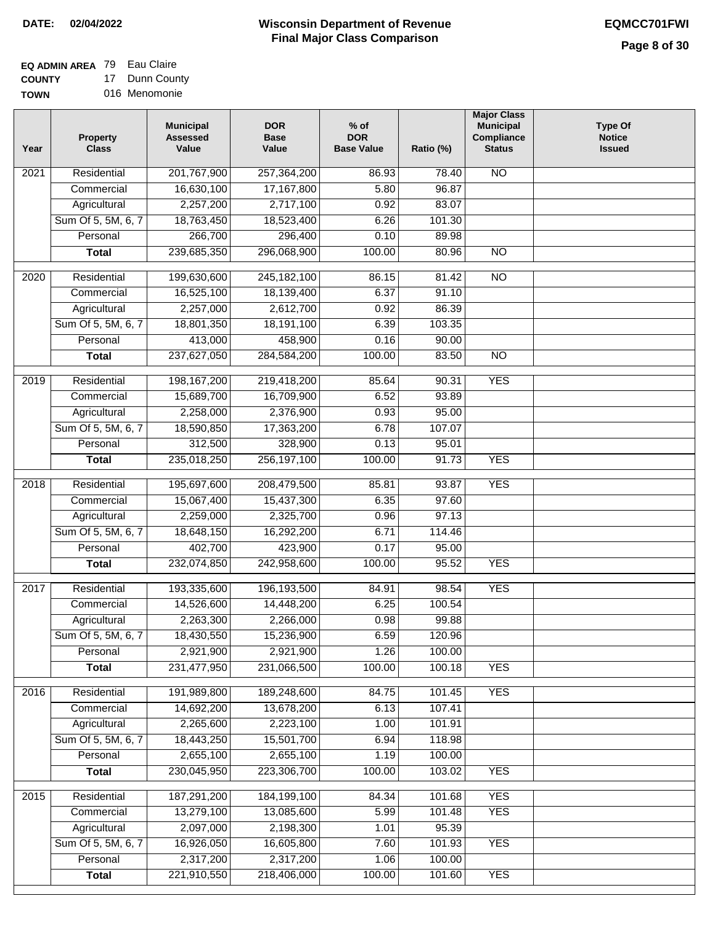**EQ ADMIN AREA** 79 Eau Claire **COUNTY** 17 Dunn County

**TOWN** 016 Menomonie

| Year              | <b>Property</b><br><b>Class</b> | <b>Municipal</b><br><b>Assessed</b><br>Value | <b>DOR</b><br><b>Base</b><br>Value | $%$ of<br><b>DOR</b><br><b>Base Value</b> | Ratio (%) | <b>Major Class</b><br><b>Municipal</b><br>Compliance<br><b>Status</b> | <b>Type Of</b><br><b>Notice</b><br><b>Issued</b> |
|-------------------|---------------------------------|----------------------------------------------|------------------------------------|-------------------------------------------|-----------|-----------------------------------------------------------------------|--------------------------------------------------|
| $\overline{202}1$ | Residential                     | 201,767,900                                  | 257,364,200                        | 86.93                                     | 78.40     | N <sub>O</sub>                                                        |                                                  |
|                   | Commercial                      | 16,630,100                                   | 17,167,800                         | 5.80                                      | 96.87     |                                                                       |                                                  |
|                   | Agricultural                    | 2,257,200                                    | 2,717,100                          | 0.92                                      | 83.07     |                                                                       |                                                  |
|                   | Sum Of 5, 5M, 6, 7              | 18,763,450                                   | 18,523,400                         | 6.26                                      | 101.30    |                                                                       |                                                  |
|                   | Personal                        | 266,700                                      | 296,400                            | 0.10                                      | 89.98     |                                                                       |                                                  |
|                   | <b>Total</b>                    | 239,685,350                                  | 296,068,900                        | 100.00                                    | 80.96     | $\overline{NO}$                                                       |                                                  |
| $\overline{2020}$ | Residential                     | 199,630,600                                  | 245, 182, 100                      | 86.15                                     | 81.42     | $\overline{10}$                                                       |                                                  |
|                   | Commercial                      | 16,525,100                                   | 18,139,400                         | 6.37                                      | 91.10     |                                                                       |                                                  |
|                   | Agricultural                    | 2,257,000                                    | 2,612,700                          | 0.92                                      | 86.39     |                                                                       |                                                  |
|                   | Sum Of 5, 5M, 6, 7              | 18,801,350                                   | 18,191,100                         | 6.39                                      | 103.35    |                                                                       |                                                  |
|                   | Personal                        | 413,000                                      | 458,900                            | 0.16                                      | 90.00     |                                                                       |                                                  |
|                   | <b>Total</b>                    | 237,627,050                                  | 284,584,200                        | 100.00                                    | 83.50     | $\overline{NO}$                                                       |                                                  |
|                   |                                 |                                              |                                    |                                           |           |                                                                       |                                                  |
| 2019              | Residential                     | 198, 167, 200                                | 219,418,200                        | 85.64                                     | 90.31     | <b>YES</b>                                                            |                                                  |
|                   | Commercial                      | 15,689,700                                   | 16,709,900                         | 6.52                                      | 93.89     |                                                                       |                                                  |
|                   | Agricultural                    | 2,258,000                                    | 2,376,900                          | 0.93                                      | 95.00     |                                                                       |                                                  |
|                   | Sum Of 5, 5M, 6, 7              | 18,590,850                                   | 17,363,200                         | 6.78                                      | 107.07    |                                                                       |                                                  |
|                   | Personal                        | 312,500                                      | 328,900                            | 0.13                                      | 95.01     |                                                                       |                                                  |
|                   | <b>Total</b>                    | 235,018,250                                  | 256,197,100                        | 100.00                                    | 91.73     | <b>YES</b>                                                            |                                                  |
| 2018              | Residential                     | 195,697,600                                  | 208,479,500                        | 85.81                                     | 93.87     | <b>YES</b>                                                            |                                                  |
|                   | Commercial                      | 15,067,400                                   | 15,437,300                         | 6.35                                      | 97.60     |                                                                       |                                                  |
|                   | Agricultural                    | 2,259,000                                    | 2,325,700                          | 0.96                                      | 97.13     |                                                                       |                                                  |
|                   | Sum Of 5, 5M, 6, 7              | 18,648,150                                   | 16,292,200                         | 6.71                                      | 114.46    |                                                                       |                                                  |
|                   | Personal                        | 402,700                                      | 423,900                            | 0.17                                      | 95.00     |                                                                       |                                                  |
|                   | <b>Total</b>                    | 232,074,850                                  | 242,958,600                        | 100.00                                    | 95.52     | <b>YES</b>                                                            |                                                  |
| 2017              | Residential                     | 193,335,600                                  | 196, 193, 500                      | 84.91                                     | 98.54     | <b>YES</b>                                                            |                                                  |
|                   | Commercial                      | 14,526,600                                   | 14,448,200                         | 6.25                                      | 100.54    |                                                                       |                                                  |
|                   | Agricultural                    | 2,263,300                                    | 2,266,000                          | 0.98                                      | 99.88     |                                                                       |                                                  |
|                   | Sum Of 5, 5M, 6, 7              | 18,430,550                                   | 15,236,900                         | 6.59                                      | 120.96    |                                                                       |                                                  |
|                   | Personal                        | 2,921,900                                    | 2,921,900                          | 1.26                                      | 100.00    |                                                                       |                                                  |
|                   | <b>Total</b>                    | 231,477,950                                  | 231,066,500                        | 100.00                                    | 100.18    | <b>YES</b>                                                            |                                                  |
| 2016              | Residential                     | 191,989,800                                  | 189,248,600                        | 84.75                                     | 101.45    | <b>YES</b>                                                            |                                                  |
|                   | Commercial                      | 14,692,200                                   | 13,678,200                         | 6.13                                      | 107.41    |                                                                       |                                                  |
|                   | Agricultural                    | 2,265,600                                    | 2,223,100                          | 1.00                                      | 101.91    |                                                                       |                                                  |
|                   | Sum Of 5, 5M, 6, 7              | 18,443,250                                   | 15,501,700                         | 6.94                                      | 118.98    |                                                                       |                                                  |
|                   | Personal                        | 2,655,100                                    | 2,655,100                          | 1.19                                      | 100.00    |                                                                       |                                                  |
|                   | <b>Total</b>                    | 230,045,950                                  | 223,306,700                        | 100.00                                    | 103.02    | <b>YES</b>                                                            |                                                  |
| 2015              | Residential                     | 187,291,200                                  | 184, 199, 100                      | 84.34                                     | 101.68    | <b>YES</b>                                                            |                                                  |
|                   | Commercial                      | 13,279,100                                   | 13,085,600                         | 5.99                                      | 101.48    | <b>YES</b>                                                            |                                                  |
|                   | Agricultural                    | 2,097,000                                    | 2,198,300                          | 1.01                                      | 95.39     |                                                                       |                                                  |
|                   | Sum Of 5, 5M, 6, 7              | 16,926,050                                   | 16,605,800                         | 7.60                                      | 101.93    | <b>YES</b>                                                            |                                                  |
|                   | Personal                        | 2,317,200                                    | 2,317,200                          | 1.06                                      | 100.00    |                                                                       |                                                  |
|                   | <b>Total</b>                    | 221,910,550                                  | 218,406,000                        | 100.00                                    | 101.60    | <b>YES</b>                                                            |                                                  |
|                   |                                 |                                              |                                    |                                           |           |                                                                       |                                                  |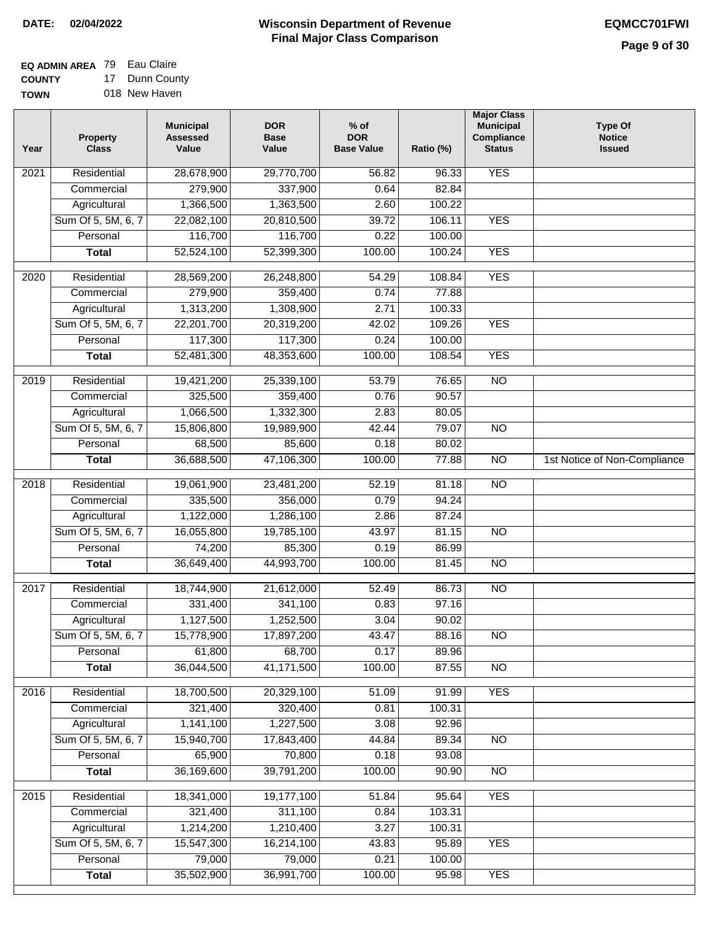#### **EQ ADMIN AREA** 79 Eau Claire **COUNTY** 17 Dunn County

**TOWN** 018 New Haven

| Year             | <b>Property</b><br><b>Class</b> | <b>Municipal</b><br><b>Assessed</b><br>Value | <b>DOR</b><br><b>Base</b><br>Value | $%$ of<br><b>DOR</b><br><b>Base Value</b> | Ratio (%) | <b>Major Class</b><br><b>Municipal</b><br>Compliance<br><b>Status</b> | <b>Type Of</b><br><b>Notice</b><br><b>Issued</b> |
|------------------|---------------------------------|----------------------------------------------|------------------------------------|-------------------------------------------|-----------|-----------------------------------------------------------------------|--------------------------------------------------|
| 2021             | Residential                     | 28,678,900                                   | 29,770,700                         | 56.82                                     | 96.33     | <b>YES</b>                                                            |                                                  |
|                  | Commercial                      | 279,900                                      | 337,900                            | 0.64                                      | 82.84     |                                                                       |                                                  |
|                  | Agricultural                    | 1,366,500                                    | 1,363,500                          | 2.60                                      | 100.22    |                                                                       |                                                  |
|                  | Sum Of 5, 5M, 6, 7              | 22,082,100                                   | 20,810,500                         | 39.72                                     | 106.11    | <b>YES</b>                                                            |                                                  |
|                  | Personal                        | 116,700                                      | 116,700                            | 0.22                                      | 100.00    |                                                                       |                                                  |
|                  | <b>Total</b>                    | 52,524,100                                   | 52,399,300                         | 100.00                                    | 100.24    | <b>YES</b>                                                            |                                                  |
| 2020             | Residential                     | 28,569,200                                   | 26,248,800                         | 54.29                                     | 108.84    | <b>YES</b>                                                            |                                                  |
|                  | Commercial                      | 279,900                                      | 359,400                            | 0.74                                      | 77.88     |                                                                       |                                                  |
|                  | Agricultural                    | 1,313,200                                    | 1,308,900                          | 2.71                                      | 100.33    |                                                                       |                                                  |
|                  | Sum Of 5, 5M, 6, 7              | 22,201,700                                   | 20,319,200                         | 42.02                                     | 109.26    | <b>YES</b>                                                            |                                                  |
|                  | Personal                        | 117,300                                      | 117,300                            | 0.24                                      | 100.00    |                                                                       |                                                  |
|                  | <b>Total</b>                    | 52,481,300                                   | 48,353,600                         | 100.00                                    | 108.54    | <b>YES</b>                                                            |                                                  |
| $\frac{1}{2019}$ | Residential                     | 19,421,200                                   | 25,339,100                         | 53.79                                     | 76.65     | $\overline{NO}$                                                       |                                                  |
|                  | Commercial                      | 325,500                                      | 359,400                            | 0.76                                      | 90.57     |                                                                       |                                                  |
|                  | Agricultural                    | 1,066,500                                    | 1,332,300                          | 2.83                                      | 80.05     |                                                                       |                                                  |
|                  | Sum Of 5, 5M, 6, 7              | 15,806,800                                   | 19,989,900                         | 42.44                                     | 79.07     | $\overline{NO}$                                                       |                                                  |
|                  | Personal                        | 68,500                                       | 85,600                             | 0.18                                      | 80.02     |                                                                       |                                                  |
|                  | <b>Total</b>                    | 36,688,500                                   | 47,106,300                         | 100.00                                    | 77.88     | $\overline{NO}$                                                       | 1st Notice of Non-Compliance                     |
| 2018             | Residential                     | 19,061,900                                   | 23,481,200                         | 52.19                                     | 81.18     | $\overline{NO}$                                                       |                                                  |
|                  | Commercial                      | 335,500                                      | 356,000                            | 0.79                                      | 94.24     |                                                                       |                                                  |
|                  | Agricultural                    | 1,122,000                                    | 1,286,100                          | 2.86                                      | 87.24     |                                                                       |                                                  |
|                  | Sum Of 5, 5M, 6, 7              | 16,055,800                                   | 19,785,100                         | 43.97                                     | 81.15     | <b>NO</b>                                                             |                                                  |
|                  | Personal                        | 74,200                                       | 85,300                             | 0.19                                      | 86.99     |                                                                       |                                                  |
|                  | <b>Total</b>                    | 36,649,400                                   | 44,993,700                         | 100.00                                    | 81.45     | <b>NO</b>                                                             |                                                  |
| 2017             | Residential                     | 18,744,900                                   | 21,612,000                         | 52.49                                     | 86.73     | $\overline{NO}$                                                       |                                                  |
|                  | Commercial                      | 331,400                                      | 341,100                            | 0.83                                      | 97.16     |                                                                       |                                                  |
|                  | Agricultural                    | 1,127,500                                    | 1,252,500                          | 3.04                                      | 90.02     |                                                                       |                                                  |
|                  | Sum Of 5, 5M, 6, 7              | 15,778,900                                   | 17,897,200                         | 43.47                                     | 88.16     | $\overline{N}$                                                        |                                                  |
|                  | Personal                        | 61,800                                       | 68,700                             | 0.17                                      | 89.96     |                                                                       |                                                  |
|                  | <b>Total</b>                    | 36,044,500                                   | 41,171,500                         | 100.00                                    | 87.55     | $\overline{N}$                                                        |                                                  |
| 2016             | Residential                     | 18,700,500                                   | 20,329,100                         | 51.09                                     | 91.99     | <b>YES</b>                                                            |                                                  |
|                  | Commercial                      | 321,400                                      | 320,400                            | 0.81                                      | 100.31    |                                                                       |                                                  |
|                  | Agricultural                    | 1,141,100                                    | 1,227,500                          | 3.08                                      | 92.96     |                                                                       |                                                  |
|                  | Sum Of 5, 5M, 6, 7              | 15,940,700                                   | 17,843,400                         | 44.84                                     | 89.34     | <b>NO</b>                                                             |                                                  |
|                  | Personal                        | 65,900                                       | 70,800                             | 0.18                                      | 93.08     |                                                                       |                                                  |
|                  | <b>Total</b>                    | 36,169,600                                   | 39,791,200                         | 100.00                                    | 90.90     | N <sub>O</sub>                                                        |                                                  |
| 2015             | Residential                     | 18,341,000                                   | 19,177,100                         | 51.84                                     | 95.64     | <b>YES</b>                                                            |                                                  |
|                  | Commercial                      | 321,400                                      | 311,100                            | 0.84                                      | 103.31    |                                                                       |                                                  |
|                  | Agricultural                    | 1,214,200                                    | 1,210,400                          | 3.27                                      | 100.31    |                                                                       |                                                  |
|                  | Sum Of 5, 5M, 6, 7              | 15,547,300                                   | 16,214,100                         | 43.83                                     | 95.89     | <b>YES</b>                                                            |                                                  |
|                  | Personal                        | 79,000                                       | 79,000                             | 0.21                                      | 100.00    |                                                                       |                                                  |
|                  | <b>Total</b>                    | 35,502,900                                   | 36,991,700                         | 100.00                                    | 95.98     | <b>YES</b>                                                            |                                                  |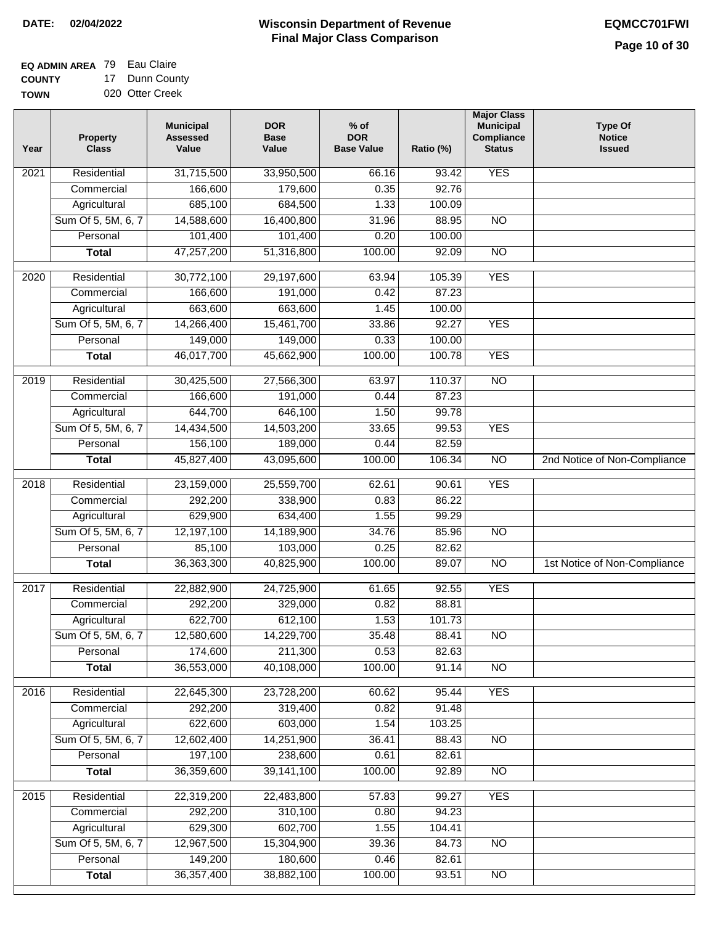**EQ ADMIN AREA** 79 Eau Claire **COUNTY** 17 Dunn County

**TOWN** 020 Otter Creek

| Year              | <b>Property</b><br><b>Class</b> | <b>Municipal</b><br><b>Assessed</b><br>Value | <b>DOR</b><br><b>Base</b><br>Value | $%$ of<br><b>DOR</b><br><b>Base Value</b> | Ratio (%) | <b>Major Class</b><br><b>Municipal</b><br>Compliance<br><b>Status</b> | <b>Type Of</b><br><b>Notice</b><br><b>Issued</b> |
|-------------------|---------------------------------|----------------------------------------------|------------------------------------|-------------------------------------------|-----------|-----------------------------------------------------------------------|--------------------------------------------------|
| $\overline{202}1$ | Residential                     | 31,715,500                                   | 33,950,500                         | 66.16                                     | 93.42     | <b>YES</b>                                                            |                                                  |
|                   | Commercial                      | 166,600                                      | 179,600                            | 0.35                                      | 92.76     |                                                                       |                                                  |
|                   | Agricultural                    | 685,100                                      | 684,500                            | 1.33                                      | 100.09    |                                                                       |                                                  |
|                   | Sum Of 5, 5M, 6, 7              | 14,588,600                                   | 16,400,800                         | 31.96                                     | 88.95     | $\overline{NO}$                                                       |                                                  |
|                   | Personal                        | 101,400                                      | 101,400                            | 0.20                                      | 100.00    |                                                                       |                                                  |
|                   | <b>Total</b>                    | 47,257,200                                   | 51,316,800                         | 100.00                                    | 92.09     | $\overline{NO}$                                                       |                                                  |
| $\overline{2020}$ | Residential                     | 30,772,100                                   | 29,197,600                         | 63.94                                     | 105.39    | <b>YES</b>                                                            |                                                  |
|                   | Commercial                      | 166,600                                      | 191,000                            | 0.42                                      | 87.23     |                                                                       |                                                  |
|                   | Agricultural                    | 663,600                                      | 663,600                            | 1.45                                      | 100.00    |                                                                       |                                                  |
|                   | Sum Of 5, 5M, 6, 7              | 14,266,400                                   | 15,461,700                         | 33.86                                     | 92.27     | <b>YES</b>                                                            |                                                  |
|                   | Personal                        | 149,000                                      | 149,000                            | 0.33                                      | 100.00    |                                                                       |                                                  |
|                   | <b>Total</b>                    | 46,017,700                                   | 45,662,900                         | 100.00                                    | 100.78    | <b>YES</b>                                                            |                                                  |
| 2019              | Residential                     | 30,425,500                                   | 27,566,300                         | 63.97                                     | 110.37    | $\overline{NO}$                                                       |                                                  |
|                   | Commercial                      | 166,600                                      | 191,000                            | 0.44                                      | 87.23     |                                                                       |                                                  |
|                   | Agricultural                    | 644,700                                      | 646,100                            | 1.50                                      | 99.78     |                                                                       |                                                  |
|                   | Sum Of 5, 5M, 6, 7              | 14,434,500                                   | 14,503,200                         | 33.65                                     | 99.53     | <b>YES</b>                                                            |                                                  |
|                   | Personal                        | 156,100                                      | 189,000                            | 0.44                                      | 82.59     |                                                                       |                                                  |
|                   | <b>Total</b>                    | 45,827,400                                   | 43,095,600                         | 100.00                                    | 106.34    | $\overline{NO}$                                                       | 2nd Notice of Non-Compliance                     |
| 2018              | Residential                     | 23,159,000                                   | 25,559,700                         | 62.61                                     | 90.61     | <b>YES</b>                                                            |                                                  |
|                   | Commercial                      | 292,200                                      | 338,900                            | 0.83                                      | 86.22     |                                                                       |                                                  |
|                   | Agricultural                    | 629,900                                      | 634,400                            | 1.55                                      | 99.29     |                                                                       |                                                  |
|                   | Sum Of 5, 5M, 6, 7              | 12,197,100                                   | 14,189,900                         | 34.76                                     | 85.96     | $\overline{10}$                                                       |                                                  |
|                   | Personal                        | 85,100                                       | 103,000                            | 0.25                                      | 82.62     |                                                                       |                                                  |
|                   | <b>Total</b>                    | 36,363,300                                   | 40,825,900                         | 100.00                                    | 89.07     | $\overline{10}$                                                       | 1st Notice of Non-Compliance                     |
| $\overline{2017}$ | Residential                     | 22,882,900                                   | 24,725,900                         | 61.65                                     | 92.55     | <b>YES</b>                                                            |                                                  |
|                   | Commercial                      | 292,200                                      | 329,000                            | 0.82                                      | 88.81     |                                                                       |                                                  |
|                   | Agricultural                    | 622,700                                      | 612,100                            | 1.53                                      | 101.73    |                                                                       |                                                  |
|                   | Sum Of 5, 5M, 6, 7              | 12,580,600                                   | 14,229,700                         | 35.48                                     | 88.41     | <b>NO</b>                                                             |                                                  |
|                   | Personal                        | 174,600                                      | 211,300                            | 0.53                                      | 82.63     |                                                                       |                                                  |
|                   | <b>Total</b>                    | 36,553,000                                   | 40,108,000                         | 100.00                                    | 91.14     | <b>NO</b>                                                             |                                                  |
| 2016              | Residential                     | 22,645,300                                   | 23,728,200                         | 60.62                                     | 95.44     | <b>YES</b>                                                            |                                                  |
|                   | Commercial                      | 292,200                                      | 319,400                            | 0.82                                      | 91.48     |                                                                       |                                                  |
|                   | Agricultural                    | 622,600                                      | 603,000                            | 1.54                                      | 103.25    |                                                                       |                                                  |
|                   | Sum Of 5, 5M, 6, 7              | 12,602,400                                   | 14,251,900                         | 36.41                                     | 88.43     | $\overline{NO}$                                                       |                                                  |
|                   | Personal                        | 197,100                                      | 238,600                            | 0.61                                      | 82.61     |                                                                       |                                                  |
|                   | <b>Total</b>                    | 36,359,600                                   | 39, 141, 100                       | 100.00                                    | 92.89     | $\overline{NO}$                                                       |                                                  |
| 2015              | Residential                     | 22,319,200                                   | 22,483,800                         | 57.83                                     | 99.27     | <b>YES</b>                                                            |                                                  |
|                   | Commercial                      | 292,200                                      | 310,100                            | 0.80                                      | 94.23     |                                                                       |                                                  |
|                   | Agricultural                    | 629,300                                      | 602,700                            | 1.55                                      | 104.41    |                                                                       |                                                  |
|                   | Sum Of 5, 5M, 6, 7              | 12,967,500                                   | 15,304,900                         | 39.36                                     | 84.73     | <b>NO</b>                                                             |                                                  |
|                   | Personal                        | 149,200                                      | 180,600                            | 0.46                                      | 82.61     |                                                                       |                                                  |
|                   | <b>Total</b>                    | 36, 357, 400                                 | 38,882,100                         | 100.00                                    | 93.51     | <b>NO</b>                                                             |                                                  |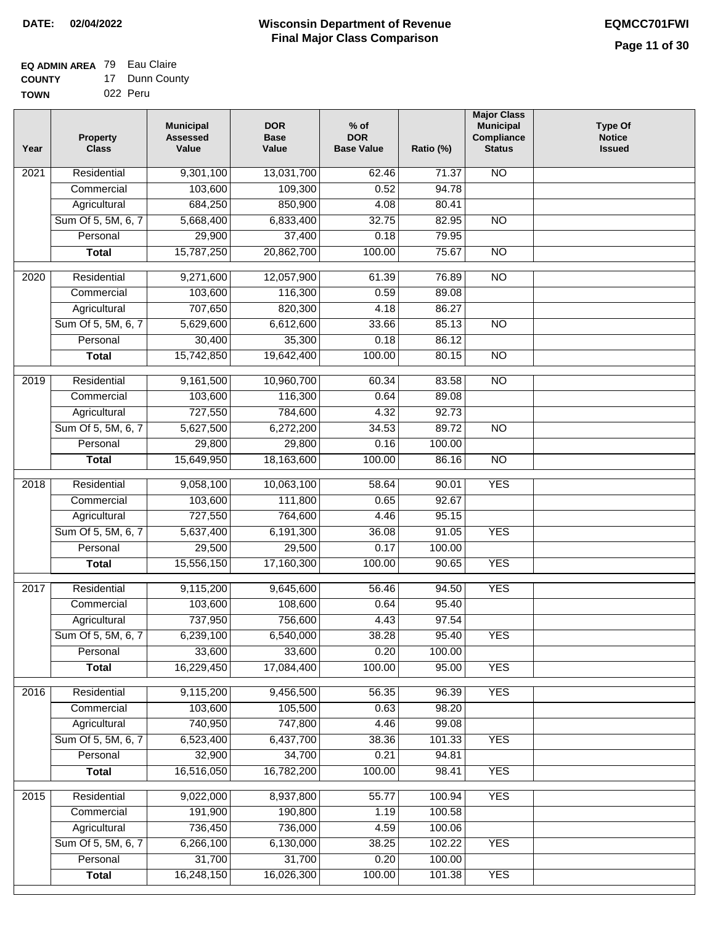┓

#### **EQ ADMIN AREA** 79 Eau Claire **COUNTY** 17 Dunn County

| <b>UUUNII</b> | Puni vvu |
|---------------|----------|
| <b>TOWN</b>   | 022 Peru |

| Year | Property<br><b>Class</b> | <b>Municipal</b><br><b>Assessed</b><br>Value | <b>DOR</b><br><b>Base</b><br>Value | $%$ of<br><b>DOR</b><br><b>Base Value</b> | Ratio (%) | <b>Major Class</b><br><b>Municipal</b><br>Compliance<br><b>Status</b> | <b>Type Of</b><br><b>Notice</b><br><b>Issued</b> |
|------|--------------------------|----------------------------------------------|------------------------------------|-------------------------------------------|-----------|-----------------------------------------------------------------------|--------------------------------------------------|
| 2021 | Residential              | 9,301,100                                    | 13,031,700                         | 62.46                                     | 71.37     | <b>NO</b>                                                             |                                                  |
|      | Commercial               | 103,600                                      | 109,300                            | 0.52                                      | 94.78     |                                                                       |                                                  |
|      | Agricultural             | 684,250                                      | 850,900                            | 4.08                                      | 80.41     |                                                                       |                                                  |
|      | Sum Of 5, 5M, 6, 7       | 5,668,400                                    | 6,833,400                          | 32.75                                     | 82.95     | $\overline{NO}$                                                       |                                                  |
|      | Personal                 | 29,900                                       | 37,400                             | 0.18                                      | 79.95     |                                                                       |                                                  |
|      | <b>Total</b>             | 15,787,250                                   | 20,862,700                         | 100.00                                    | 75.67     | $\overline{NO}$                                                       |                                                  |
| 2020 | Residential              | 9,271,600                                    | 12,057,900                         | 61.39                                     | 76.89     | $\overline{NO}$                                                       |                                                  |
|      | Commercial               | 103,600                                      | 116,300                            | 0.59                                      | 89.08     |                                                                       |                                                  |
|      | Agricultural             | 707,650                                      | 820,300                            | 4.18                                      | 86.27     |                                                                       |                                                  |
|      | Sum Of 5, 5M, 6, 7       | 5,629,600                                    | 6,612,600                          | 33.66                                     | 85.13     | $\overline{NO}$                                                       |                                                  |
|      | Personal                 | 30,400                                       | 35,300                             | 0.18                                      | 86.12     |                                                                       |                                                  |
|      | <b>Total</b>             | 15,742,850                                   | 19,642,400                         | 100.00                                    | 80.15     | <b>NO</b>                                                             |                                                  |
|      |                          |                                              |                                    |                                           |           |                                                                       |                                                  |
| 2019 | Residential              | 9,161,500                                    | 10,960,700                         | 60.34                                     | 83.58     | $\overline{NO}$                                                       |                                                  |
|      | Commercial               | 103,600                                      | 116,300                            | 0.64                                      | 89.08     |                                                                       |                                                  |
|      | Agricultural             | 727,550                                      | 784,600                            | 4.32                                      | 92.73     |                                                                       |                                                  |
|      | Sum Of 5, 5M, 6, 7       | 5,627,500                                    | 6,272,200                          | 34.53                                     | 89.72     | $\overline{NO}$                                                       |                                                  |
|      | Personal                 | 29,800                                       | 29,800                             | 0.16                                      | 100.00    |                                                                       |                                                  |
|      | <b>Total</b>             | 15,649,950                                   | 18,163,600                         | 100.00                                    | 86.16     | $\overline{NO}$                                                       |                                                  |
| 2018 | Residential              | 9,058,100                                    | 10,063,100                         | 58.64                                     | 90.01     | <b>YES</b>                                                            |                                                  |
|      | Commercial               | 103,600                                      | 111,800                            | 0.65                                      | 92.67     |                                                                       |                                                  |
|      | Agricultural             | 727,550                                      | 764,600                            | 4.46                                      | 95.15     |                                                                       |                                                  |
|      | Sum Of 5, 5M, 6, 7       | 5,637,400                                    | 6,191,300                          | 36.08                                     | 91.05     | <b>YES</b>                                                            |                                                  |
|      | Personal                 | 29,500                                       | 29,500                             | 0.17                                      | 100.00    |                                                                       |                                                  |
|      | <b>Total</b>             | 15,556,150                                   | 17,160,300                         | 100.00                                    | 90.65     | <b>YES</b>                                                            |                                                  |
| 2017 | Residential              | 9,115,200                                    | 9,645,600                          | 56.46                                     | 94.50     | <b>YES</b>                                                            |                                                  |
|      | Commercial               | 103,600                                      | 108,600                            | 0.64                                      | 95.40     |                                                                       |                                                  |
|      | Agricultural             | 737,950                                      | 756,600                            | 4.43                                      | 97.54     |                                                                       |                                                  |
|      | Sum Of 5, 5M, 6, 7       | 6,239,100                                    | 6,540,000                          | 38.28                                     | 95.40     | <b>YES</b>                                                            |                                                  |
|      | Personal                 | 33,600                                       | 33,600                             | 0.20                                      | 100.00    |                                                                       |                                                  |
|      | <b>Total</b>             | 16,229,450                                   | 17,084,400                         | 100.00                                    | 95.00     | <b>YES</b>                                                            |                                                  |
|      |                          |                                              |                                    |                                           |           |                                                                       |                                                  |
| 2016 | Residential              | 9,115,200                                    | 9,456,500                          | 56.35                                     | 96.39     | <b>YES</b>                                                            |                                                  |
|      | Commercial               | 103,600                                      | 105,500                            | 0.63                                      | 98.20     |                                                                       |                                                  |
|      | Agricultural             | 740,950                                      | 747,800                            | 4.46                                      | 99.08     |                                                                       |                                                  |
|      | Sum Of 5, 5M, 6, 7       | 6,523,400                                    | 6,437,700                          | 38.36                                     | 101.33    | <b>YES</b>                                                            |                                                  |
|      | Personal                 | 32,900                                       | 34,700                             | 0.21                                      | 94.81     |                                                                       |                                                  |
|      | <b>Total</b>             | 16,516,050                                   | 16,782,200                         | 100.00                                    | 98.41     | <b>YES</b>                                                            |                                                  |
| 2015 | Residential              | 9,022,000                                    | 8,937,800                          | 55.77                                     | 100.94    | <b>YES</b>                                                            |                                                  |
|      | Commercial               | 191,900                                      | 190,800                            | 1.19                                      | 100.58    |                                                                       |                                                  |
|      | Agricultural             | 736,450                                      | 736,000                            | 4.59                                      | 100.06    |                                                                       |                                                  |
|      | Sum Of 5, 5M, 6, 7       | 6,266,100                                    | 6,130,000                          | 38.25                                     | 102.22    | <b>YES</b>                                                            |                                                  |
|      | Personal                 | 31,700                                       | 31,700                             | 0.20                                      | 100.00    |                                                                       |                                                  |
|      | <b>Total</b>             | 16,248,150                                   | 16,026,300                         | 100.00                                    | 101.38    | <b>YES</b>                                                            |                                                  |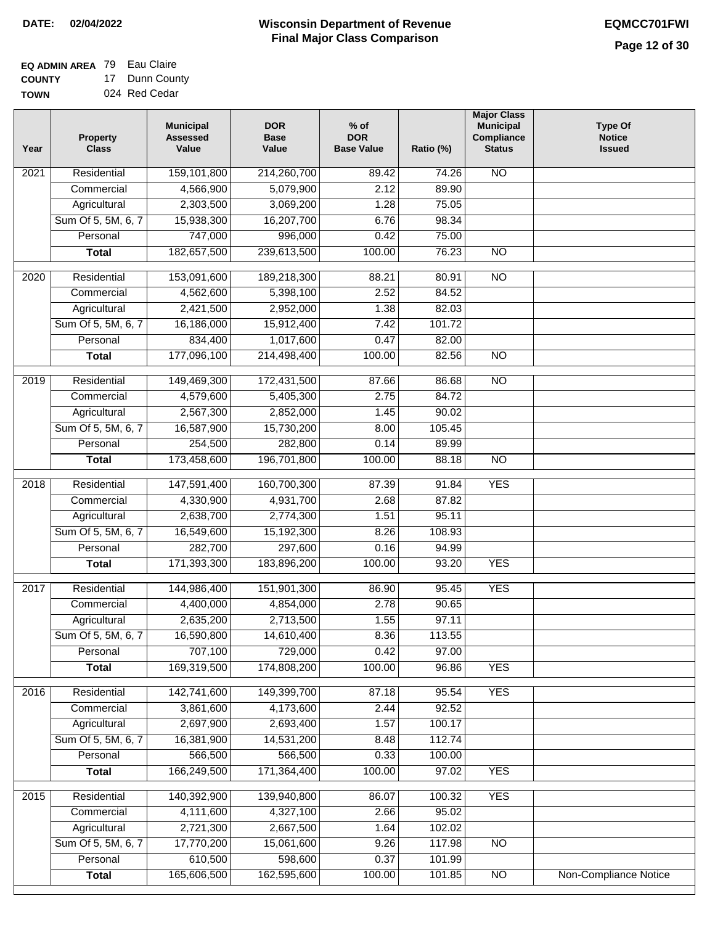#### **EQ ADMIN AREA** 79 Eau Claire **COUNTY** 17 Dunn County

**TOWN** 024 Red Cedar

| Year              | <b>Property</b><br><b>Class</b> | <b>Municipal</b><br><b>Assessed</b><br>Value | <b>DOR</b><br><b>Base</b><br>Value | $%$ of<br><b>DOR</b><br><b>Base Value</b> | Ratio (%) | <b>Major Class</b><br><b>Municipal</b><br>Compliance<br><b>Status</b> | <b>Type Of</b><br><b>Notice</b><br><b>Issued</b> |
|-------------------|---------------------------------|----------------------------------------------|------------------------------------|-------------------------------------------|-----------|-----------------------------------------------------------------------|--------------------------------------------------|
| 2021              | Residential                     | 159,101,800                                  | 214,260,700                        | 89.42                                     | 74.26     | <b>NO</b>                                                             |                                                  |
|                   | Commercial                      | 4,566,900                                    | 5,079,900                          | 2.12                                      | 89.90     |                                                                       |                                                  |
|                   | Agricultural                    | 2,303,500                                    | 3,069,200                          | 1.28                                      | 75.05     |                                                                       |                                                  |
|                   | Sum Of 5, 5M, 6, 7              | 15,938,300                                   | 16,207,700                         | 6.76                                      | 98.34     |                                                                       |                                                  |
|                   | Personal                        | 747,000                                      | 996,000                            | 0.42                                      | 75.00     |                                                                       |                                                  |
|                   | <b>Total</b>                    | 182,657,500                                  | 239,613,500                        | 100.00                                    | 76.23     | $\overline{NO}$                                                       |                                                  |
| 2020              | Residential                     | 153,091,600                                  | 189,218,300                        | 88.21                                     | 80.91     | $\overline{10}$                                                       |                                                  |
|                   | Commercial                      | 4,562,600                                    | 5,398,100                          | 2.52                                      | 84.52     |                                                                       |                                                  |
|                   | Agricultural                    | 2,421,500                                    | 2,952,000                          | 1.38                                      | 82.03     |                                                                       |                                                  |
|                   | Sum Of 5, 5M, 6, 7              | 16,186,000                                   | 15,912,400                         | 7.42                                      | 101.72    |                                                                       |                                                  |
|                   | Personal                        | 834,400                                      | 1,017,600                          | 0.47                                      | 82.00     |                                                                       |                                                  |
|                   | <b>Total</b>                    | 177,096,100                                  | 214,498,400                        | 100.00                                    | 82.56     | <b>NO</b>                                                             |                                                  |
|                   |                                 |                                              |                                    |                                           |           |                                                                       |                                                  |
| $\frac{1}{2019}$  | Residential                     | 149,469,300                                  | 172,431,500                        | 87.66                                     | 86.68     | $\overline{NO}$                                                       |                                                  |
|                   | Commercial                      | 4,579,600                                    | 5,405,300                          | 2.75                                      | 84.72     |                                                                       |                                                  |
|                   | Agricultural                    | 2,567,300                                    | 2,852,000                          | 1.45                                      | 90.02     |                                                                       |                                                  |
|                   | Sum Of 5, 5M, 6, 7              | 16,587,900                                   | 15,730,200                         | 8.00                                      | 105.45    |                                                                       |                                                  |
|                   | Personal                        | 254,500                                      | 282,800                            | 0.14                                      | 89.99     |                                                                       |                                                  |
|                   | <b>Total</b>                    | 173,458,600                                  | 196,701,800                        | 100.00                                    | 88.18     | $\overline{NO}$                                                       |                                                  |
| $\overline{2018}$ | Residential                     | 147,591,400                                  | 160,700,300                        | 87.39                                     | 91.84     | <b>YES</b>                                                            |                                                  |
|                   | Commercial                      | 4,330,900                                    | 4,931,700                          | 2.68                                      | 87.82     |                                                                       |                                                  |
|                   | Agricultural                    | 2,638,700                                    | 2,774,300                          | 1.51                                      | 95.11     |                                                                       |                                                  |
|                   | Sum Of 5, 5M, 6, 7              | 16,549,600                                   | 15,192,300                         | 8.26                                      | 108.93    |                                                                       |                                                  |
|                   | Personal                        | 282,700                                      | 297,600                            | 0.16                                      | 94.99     |                                                                       |                                                  |
|                   | <b>Total</b>                    | 171,393,300                                  | 183,896,200                        | 100.00                                    | 93.20     | <b>YES</b>                                                            |                                                  |
| 2017              | Residential                     | 144,986,400                                  | 151,901,300                        | 86.90                                     | 95.45     | <b>YES</b>                                                            |                                                  |
|                   | Commercial                      | 4,400,000                                    | 4,854,000                          | 2.78                                      | 90.65     |                                                                       |                                                  |
|                   | Agricultural                    | 2,635,200                                    | 2,713,500                          | 1.55                                      | 97.11     |                                                                       |                                                  |
|                   | Sum Of 5, 5M, 6, 7              | 16,590,800                                   | 14,610,400                         | 8.36                                      | 113.55    |                                                                       |                                                  |
|                   | Personal                        | 707,100                                      | 729,000                            | 0.42                                      | 97.00     |                                                                       |                                                  |
|                   | <b>Total</b>                    | 169,319,500                                  | 174,808,200                        | 100.00                                    | 96.86     | <b>YES</b>                                                            |                                                  |
| 2016              | Residential                     | 142,741,600                                  | 149,399,700                        | 87.18                                     | 95.54     | <b>YES</b>                                                            |                                                  |
|                   | Commercial                      | 3,861,600                                    | 4,173,600                          | 2.44                                      | 92.52     |                                                                       |                                                  |
|                   | Agricultural                    | 2,697,900                                    | 2,693,400                          | 1.57                                      | 100.17    |                                                                       |                                                  |
|                   | Sum Of 5, 5M, 6, 7              | 16,381,900                                   | 14,531,200                         | 8.48                                      | 112.74    |                                                                       |                                                  |
|                   | Personal                        | 566,500                                      | 566,500                            | 0.33                                      | 100.00    |                                                                       |                                                  |
|                   | <b>Total</b>                    | 166,249,500                                  | 171,364,400                        | 100.00                                    | 97.02     | <b>YES</b>                                                            |                                                  |
| 2015              | Residential                     | 140,392,900                                  | 139,940,800                        | 86.07                                     | 100.32    | <b>YES</b>                                                            |                                                  |
|                   | Commercial                      | 4,111,600                                    | 4,327,100                          | 2.66                                      | 95.02     |                                                                       |                                                  |
|                   | Agricultural                    | 2,721,300                                    | 2,667,500                          | 1.64                                      | 102.02    |                                                                       |                                                  |
|                   | Sum Of 5, 5M, 6, 7              | 17,770,200                                   | 15,061,600                         | 9.26                                      | 117.98    | <b>NO</b>                                                             |                                                  |
|                   | Personal                        | 610,500                                      | 598,600                            | 0.37                                      | 101.99    |                                                                       |                                                  |
|                   | <b>Total</b>                    | 165,606,500                                  | 162,595,600                        | 100.00                                    | 101.85    | $\overline{NO}$                                                       | Non-Compliance Notice                            |
|                   |                                 |                                              |                                    |                                           |           |                                                                       |                                                  |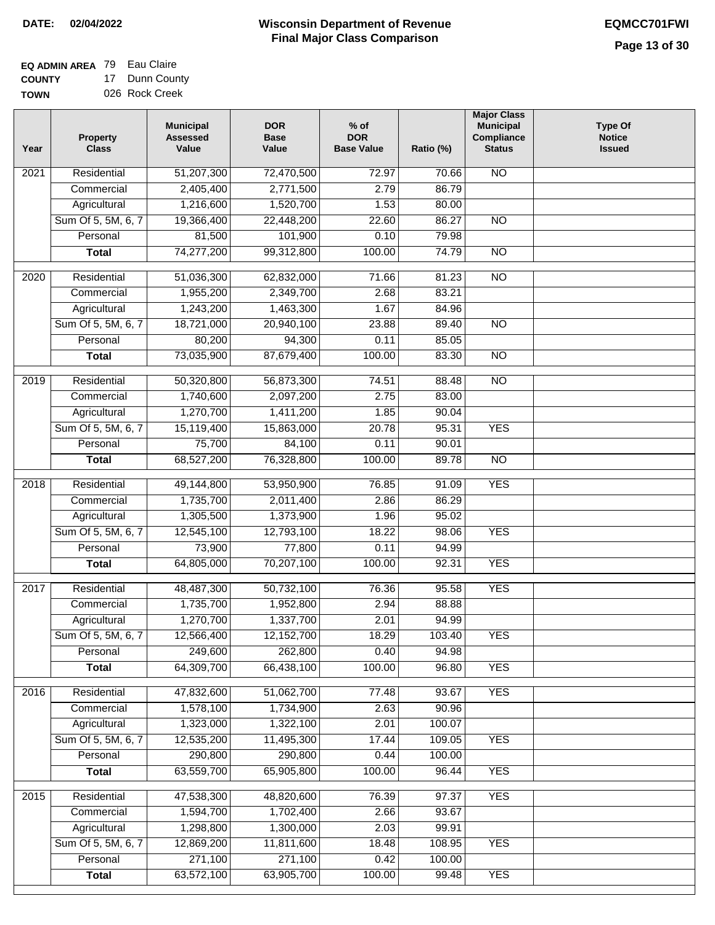#### **Wisconsin Department of Revenue Final Major Class Comparison DATE: 02/04/2022 EQMCC701FWI**

┑

**EQ ADMIN AREA** 79 Eau Claire COUN<sup>T</sup> **TOWN** 17

| .  |                |
|----|----------------|
| TΥ | 17 Dunn County |
|    | 026 Rock Creek |

| Year | <b>Property</b><br><b>Class</b> | <b>Municipal</b><br><b>Assessed</b><br>Value | <b>DOR</b><br><b>Base</b><br>Value | $%$ of<br><b>DOR</b><br><b>Base Value</b> | Ratio (%) | <b>Major Class</b><br><b>Municipal</b><br>Compliance<br><b>Status</b> | <b>Type Of</b><br><b>Notice</b><br><b>Issued</b> |
|------|---------------------------------|----------------------------------------------|------------------------------------|-------------------------------------------|-----------|-----------------------------------------------------------------------|--------------------------------------------------|
| 2021 | Residential                     | 51,207,300                                   | 72,470,500                         | 72.97                                     | 70.66     | $\overline{NO}$                                                       |                                                  |
|      | Commercial                      | 2,405,400                                    | 2,771,500                          | 2.79                                      | 86.79     |                                                                       |                                                  |
|      | Agricultural                    | 1,216,600                                    | 1,520,700                          | 1.53                                      | 80.00     |                                                                       |                                                  |
|      | Sum Of 5, 5M, 6, 7              | 19,366,400                                   | 22,448,200                         | 22.60                                     | 86.27     | $\overline{NO}$                                                       |                                                  |
|      | Personal                        | 81,500                                       | 101,900                            | 0.10                                      | 79.98     |                                                                       |                                                  |
|      | <b>Total</b>                    | 74,277,200                                   | 99,312,800                         | 100.00                                    | 74.79     | $\overline{NO}$                                                       |                                                  |
| 2020 | Residential                     | 51,036,300                                   | 62,832,000                         | 71.66                                     | 81.23     | $\overline{NO}$                                                       |                                                  |
|      | Commercial                      | 1,955,200                                    | 2,349,700                          | 2.68                                      | 83.21     |                                                                       |                                                  |
|      | Agricultural                    | 1,243,200                                    | 1,463,300                          | 1.67                                      | 84.96     |                                                                       |                                                  |
|      | Sum Of 5, 5M, 6, 7              | 18,721,000                                   | 20,940,100                         | 23.88                                     | 89.40     | <b>NO</b>                                                             |                                                  |
|      | Personal                        | 80,200                                       | 94,300                             | 0.11                                      | 85.05     |                                                                       |                                                  |
|      | <b>Total</b>                    | 73,035,900                                   | 87,679,400                         | 100.00                                    | 83.30     | <b>NO</b>                                                             |                                                  |
|      |                                 |                                              |                                    |                                           |           |                                                                       |                                                  |
| 2019 | Residential                     | 50,320,800                                   | 56,873,300                         | 74.51                                     | 88.48     | $\overline{NO}$                                                       |                                                  |
|      | Commercial                      | 1,740,600                                    | 2,097,200                          | 2.75                                      | 83.00     |                                                                       |                                                  |
|      | Agricultural                    | 1,270,700                                    | 1,411,200                          | 1.85                                      | 90.04     |                                                                       |                                                  |
|      | Sum Of 5, 5M, 6, 7              | 15,119,400                                   | 15,863,000                         | 20.78                                     | 95.31     | <b>YES</b>                                                            |                                                  |
|      | Personal                        | 75,700                                       | 84,100                             | 0.11                                      | 90.01     |                                                                       |                                                  |
|      | <b>Total</b>                    | 68,527,200                                   | 76,328,800                         | 100.00                                    | 89.78     | $\overline{NO}$                                                       |                                                  |
| 2018 | Residential                     | 49,144,800                                   | 53,950,900                         | 76.85                                     | 91.09     | <b>YES</b>                                                            |                                                  |
|      | Commercial                      | 1,735,700                                    | 2,011,400                          | 2.86                                      | 86.29     |                                                                       |                                                  |
|      | Agricultural                    | 1,305,500                                    | 1,373,900                          | 1.96                                      | 95.02     |                                                                       |                                                  |
|      | Sum Of 5, 5M, 6, 7              | 12,545,100                                   | 12,793,100                         | 18.22                                     | 98.06     | <b>YES</b>                                                            |                                                  |
|      | Personal                        | 73,900                                       | 77,800                             | 0.11                                      | 94.99     |                                                                       |                                                  |
|      | <b>Total</b>                    | 64,805,000                                   | 70,207,100                         | 100.00                                    | 92.31     | <b>YES</b>                                                            |                                                  |
| 2017 | Residential                     | 48,487,300                                   | 50,732,100                         | 76.36                                     | 95.58     | <b>YES</b>                                                            |                                                  |
|      | Commercial                      | 1,735,700                                    | 1,952,800                          | 2.94                                      | 88.88     |                                                                       |                                                  |
|      | Agricultural                    | 1,270,700                                    | 1,337,700                          | 2.01                                      | 94.99     |                                                                       |                                                  |
|      | Sum Of 5, 5M, 6, 7              | 12,566,400                                   | 12,152,700                         | 18.29                                     | 103.40    | <b>YES</b>                                                            |                                                  |
|      | Personal                        | 249,600                                      | 262,800                            | 0.40                                      | 94.98     |                                                                       |                                                  |
|      | <b>Total</b>                    | 64,309,700                                   | 66,438,100                         | 100.00                                    | 96.80     | <b>YES</b>                                                            |                                                  |
| 2016 | Residential                     | 47,832,600                                   | 51,062,700                         | 77.48                                     | 93.67     | <b>YES</b>                                                            |                                                  |
|      | Commercial                      | 1,578,100                                    | 1,734,900                          | 2.63                                      | 90.96     |                                                                       |                                                  |
|      | Agricultural                    | 1,323,000                                    | 1,322,100                          | 2.01                                      | 100.07    |                                                                       |                                                  |
|      | Sum Of 5, 5M, 6, 7              | 12,535,200                                   | 11,495,300                         | 17.44                                     | 109.05    | <b>YES</b>                                                            |                                                  |
|      | Personal                        | 290,800                                      | 290,800                            | 0.44                                      | 100.00    |                                                                       |                                                  |
|      | <b>Total</b>                    | 63,559,700                                   | 65,905,800                         | 100.00                                    | 96.44     | <b>YES</b>                                                            |                                                  |
| 2015 | Residential                     | 47,538,300                                   | 48,820,600                         | 76.39                                     | 97.37     | <b>YES</b>                                                            |                                                  |
|      | Commercial                      | 1,594,700                                    | 1,702,400                          | 2.66                                      | 93.67     |                                                                       |                                                  |
|      | Agricultural                    | 1,298,800                                    | 1,300,000                          | 2.03                                      | 99.91     |                                                                       |                                                  |
|      | Sum Of 5, 5M, 6, 7              | 12,869,200                                   | 11,811,600                         | 18.48                                     | 108.95    | <b>YES</b>                                                            |                                                  |
|      | Personal                        | 271,100                                      | 271,100                            | 0.42                                      | 100.00    |                                                                       |                                                  |
|      | <b>Total</b>                    | 63,572,100                                   | 63,905,700                         | 100.00                                    | 99.48     | <b>YES</b>                                                            |                                                  |
|      |                                 |                                              |                                    |                                           |           |                                                                       |                                                  |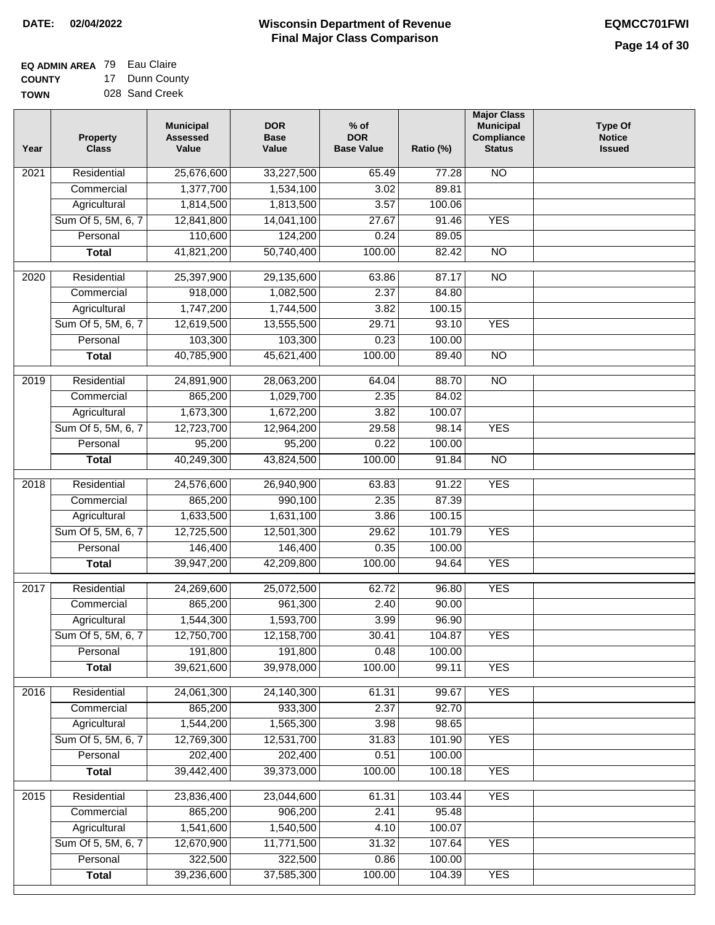## **Wisconsin Department of Revenue DATE: 02/04/2022 EQMCC701FWI Final Major Class Comparison**

| <b>EQ ADMIN AREA 79 Eau Claire</b> |                             |
|------------------------------------|-----------------------------|
| <b>COUNTY</b>                      | 17 Dunn County              |
|                                    | $\sim$ $\sim$ $\sim$ $\sim$ |

**TOWN** 028 Sand Creek

| Year              | <b>Property</b><br><b>Class</b> | <b>Municipal</b><br><b>Assessed</b><br>Value | <b>DOR</b><br><b>Base</b><br>Value | $%$ of<br><b>DOR</b><br><b>Base Value</b> | Ratio (%) | <b>Major Class</b><br><b>Municipal</b><br>Compliance<br><b>Status</b> | <b>Type Of</b><br><b>Notice</b><br><b>Issued</b> |
|-------------------|---------------------------------|----------------------------------------------|------------------------------------|-------------------------------------------|-----------|-----------------------------------------------------------------------|--------------------------------------------------|
| 2021              | Residential                     | 25,676,600                                   | 33,227,500                         | 65.49                                     | 77.28     | $\overline{NO}$                                                       |                                                  |
|                   | Commercial                      | 1,377,700                                    | 1,534,100                          | 3.02                                      | 89.81     |                                                                       |                                                  |
|                   | Agricultural                    | 1,814,500                                    | 1,813,500                          | 3.57                                      | 100.06    |                                                                       |                                                  |
|                   | Sum Of 5, 5M, 6, 7              | 12,841,800                                   | 14,041,100                         | 27.67                                     | 91.46     | <b>YES</b>                                                            |                                                  |
|                   | Personal                        | 110,600                                      | 124,200                            | 0.24                                      | 89.05     |                                                                       |                                                  |
|                   | <b>Total</b>                    | 41,821,200                                   | 50,740,400                         | 100.00                                    | 82.42     | $\overline{NO}$                                                       |                                                  |
| 2020              | Residential                     | 25,397,900                                   | 29,135,600                         | 63.86                                     | 87.17     | $\overline{NO}$                                                       |                                                  |
|                   | Commercial                      | 918,000                                      | 1,082,500                          | 2.37                                      | 84.80     |                                                                       |                                                  |
|                   | Agricultural                    | 1,747,200                                    | 1,744,500                          | 3.82                                      | 100.15    |                                                                       |                                                  |
|                   | Sum Of 5, 5M, 6, 7              | 12,619,500                                   | 13,555,500                         | 29.71                                     | 93.10     | <b>YES</b>                                                            |                                                  |
|                   | Personal                        | 103,300                                      | 103,300                            | 0.23                                      | 100.00    |                                                                       |                                                  |
|                   | <b>Total</b>                    | 40,785,900                                   | 45,621,400                         | 100.00                                    | 89.40     | $\overline{NO}$                                                       |                                                  |
|                   |                                 |                                              |                                    |                                           |           |                                                                       |                                                  |
| 2019              | Residential                     | 24,891,900                                   | 28,063,200                         | 64.04                                     | 88.70     | <b>NO</b>                                                             |                                                  |
|                   | Commercial                      | 865,200                                      | 1,029,700                          | 2.35                                      | 84.02     |                                                                       |                                                  |
|                   | Agricultural                    | 1,673,300                                    | 1,672,200                          | 3.82                                      | 100.07    |                                                                       |                                                  |
|                   | Sum Of 5, 5M, 6, 7              | 12,723,700                                   | 12,964,200                         | 29.58                                     | 98.14     | <b>YES</b>                                                            |                                                  |
|                   | Personal                        | 95,200                                       | 95,200                             | 0.22                                      | 100.00    |                                                                       |                                                  |
|                   | <b>Total</b>                    | 40,249,300                                   | 43,824,500                         | 100.00                                    | 91.84     | $\overline{NO}$                                                       |                                                  |
| 2018              | Residential                     | 24,576,600                                   | 26,940,900                         | 63.83                                     | 91.22     | <b>YES</b>                                                            |                                                  |
|                   | Commercial                      | 865,200                                      | 990,100                            | 2.35                                      | 87.39     |                                                                       |                                                  |
|                   | Agricultural                    | 1,633,500                                    | 1,631,100                          | 3.86                                      | 100.15    |                                                                       |                                                  |
|                   | Sum Of 5, 5M, 6, 7              | 12,725,500                                   | 12,501,300                         | 29.62                                     | 101.79    | <b>YES</b>                                                            |                                                  |
|                   | Personal                        | 146,400                                      | 146,400                            | 0.35                                      | 100.00    |                                                                       |                                                  |
|                   | <b>Total</b>                    | 39,947,200                                   | 42,209,800                         | 100.00                                    | 94.64     | <b>YES</b>                                                            |                                                  |
| 2017              | Residential                     | 24,269,600                                   | 25,072,500                         | 62.72                                     | 96.80     | <b>YES</b>                                                            |                                                  |
|                   | Commercial                      | 865,200                                      | 961,300                            | 2.40                                      | 90.00     |                                                                       |                                                  |
|                   | Agricultural                    | 1,544,300                                    | 1,593,700                          | 3.99                                      | 96.90     |                                                                       |                                                  |
|                   | Sum Of 5, 5M, 6, 7              | 12,750,700                                   | 12,158,700                         | 30.41                                     | 104.87    | YES                                                                   |                                                  |
|                   | Personal                        | 191,800                                      | 191,800                            | 0.48                                      | 100.00    |                                                                       |                                                  |
|                   | <b>Total</b>                    | 39,621,600                                   | 39,978,000                         | 100.00                                    | 99.11     | <b>YES</b>                                                            |                                                  |
| 2016              | Residential                     | 24,061,300                                   | 24,140,300                         | 61.31                                     | 99.67     | <b>YES</b>                                                            |                                                  |
|                   | Commercial                      | 865,200                                      | 933,300                            | 2.37                                      | 92.70     |                                                                       |                                                  |
|                   | Agricultural                    | 1,544,200                                    | 1,565,300                          | 3.98                                      | 98.65     |                                                                       |                                                  |
|                   | Sum Of 5, 5M, 6, 7              | 12,769,300                                   | 12,531,700                         | 31.83                                     | 101.90    | <b>YES</b>                                                            |                                                  |
|                   | Personal                        | 202,400                                      | 202,400                            | 0.51                                      | 100.00    |                                                                       |                                                  |
|                   | <b>Total</b>                    | 39,442,400                                   | 39,373,000                         | 100.00                                    | 100.18    | <b>YES</b>                                                            |                                                  |
| $\overline{2015}$ | Residential                     | 23,836,400                                   | 23,044,600                         | 61.31                                     | 103.44    | <b>YES</b>                                                            |                                                  |
|                   | Commercial                      | 865,200                                      | 906,200                            | 2.41                                      | 95.48     |                                                                       |                                                  |
|                   | Agricultural                    | 1,541,600                                    | 1,540,500                          | 4.10                                      | 100.07    |                                                                       |                                                  |
|                   | Sum Of 5, 5M, 6, 7              | 12,670,900                                   | 11,771,500                         | 31.32                                     | 107.64    | <b>YES</b>                                                            |                                                  |
|                   | Personal                        | 322,500                                      | 322,500                            | 0.86                                      | 100.00    |                                                                       |                                                  |
|                   | <b>Total</b>                    | 39,236,600                                   | 37,585,300                         | 100.00                                    | 104.39    | <b>YES</b>                                                            |                                                  |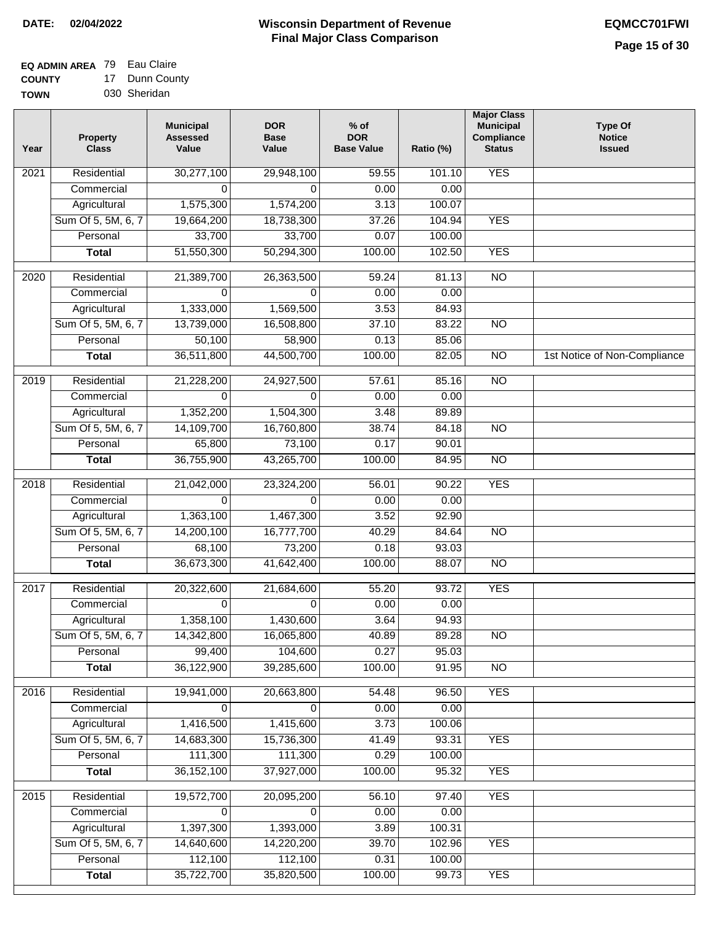#### **EQ ADMIN AREA** 79 Eau Claire **COUNTY** 17 Dunn County

**TOWN** 030 Sheridan

| Year              | <b>Property</b><br><b>Class</b> | <b>Municipal</b><br><b>Assessed</b><br>Value | <b>DOR</b><br><b>Base</b><br>Value | $%$ of<br><b>DOR</b><br><b>Base Value</b> | Ratio (%)      | <b>Major Class</b><br><b>Municipal</b><br>Compliance<br><b>Status</b> | <b>Type Of</b><br><b>Notice</b><br><b>Issued</b> |
|-------------------|---------------------------------|----------------------------------------------|------------------------------------|-------------------------------------------|----------------|-----------------------------------------------------------------------|--------------------------------------------------|
| 2021              | Residential                     | 30,277,100                                   | 29,948,100                         | 59.55                                     | 101.10         | <b>YES</b>                                                            |                                                  |
|                   | Commercial                      | $\Omega$                                     | 0                                  | 0.00                                      | 0.00           |                                                                       |                                                  |
|                   | Agricultural                    | 1,575,300                                    | 1,574,200                          | 3.13                                      | 100.07         |                                                                       |                                                  |
|                   | Sum Of 5, 5M, 6, 7              | 19,664,200                                   | 18,738,300                         | 37.26                                     | 104.94         | <b>YES</b>                                                            |                                                  |
|                   | Personal                        | 33,700                                       | 33,700                             | 0.07                                      | 100.00         |                                                                       |                                                  |
|                   | <b>Total</b>                    | 51,550,300                                   | 50,294,300                         | 100.00                                    | 102.50         | <b>YES</b>                                                            |                                                  |
| $\overline{2020}$ | Residential                     | 21,389,700                                   | 26,363,500                         | 59.24                                     | 81.13          | $\overline{10}$                                                       |                                                  |
|                   | Commercial                      | 0                                            | 0                                  | 0.00                                      | 0.00           |                                                                       |                                                  |
|                   | Agricultural                    | 1,333,000                                    | 1,569,500                          | 3.53                                      | 84.93          |                                                                       |                                                  |
|                   | Sum Of 5, 5M, 6, 7              | 13,739,000                                   | 16,508,800                         | 37.10                                     | 83.22          | $\overline{NO}$                                                       |                                                  |
|                   | Personal                        | 50,100                                       | 58,900                             | 0.13                                      | 85.06          |                                                                       |                                                  |
|                   | <b>Total</b>                    | 36,511,800                                   | 44,500,700                         | 100.00                                    | 82.05          | $\overline{NO}$                                                       | 1st Notice of Non-Compliance                     |
| $\frac{1}{2019}$  | Residential                     | 21,228,200                                   | 24,927,500                         | 57.61                                     | 85.16          | $\overline{NO}$                                                       |                                                  |
|                   | Commercial                      | $\Omega$                                     | $\Omega$                           | 0.00                                      | 0.00           |                                                                       |                                                  |
|                   | Agricultural                    | 1,352,200                                    | 1,504,300                          | 3.48                                      | 89.89          |                                                                       |                                                  |
|                   | Sum Of 5, 5M, 6, 7              | 14,109,700                                   | 16,760,800                         | 38.74                                     | 84.18          | $\overline{NO}$                                                       |                                                  |
|                   | Personal                        | 65,800                                       | 73,100                             | 0.17                                      | 90.01          |                                                                       |                                                  |
|                   | <b>Total</b>                    | 36,755,900                                   | 43,265,700                         | 100.00                                    | 84.95          | $\overline{NO}$                                                       |                                                  |
| 2018              | Residential                     | 21,042,000                                   | 23,324,200                         | 56.01                                     | 90.22          | <b>YES</b>                                                            |                                                  |
|                   | Commercial                      | $\Omega$                                     | 0                                  | 0.00                                      | 0.00           |                                                                       |                                                  |
|                   | Agricultural                    | 1,363,100                                    | 1,467,300                          | 3.52                                      | 92.90          |                                                                       |                                                  |
|                   | Sum Of 5, 5M, 6, 7              | 14,200,100                                   | 16,777,700                         | 40.29                                     | 84.64          | $\overline{10}$                                                       |                                                  |
|                   | Personal                        | 68,100                                       | 73,200                             | 0.18                                      | 93.03          |                                                                       |                                                  |
|                   | <b>Total</b>                    | 36,673,300                                   | 41,642,400                         | 100.00                                    | 88.07          | <b>NO</b>                                                             |                                                  |
| 2017              | Residential                     | 20,322,600                                   | 21,684,600                         | 55.20                                     | 93.72          | <b>YES</b>                                                            |                                                  |
|                   | Commercial                      | 0                                            | $\Omega$                           | 0.00                                      | 0.00           |                                                                       |                                                  |
|                   | Agricultural                    | 1,358,100                                    | 1,430,600                          | 3.64                                      | 94.93          |                                                                       |                                                  |
|                   | Sum Of 5, 5M, 6, 7              | 14,342,800                                   | 16,065,800                         | 40.89                                     | 89.28          | <b>NO</b>                                                             |                                                  |
|                   | Personal                        | 99,400                                       | 104,600                            | 0.27                                      | 95.03          |                                                                       |                                                  |
|                   | <b>Total</b>                    | 36,122,900                                   | 39,285,600                         | 100.00                                    | 91.95          | <b>NO</b>                                                             |                                                  |
|                   | Residential                     |                                              |                                    |                                           |                |                                                                       |                                                  |
| 2016              | Commercial                      | 19,941,000<br>0                              | 20,663,800<br>0                    | 54.48<br>0.00                             | 96.50<br>0.00  | <b>YES</b>                                                            |                                                  |
|                   | Agricultural                    | 1,416,500                                    | 1,415,600                          | 3.73                                      | 100.06         |                                                                       |                                                  |
|                   | Sum Of 5, 5M, 6, 7              | 14,683,300                                   | 15,736,300                         | 41.49                                     | 93.31          | <b>YES</b>                                                            |                                                  |
|                   | Personal                        | 111,300                                      | 111,300                            | 0.29                                      | 100.00         |                                                                       |                                                  |
|                   | <b>Total</b>                    | 36, 152, 100                                 | 37,927,000                         | 100.00                                    | 95.32          | <b>YES</b>                                                            |                                                  |
|                   |                                 |                                              |                                    |                                           |                |                                                                       |                                                  |
| 2015              | Residential                     | 19,572,700                                   | 20,095,200                         | 56.10                                     | 97.40          | <b>YES</b>                                                            |                                                  |
|                   | Commercial<br>Agricultural      | 0<br>1,397,300                               | 0<br>1,393,000                     | 0.00<br>3.89                              | 0.00<br>100.31 |                                                                       |                                                  |
|                   | Sum Of 5, 5M, 6, 7              | 14,640,600                                   | 14,220,200                         | 39.70                                     | 102.96         | <b>YES</b>                                                            |                                                  |
|                   | Personal                        | 112,100                                      | 112,100                            | 0.31                                      | 100.00         |                                                                       |                                                  |
|                   | <b>Total</b>                    | 35,722,700                                   | 35,820,500                         | 100.00                                    | 99.73          | <b>YES</b>                                                            |                                                  |
|                   |                                 |                                              |                                    |                                           |                |                                                                       |                                                  |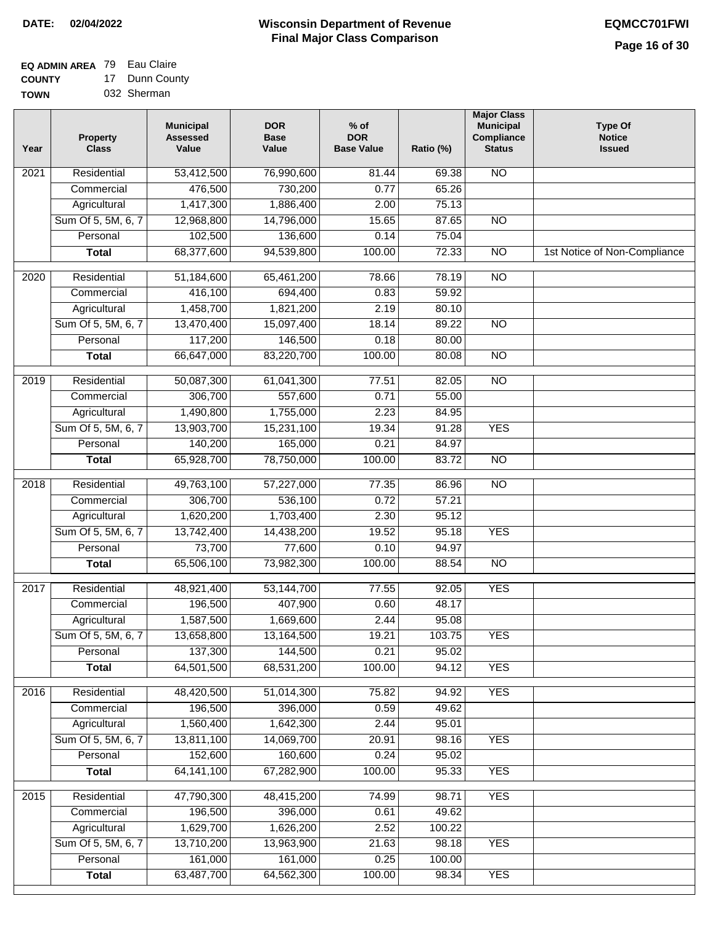#### **Wisconsin Department of Revenue Final Major Class Comparison DATE: 02/04/2022 EQMCC701FWI**

#### **EQ ADMIN AREA** 79 Eau Claire **COUNTY** 17 Dunn County

**TOWN** 032 Sherman

| Year | Property<br><b>Class</b> | <b>Municipal</b><br><b>Assessed</b><br>Value | <b>DOR</b><br><b>Base</b><br>Value | $%$ of<br><b>DOR</b><br><b>Base Value</b> | Ratio (%) | <b>Major Class</b><br><b>Municipal</b><br>Compliance<br><b>Status</b> | <b>Type Of</b><br><b>Notice</b><br><b>Issued</b> |
|------|--------------------------|----------------------------------------------|------------------------------------|-------------------------------------------|-----------|-----------------------------------------------------------------------|--------------------------------------------------|
| 2021 | Residential              | 53,412,500                                   | 76,990,600                         | 81.44                                     | 69.38     | <b>NO</b>                                                             |                                                  |
|      | Commercial               | 476,500                                      | 730,200                            | 0.77                                      | 65.26     |                                                                       |                                                  |
|      | Agricultural             | 1,417,300                                    | 1,886,400                          | 2.00                                      | 75.13     |                                                                       |                                                  |
|      | Sum Of 5, 5M, 6, 7       | 12,968,800                                   | 14,796,000                         | 15.65                                     | 87.65     | $\overline{NO}$                                                       |                                                  |
|      | Personal                 | 102,500                                      | 136,600                            | 0.14                                      | 75.04     |                                                                       |                                                  |
|      | <b>Total</b>             | 68,377,600                                   | 94,539,800                         | 100.00                                    | 72.33     | $\overline{NO}$                                                       | 1st Notice of Non-Compliance                     |
| 2020 | Residential              | 51,184,600                                   | 65,461,200                         | 78.66                                     | 78.19     | $\overline{10}$                                                       |                                                  |
|      | Commercial               | 416,100                                      | 694,400                            | 0.83                                      | 59.92     |                                                                       |                                                  |
|      | Agricultural             | 1,458,700                                    | 1,821,200                          | 2.19                                      | 80.10     |                                                                       |                                                  |
|      | Sum Of 5, 5M, 6, 7       | 13,470,400                                   | 15,097,400                         | 18.14                                     | 89.22     | <b>NO</b>                                                             |                                                  |
|      | Personal                 | 117,200                                      | 146,500                            | 0.18                                      | 80.00     |                                                                       |                                                  |
|      | <b>Total</b>             | 66,647,000                                   | 83,220,700                         | 100.00                                    | 80.08     | <b>NO</b>                                                             |                                                  |
| 2019 | Residential              | 50,087,300                                   | 61,041,300                         | 77.51                                     | 82.05     | $\overline{NO}$                                                       |                                                  |
|      | Commercial               | 306,700                                      | 557,600                            | 0.71                                      | 55.00     |                                                                       |                                                  |
|      | Agricultural             | 1,490,800                                    | 1,755,000                          | 2.23                                      | 84.95     |                                                                       |                                                  |
|      | Sum Of 5, 5M, 6, 7       | 13,903,700                                   | 15,231,100                         | 19.34                                     | 91.28     | <b>YES</b>                                                            |                                                  |
|      | Personal                 | 140,200                                      | 165,000                            | 0.21                                      | 84.97     |                                                                       |                                                  |
|      | <b>Total</b>             | 65,928,700                                   | 78,750,000                         | 100.00                                    | 83.72     | $\overline{NO}$                                                       |                                                  |
| 2018 | Residential              | 49,763,100                                   | 57,227,000                         | 77.35                                     | 86.96     | $\overline{NO}$                                                       |                                                  |
|      | Commercial               | 306,700                                      | 536,100                            | 0.72                                      | 57.21     |                                                                       |                                                  |
|      | Agricultural             | 1,620,200                                    | 1,703,400                          | 2.30                                      | 95.12     |                                                                       |                                                  |
|      | Sum Of 5, 5M, 6, 7       | 13,742,400                                   | 14,438,200                         | 19.52                                     | 95.18     | <b>YES</b>                                                            |                                                  |
|      | Personal                 | 73,700                                       | 77,600                             | 0.10                                      | 94.97     |                                                                       |                                                  |
|      | <b>Total</b>             | 65,506,100                                   | 73,982,300                         | 100.00                                    | 88.54     | $\overline{10}$                                                       |                                                  |
| 2017 | Residential              | 48,921,400                                   | 53,144,700                         | 77.55                                     | 92.05     | <b>YES</b>                                                            |                                                  |
|      | Commercial               | 196,500                                      | 407,900                            | 0.60                                      | 48.17     |                                                                       |                                                  |
|      | Agricultural             | 1,587,500                                    | 1,669,600                          | 2.44                                      | 95.08     |                                                                       |                                                  |
|      | Sum Of 5, 5M, 6, 7       | 13,658,800                                   | 13,164,500                         | 19.21                                     | 103.75    | <b>YES</b>                                                            |                                                  |
|      | Personal                 | 137,300                                      | 144,500                            | 0.21                                      | 95.02     |                                                                       |                                                  |
|      | <b>Total</b>             | 64,501,500                                   | 68,531,200                         | 100.00                                    | 94.12     | <b>YES</b>                                                            |                                                  |
| 2016 | Residential              | 48,420,500                                   | 51,014,300                         | 75.82                                     | 94.92     | <b>YES</b>                                                            |                                                  |
|      | Commercial               | 196,500                                      | 396,000                            | 0.59                                      | 49.62     |                                                                       |                                                  |
|      | Agricultural             | 1,560,400                                    | 1,642,300                          | 2.44                                      | 95.01     |                                                                       |                                                  |
|      | Sum Of 5, 5M, 6, 7       | 13,811,100                                   | 14,069,700                         | 20.91                                     | 98.16     | <b>YES</b>                                                            |                                                  |
|      | Personal                 | 152,600                                      | 160,600                            | 0.24                                      | 95.02     |                                                                       |                                                  |
|      | <b>Total</b>             | 64, 141, 100                                 | 67,282,900                         | 100.00                                    | 95.33     | <b>YES</b>                                                            |                                                  |
| 2015 | Residential              | 47,790,300                                   | 48,415,200                         | 74.99                                     | 98.71     | <b>YES</b>                                                            |                                                  |
|      | Commercial               | 196,500                                      | 396,000                            | 0.61                                      | 49.62     |                                                                       |                                                  |
|      | Agricultural             | 1,629,700                                    | 1,626,200                          | 2.52                                      | 100.22    |                                                                       |                                                  |
|      | Sum Of 5, 5M, 6, 7       | 13,710,200                                   | 13,963,900                         | 21.63                                     | 98.18     | <b>YES</b>                                                            |                                                  |
|      | Personal                 | 161,000                                      | 161,000                            | 0.25                                      | 100.00    |                                                                       |                                                  |
|      | <b>Total</b>             | 63,487,700                                   | 64,562,300                         | 100.00                                    | 98.34     | <b>YES</b>                                                            |                                                  |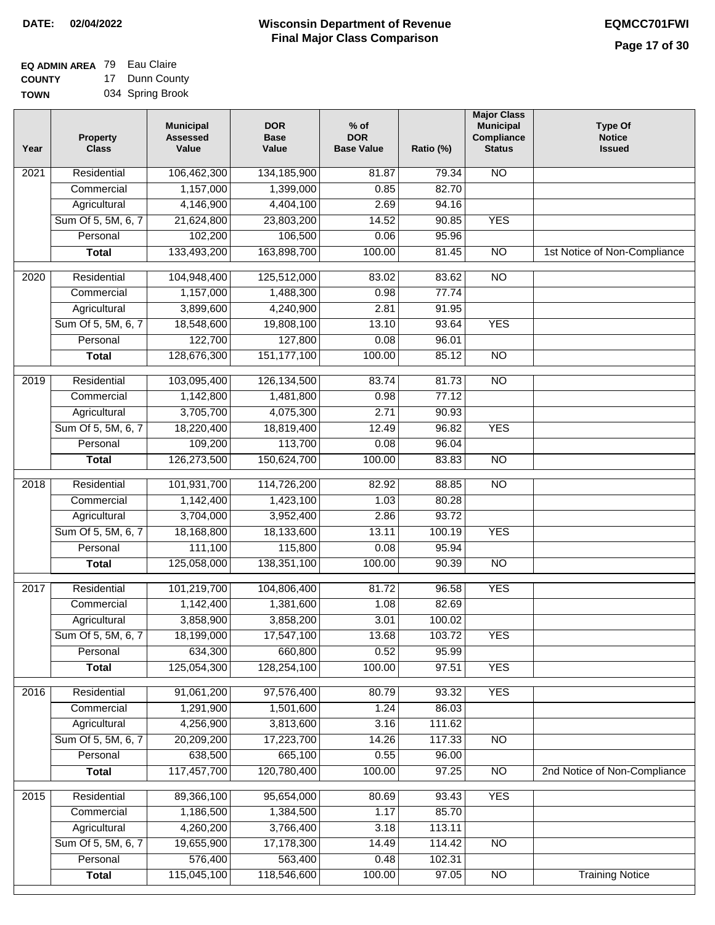| EQ ADMIN AREA 79 | Eau Claire       |
|------------------|------------------|
| <b>COUNTY</b>    | 17 Dunn County   |
| <b>TOWN</b>      | 034 Spring Brook |

| Year | <b>Property</b><br><b>Class</b> | <b>Municipal</b><br><b>Assessed</b><br>Value | <b>DOR</b><br><b>Base</b><br>Value | $%$ of<br><b>DOR</b><br><b>Base Value</b> | Ratio (%) | <b>Major Class</b><br><b>Municipal</b><br>Compliance<br><b>Status</b> | <b>Type Of</b><br><b>Notice</b><br><b>Issued</b> |
|------|---------------------------------|----------------------------------------------|------------------------------------|-------------------------------------------|-----------|-----------------------------------------------------------------------|--------------------------------------------------|
| 2021 | Residential                     | 106,462,300                                  | 134, 185, 900                      | 81.87                                     | 79.34     | N <sub>O</sub>                                                        |                                                  |
|      | Commercial                      | 1,157,000                                    | 1,399,000                          | 0.85                                      | 82.70     |                                                                       |                                                  |
|      | Agricultural                    | 4,146,900                                    | 4,404,100                          | 2.69                                      | 94.16     |                                                                       |                                                  |
|      | Sum Of 5, 5M, 6, 7              | 21,624,800                                   | 23,803,200                         | 14.52                                     | 90.85     | <b>YES</b>                                                            |                                                  |
|      | Personal                        | 102,200                                      | 106,500                            | 0.06                                      | 95.96     |                                                                       |                                                  |
|      | <b>Total</b>                    | 133,493,200                                  | 163,898,700                        | 100.00                                    | 81.45     | $\overline{NO}$                                                       | 1st Notice of Non-Compliance                     |
| 2020 | Residential                     | 104,948,400                                  | 125,512,000                        | 83.02                                     | 83.62     | $\overline{NO}$                                                       |                                                  |
|      | Commercial                      | 1,157,000                                    | 1,488,300                          | 0.98                                      | 77.74     |                                                                       |                                                  |
|      | Agricultural                    | 3,899,600                                    | 4,240,900                          | 2.81                                      | 91.95     |                                                                       |                                                  |
|      | Sum Of 5, 5M, 6, 7              | 18,548,600                                   | 19,808,100                         | 13.10                                     | 93.64     | <b>YES</b>                                                            |                                                  |
|      | Personal                        | 122,700                                      | 127,800                            | 0.08                                      | 96.01     |                                                                       |                                                  |
|      | <b>Total</b>                    | 128,676,300                                  | 151, 177, 100                      | 100.00                                    | 85.12     | $\overline{NO}$                                                       |                                                  |
|      |                                 |                                              |                                    |                                           |           |                                                                       |                                                  |
| 2019 | Residential                     | 103,095,400                                  | 126, 134, 500                      | 83.74                                     | 81.73     | <b>NO</b>                                                             |                                                  |
|      | Commercial                      | 1,142,800                                    | 1,481,800                          | 0.98                                      | 77.12     |                                                                       |                                                  |
|      | Agricultural                    | 3,705,700                                    | 4,075,300                          | 2.71                                      | 90.93     |                                                                       |                                                  |
|      | Sum Of 5, 5M, 6, 7              | 18,220,400                                   | 18,819,400                         | 12.49                                     | 96.82     | <b>YES</b>                                                            |                                                  |
|      | Personal                        | 109,200                                      | 113,700                            | 0.08                                      | 96.04     |                                                                       |                                                  |
|      | <b>Total</b>                    | 126,273,500                                  | 150,624,700                        | 100.00                                    | 83.83     | <b>NO</b>                                                             |                                                  |
| 2018 | Residential                     | 101,931,700                                  | 114,726,200                        | 82.92                                     | 88.85     | $\overline{NO}$                                                       |                                                  |
|      | Commercial                      | 1,142,400                                    | 1,423,100                          | 1.03                                      | 80.28     |                                                                       |                                                  |
|      | Agricultural                    | 3,704,000                                    | 3,952,400                          | 2.86                                      | 93.72     |                                                                       |                                                  |
|      | Sum Of 5, 5M, 6, 7              | 18,168,800                                   | 18,133,600                         | 13.11                                     | 100.19    | <b>YES</b>                                                            |                                                  |
|      | Personal                        | 111,100                                      | 115,800                            | 0.08                                      | 95.94     |                                                                       |                                                  |
|      | <b>Total</b>                    | 125,058,000                                  | 138,351,100                        | 100.00                                    | 90.39     | <b>NO</b>                                                             |                                                  |
| 2017 | Residential                     | 101,219,700                                  | 104,806,400                        | 81.72                                     | 96.58     | <b>YES</b>                                                            |                                                  |
|      | Commercial                      | 1,142,400                                    | 1,381,600                          | 1.08                                      | 82.69     |                                                                       |                                                  |
|      | Agricultural                    | 3,858,900                                    | 3,858,200                          | 3.01                                      | 100.02    |                                                                       |                                                  |
|      | Sum Of 5, 5M, 6, 7              | 18,199,000                                   | 17,547,100                         | 13.68                                     | 103.72    | <b>YES</b>                                                            |                                                  |
|      | Personal                        | 634,300                                      | 660,800                            | 0.52                                      | 95.99     |                                                                       |                                                  |
|      | <b>Total</b>                    | 125,054,300                                  | 128,254,100                        | 100.00                                    | 97.51     | <b>YES</b>                                                            |                                                  |
| 2016 | Residential                     | 91,061,200                                   | 97,576,400                         | 80.79                                     | 93.32     | <b>YES</b>                                                            |                                                  |
|      | Commercial                      | 1,291,900                                    | 1,501,600                          | 1.24                                      | 86.03     |                                                                       |                                                  |
|      | Agricultural                    | 4,256,900                                    | 3,813,600                          | 3.16                                      | 111.62    |                                                                       |                                                  |
|      | Sum Of 5, 5M, 6, 7              | 20,209,200                                   | 17,223,700                         | 14.26                                     | 117.33    | N <sub>O</sub>                                                        |                                                  |
|      | Personal                        | 638,500                                      | 665,100                            | 0.55                                      | 96.00     |                                                                       |                                                  |
|      | <b>Total</b>                    | 117,457,700                                  | 120,780,400                        | 100.00                                    | 97.25     | $\overline{NO}$                                                       | 2nd Notice of Non-Compliance                     |
| 2015 | Residential                     | 89,366,100                                   | 95,654,000                         | 80.69                                     | 93.43     | <b>YES</b>                                                            |                                                  |
|      | Commercial                      | 1,186,500                                    | 1,384,500                          | 1.17                                      | 85.70     |                                                                       |                                                  |
|      | Agricultural                    | 4,260,200                                    | 3,766,400                          | 3.18                                      | 113.11    |                                                                       |                                                  |
|      | Sum Of 5, 5M, 6, 7              | 19,655,900                                   | 17,178,300                         | 14.49                                     | 114.42    | <b>NO</b>                                                             |                                                  |
|      | Personal                        | 576,400                                      | 563,400                            | 0.48                                      | 102.31    |                                                                       |                                                  |
|      | <b>Total</b>                    | 115,045,100                                  | 118,546,600                        | 100.00                                    | 97.05     | $\overline{NO}$                                                       | <b>Training Notice</b>                           |
|      |                                 |                                              |                                    |                                           |           |                                                                       |                                                  |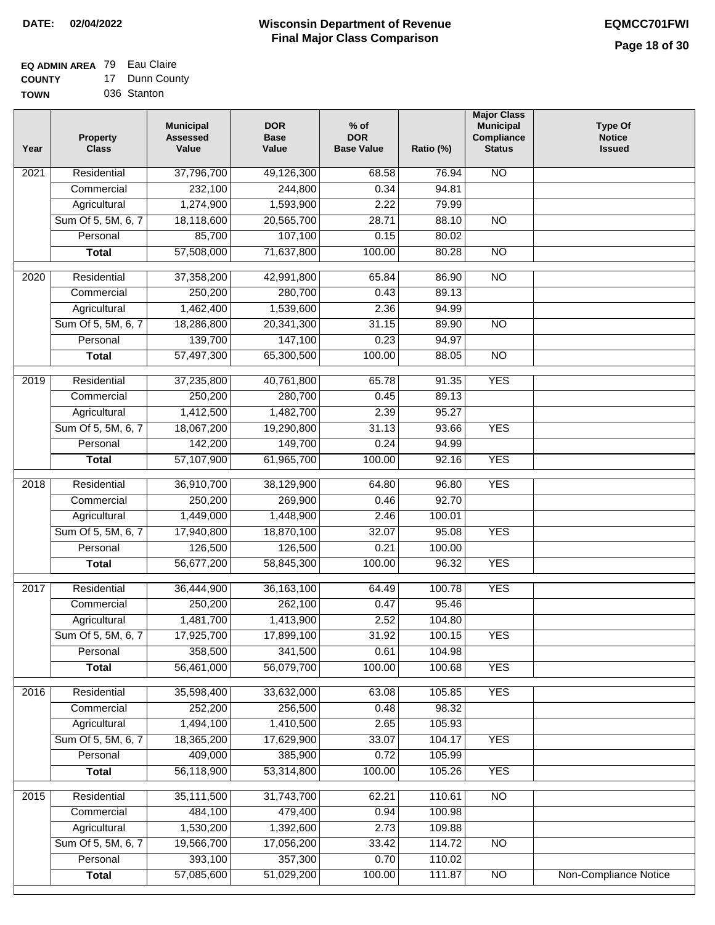#### **EQ ADMIN AREA** 79 Eau Claire **COUNTY** 17 Dunn County

**TOWN** 036 Stanton

| Year              | <b>Property</b><br><b>Class</b> | <b>Municipal</b><br><b>Assessed</b><br>Value | <b>DOR</b><br><b>Base</b><br>Value | % of<br><b>DOR</b><br><b>Base Value</b> | Ratio (%) | <b>Major Class</b><br><b>Municipal</b><br>Compliance<br><b>Status</b> | <b>Type Of</b><br><b>Notice</b><br><b>Issued</b> |
|-------------------|---------------------------------|----------------------------------------------|------------------------------------|-----------------------------------------|-----------|-----------------------------------------------------------------------|--------------------------------------------------|
| $\overline{202}1$ | Residential                     | 37,796,700                                   | 49,126,300                         | 68.58                                   | 76.94     | N <sub>O</sub>                                                        |                                                  |
|                   | Commercial                      | 232,100                                      | 244,800                            | 0.34                                    | 94.81     |                                                                       |                                                  |
|                   | Agricultural                    | 1,274,900                                    | 1,593,900                          | 2.22                                    | 79.99     |                                                                       |                                                  |
|                   | Sum Of 5, 5M, 6, 7              | 18,118,600                                   | 20,565,700                         | 28.71                                   | 88.10     | $\overline{NO}$                                                       |                                                  |
|                   | Personal                        | 85,700                                       | 107,100                            | 0.15                                    | 80.02     |                                                                       |                                                  |
|                   | <b>Total</b>                    | 57,508,000                                   | 71,637,800                         | 100.00                                  | 80.28     | $\overline{NO}$                                                       |                                                  |
| 2020              | Residential                     | 37,358,200                                   | 42,991,800                         | 65.84                                   | 86.90     | $\overline{NO}$                                                       |                                                  |
|                   | Commercial                      | 250,200                                      | 280,700                            | 0.43                                    | 89.13     |                                                                       |                                                  |
|                   | Agricultural                    | 1,462,400                                    | 1,539,600                          | 2.36                                    | 94.99     |                                                                       |                                                  |
|                   | Sum Of 5, 5M, 6, 7              | 18,286,800                                   | 20,341,300                         | 31.15                                   | 89.90     | $\overline{NO}$                                                       |                                                  |
|                   | Personal                        | 139,700                                      | 147,100                            | 0.23                                    | 94.97     |                                                                       |                                                  |
|                   | <b>Total</b>                    | 57,497,300                                   | 65,300,500                         | 100.00                                  | 88.05     | $\overline{NO}$                                                       |                                                  |
| 2019              | Residential                     | 37,235,800                                   | 40,761,800                         | 65.78                                   | 91.35     | <b>YES</b>                                                            |                                                  |
|                   | Commercial                      | 250,200                                      | 280,700                            | 0.45                                    | 89.13     |                                                                       |                                                  |
|                   | Agricultural                    | 1,412,500                                    | 1,482,700                          | 2.39                                    | 95.27     |                                                                       |                                                  |
|                   | Sum Of 5, 5M, 6, 7              | 18,067,200                                   | 19,290,800                         | 31.13                                   | 93.66     | <b>YES</b>                                                            |                                                  |
|                   | Personal                        | 142,200                                      | 149,700                            | 0.24                                    | 94.99     |                                                                       |                                                  |
|                   | <b>Total</b>                    | 57,107,900                                   | 61,965,700                         | 100.00                                  | 92.16     | <b>YES</b>                                                            |                                                  |
| 2018              | Residential                     | 36,910,700                                   | 38,129,900                         | 64.80                                   | 96.80     | <b>YES</b>                                                            |                                                  |
|                   | Commercial                      | 250,200                                      | 269,900                            | 0.46                                    | 92.70     |                                                                       |                                                  |
|                   | Agricultural                    | 1,449,000                                    | 1,448,900                          | 2.46                                    | 100.01    |                                                                       |                                                  |
|                   | Sum Of 5, 5M, 6, 7              | 17,940,800                                   | 18,870,100                         | 32.07                                   | 95.08     | <b>YES</b>                                                            |                                                  |
|                   | Personal                        | 126,500                                      | 126,500                            | 0.21                                    | 100.00    |                                                                       |                                                  |
|                   | <b>Total</b>                    | 56,677,200                                   | 58,845,300                         | 100.00                                  | 96.32     | <b>YES</b>                                                            |                                                  |
| 2017              | Residential                     | 36,444,900                                   | 36, 163, 100                       | 64.49                                   | 100.78    | <b>YES</b>                                                            |                                                  |
|                   | Commercial                      | 250,200                                      | 262,100                            | 0.47                                    | 95.46     |                                                                       |                                                  |
|                   | Agricultural                    | 1,481,700                                    | 1,413,900                          | 2.52                                    | 104.80    |                                                                       |                                                  |
|                   | Sum Of 5, 5M, 6, 7              | 17,925,700                                   | 17,899,100                         | 31.92                                   | 100.15    | <b>YES</b>                                                            |                                                  |
|                   | Personal                        | 358,500                                      | 341,500                            | 0.61                                    | 104.98    |                                                                       |                                                  |
|                   | <b>Total</b>                    | 56,461,000                                   | 56,079,700                         | 100.00                                  | 100.68    | <b>YES</b>                                                            |                                                  |
| 2016              | Residential                     | 35,598,400                                   | 33,632,000                         | 63.08                                   | 105.85    | <b>YES</b>                                                            |                                                  |
|                   | Commercial                      | 252,200                                      | 256,500                            | 0.48                                    | 98.32     |                                                                       |                                                  |
|                   | Agricultural                    | 1,494,100                                    | 1,410,500                          | 2.65                                    | 105.93    |                                                                       |                                                  |
|                   | Sum Of 5, 5M, 6, 7              | 18,365,200                                   | 17,629,900                         | 33.07                                   | 104.17    | <b>YES</b>                                                            |                                                  |
|                   | Personal                        | 409,000                                      | 385,900                            | 0.72                                    | 105.99    |                                                                       |                                                  |
|                   | <b>Total</b>                    | 56,118,900                                   | 53,314,800                         | 100.00                                  | 105.26    | <b>YES</b>                                                            |                                                  |
| 2015              | Residential                     | 35,111,500                                   | 31,743,700                         | 62.21                                   | 110.61    | <b>NO</b>                                                             |                                                  |
|                   | Commercial                      | 484,100                                      | 479,400                            | 0.94                                    | 100.98    |                                                                       |                                                  |
|                   | Agricultural                    | 1,530,200                                    | 1,392,600                          | 2.73                                    | 109.88    |                                                                       |                                                  |
|                   | Sum Of 5, 5M, 6, 7              | 19,566,700                                   | 17,056,200                         | 33.42                                   | 114.72    | $\overline{NO}$                                                       |                                                  |
|                   | Personal                        | 393,100                                      | 357,300                            | 0.70                                    | 110.02    |                                                                       |                                                  |
|                   | <b>Total</b>                    | 57,085,600                                   | 51,029,200                         | 100.00                                  | 111.87    | N <sub>O</sub>                                                        | <b>Non-Compliance Notice</b>                     |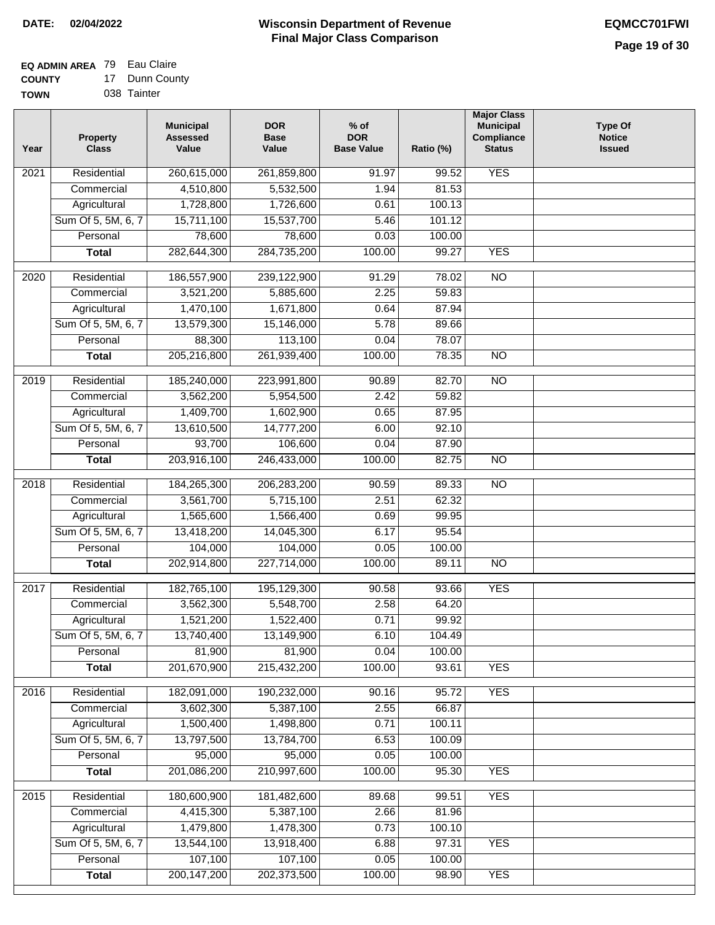#### **EQ ADMIN AREA** 79 Eau Claire **COUNTY** 17 Dunn County

**TOWN** 038 Tainter

| 260,615,000<br><b>YES</b><br>Residential<br>261,859,800<br>91.97<br>99.52<br>2021<br>4,510,800<br>5,532,500<br>81.53<br>Commercial<br>1.94<br>1,728,800<br>Agricultural<br>1,726,600<br>100.13<br>0.61<br>Sum Of 5, 5M, 6, 7<br>15,711,100<br>15,537,700<br>5.46<br>101.12<br>Personal<br>78,600<br>78,600<br>0.03<br>100.00<br>282,644,300<br>284,735,200<br>100.00<br><b>YES</b><br>99.27<br><b>Total</b><br>$\frac{1}{2020}$<br>Residential<br>186,557,900<br>239,122,900<br>91.29<br>78.02<br>$\overline{NO}$<br>2.25<br>Commercial<br>3,521,200<br>5,885,600<br>59.83<br>Agricultural<br>1,470,100<br>1,671,800<br>0.64<br>87.94<br>Sum Of 5, 5M, 6, 7<br>15,146,000<br>5.78<br>89.66<br>13,579,300<br>113,100<br>Personal<br>88,300<br>0.04<br>78.07<br>$\overline{NO}$<br><b>Total</b><br>205,216,800<br>261,939,400<br>100.00<br>78.35<br>$\overline{NO}$<br>$\frac{1}{2019}$<br>Residential<br>185,240,000<br>223,991,800<br>82.70<br>90.89<br>Commercial<br>3,562,200<br>5,954,500<br>2.42<br>59.82<br>1,409,700<br>1,602,900<br>87.95<br>Agricultural<br>0.65<br>Sum Of 5, 5M, 6, 7<br>13,610,500<br>14,777,200<br>6.00<br>92.10<br>93,700<br>Personal<br>106,600<br>0.04<br>87.90<br>203,916,100<br>246,433,000<br>100.00<br>82.75<br>$\overline{NO}$<br><b>Total</b><br>184,265,300<br>$\overline{NO}$<br>2018<br>Residential<br>206,283,200<br>90.59<br>89.33<br>2.51<br>Commercial<br>3,561,700<br>5,715,100<br>62.32<br>1,565,600<br>1,566,400<br>0.69<br>99.95<br>Agricultural<br>Sum Of 5, 5M, 6, 7<br>14,045,300<br>6.17<br>95.54<br>13,418,200<br>104,000<br>104,000<br>0.05<br>100.00<br>Personal<br>202,914,800<br>227,714,000<br>100.00<br>89.11<br>$\overline{NO}$<br><b>Total</b><br><b>YES</b><br>Residential<br>182,765,100<br>195,129,300<br>90.58<br>2017<br>93.66<br>3,562,300<br>5,548,700<br>2.58<br>64.20<br>Commercial<br>1,521,200<br>1,522,400<br>0.71<br>99.92<br>Agricultural<br>Sum Of 5, 5M, 6, 7<br>13,740,400<br>13,149,900<br>6.10<br>104.49<br>Personal<br>81,900<br>81,900<br>0.04<br>100.00<br>201,670,900<br>215,432,200<br>100.00<br>93.61<br><b>YES</b><br><b>Total</b><br><b>YES</b><br>2016<br>Residential<br>182,091,000<br>190,232,000<br>90.16<br>95.72<br>3,602,300<br>2.55<br>66.87<br>Commercial<br>5,387,100<br>1,500,400<br>1,498,800<br>0.71<br>100.11<br>Agricultural<br>Sum Of 5, 5M, 6, 7<br>13,797,500<br>13,784,700<br>6.53<br>100.09<br>95,000<br>95,000<br>Personal<br>0.05<br>100.00<br>201,086,200<br>210,997,600<br><b>Total</b><br>100.00<br>95.30<br><b>YES</b><br>2015<br>180,600,900<br>181,482,600<br><b>YES</b><br>Residential<br>89.68<br>99.51<br>4,415,300<br>5,387,100<br>2.66<br>Commercial<br>81.96<br>1,479,800<br>1,478,300<br>0.73<br>100.10<br>Agricultural<br>Sum Of 5, 5M, 6, 7<br>13,544,100<br>13,918,400<br>97.31<br><b>YES</b><br>6.88<br>107,100<br>107,100<br>Personal<br>0.05<br>100.00<br>200, 147, 200<br>202,373,500<br>100.00<br><b>YES</b><br>98.90<br><b>Total</b> | Year | <b>Property</b><br><b>Class</b> | <b>Municipal</b><br><b>Assessed</b><br>Value | <b>DOR</b><br><b>Base</b><br>Value | $%$ of<br><b>DOR</b><br><b>Base Value</b> | Ratio (%) | <b>Major Class</b><br><b>Municipal</b><br>Compliance<br><b>Status</b> | <b>Type Of</b><br><b>Notice</b><br><b>Issued</b> |
|-------------------------------------------------------------------------------------------------------------------------------------------------------------------------------------------------------------------------------------------------------------------------------------------------------------------------------------------------------------------------------------------------------------------------------------------------------------------------------------------------------------------------------------------------------------------------------------------------------------------------------------------------------------------------------------------------------------------------------------------------------------------------------------------------------------------------------------------------------------------------------------------------------------------------------------------------------------------------------------------------------------------------------------------------------------------------------------------------------------------------------------------------------------------------------------------------------------------------------------------------------------------------------------------------------------------------------------------------------------------------------------------------------------------------------------------------------------------------------------------------------------------------------------------------------------------------------------------------------------------------------------------------------------------------------------------------------------------------------------------------------------------------------------------------------------------------------------------------------------------------------------------------------------------------------------------------------------------------------------------------------------------------------------------------------------------------------------------------------------------------------------------------------------------------------------------------------------------------------------------------------------------------------------------------------------------------------------------------------------------------------------------------------------------------------------------------------------------------------------------------------------------------------------------------------------------------------------------------------------------------------------------------------------------------------------------------------------------------------------------------------------------------------------------------------------------------------------------------------------------------------------------------------------------------------------------------------------------------|------|---------------------------------|----------------------------------------------|------------------------------------|-------------------------------------------|-----------|-----------------------------------------------------------------------|--------------------------------------------------|
|                                                                                                                                                                                                                                                                                                                                                                                                                                                                                                                                                                                                                                                                                                                                                                                                                                                                                                                                                                                                                                                                                                                                                                                                                                                                                                                                                                                                                                                                                                                                                                                                                                                                                                                                                                                                                                                                                                                                                                                                                                                                                                                                                                                                                                                                                                                                                                                                                                                                                                                                                                                                                                                                                                                                                                                                                                                                                                                                                                         |      |                                 |                                              |                                    |                                           |           |                                                                       |                                                  |
|                                                                                                                                                                                                                                                                                                                                                                                                                                                                                                                                                                                                                                                                                                                                                                                                                                                                                                                                                                                                                                                                                                                                                                                                                                                                                                                                                                                                                                                                                                                                                                                                                                                                                                                                                                                                                                                                                                                                                                                                                                                                                                                                                                                                                                                                                                                                                                                                                                                                                                                                                                                                                                                                                                                                                                                                                                                                                                                                                                         |      |                                 |                                              |                                    |                                           |           |                                                                       |                                                  |
|                                                                                                                                                                                                                                                                                                                                                                                                                                                                                                                                                                                                                                                                                                                                                                                                                                                                                                                                                                                                                                                                                                                                                                                                                                                                                                                                                                                                                                                                                                                                                                                                                                                                                                                                                                                                                                                                                                                                                                                                                                                                                                                                                                                                                                                                                                                                                                                                                                                                                                                                                                                                                                                                                                                                                                                                                                                                                                                                                                         |      |                                 |                                              |                                    |                                           |           |                                                                       |                                                  |
|                                                                                                                                                                                                                                                                                                                                                                                                                                                                                                                                                                                                                                                                                                                                                                                                                                                                                                                                                                                                                                                                                                                                                                                                                                                                                                                                                                                                                                                                                                                                                                                                                                                                                                                                                                                                                                                                                                                                                                                                                                                                                                                                                                                                                                                                                                                                                                                                                                                                                                                                                                                                                                                                                                                                                                                                                                                                                                                                                                         |      |                                 |                                              |                                    |                                           |           |                                                                       |                                                  |
|                                                                                                                                                                                                                                                                                                                                                                                                                                                                                                                                                                                                                                                                                                                                                                                                                                                                                                                                                                                                                                                                                                                                                                                                                                                                                                                                                                                                                                                                                                                                                                                                                                                                                                                                                                                                                                                                                                                                                                                                                                                                                                                                                                                                                                                                                                                                                                                                                                                                                                                                                                                                                                                                                                                                                                                                                                                                                                                                                                         |      |                                 |                                              |                                    |                                           |           |                                                                       |                                                  |
|                                                                                                                                                                                                                                                                                                                                                                                                                                                                                                                                                                                                                                                                                                                                                                                                                                                                                                                                                                                                                                                                                                                                                                                                                                                                                                                                                                                                                                                                                                                                                                                                                                                                                                                                                                                                                                                                                                                                                                                                                                                                                                                                                                                                                                                                                                                                                                                                                                                                                                                                                                                                                                                                                                                                                                                                                                                                                                                                                                         |      |                                 |                                              |                                    |                                           |           |                                                                       |                                                  |
|                                                                                                                                                                                                                                                                                                                                                                                                                                                                                                                                                                                                                                                                                                                                                                                                                                                                                                                                                                                                                                                                                                                                                                                                                                                                                                                                                                                                                                                                                                                                                                                                                                                                                                                                                                                                                                                                                                                                                                                                                                                                                                                                                                                                                                                                                                                                                                                                                                                                                                                                                                                                                                                                                                                                                                                                                                                                                                                                                                         |      |                                 |                                              |                                    |                                           |           |                                                                       |                                                  |
|                                                                                                                                                                                                                                                                                                                                                                                                                                                                                                                                                                                                                                                                                                                                                                                                                                                                                                                                                                                                                                                                                                                                                                                                                                                                                                                                                                                                                                                                                                                                                                                                                                                                                                                                                                                                                                                                                                                                                                                                                                                                                                                                                                                                                                                                                                                                                                                                                                                                                                                                                                                                                                                                                                                                                                                                                                                                                                                                                                         |      |                                 |                                              |                                    |                                           |           |                                                                       |                                                  |
|                                                                                                                                                                                                                                                                                                                                                                                                                                                                                                                                                                                                                                                                                                                                                                                                                                                                                                                                                                                                                                                                                                                                                                                                                                                                                                                                                                                                                                                                                                                                                                                                                                                                                                                                                                                                                                                                                                                                                                                                                                                                                                                                                                                                                                                                                                                                                                                                                                                                                                                                                                                                                                                                                                                                                                                                                                                                                                                                                                         |      |                                 |                                              |                                    |                                           |           |                                                                       |                                                  |
|                                                                                                                                                                                                                                                                                                                                                                                                                                                                                                                                                                                                                                                                                                                                                                                                                                                                                                                                                                                                                                                                                                                                                                                                                                                                                                                                                                                                                                                                                                                                                                                                                                                                                                                                                                                                                                                                                                                                                                                                                                                                                                                                                                                                                                                                                                                                                                                                                                                                                                                                                                                                                                                                                                                                                                                                                                                                                                                                                                         |      |                                 |                                              |                                    |                                           |           |                                                                       |                                                  |
|                                                                                                                                                                                                                                                                                                                                                                                                                                                                                                                                                                                                                                                                                                                                                                                                                                                                                                                                                                                                                                                                                                                                                                                                                                                                                                                                                                                                                                                                                                                                                                                                                                                                                                                                                                                                                                                                                                                                                                                                                                                                                                                                                                                                                                                                                                                                                                                                                                                                                                                                                                                                                                                                                                                                                                                                                                                                                                                                                                         |      |                                 |                                              |                                    |                                           |           |                                                                       |                                                  |
|                                                                                                                                                                                                                                                                                                                                                                                                                                                                                                                                                                                                                                                                                                                                                                                                                                                                                                                                                                                                                                                                                                                                                                                                                                                                                                                                                                                                                                                                                                                                                                                                                                                                                                                                                                                                                                                                                                                                                                                                                                                                                                                                                                                                                                                                                                                                                                                                                                                                                                                                                                                                                                                                                                                                                                                                                                                                                                                                                                         |      |                                 |                                              |                                    |                                           |           |                                                                       |                                                  |
|                                                                                                                                                                                                                                                                                                                                                                                                                                                                                                                                                                                                                                                                                                                                                                                                                                                                                                                                                                                                                                                                                                                                                                                                                                                                                                                                                                                                                                                                                                                                                                                                                                                                                                                                                                                                                                                                                                                                                                                                                                                                                                                                                                                                                                                                                                                                                                                                                                                                                                                                                                                                                                                                                                                                                                                                                                                                                                                                                                         |      |                                 |                                              |                                    |                                           |           |                                                                       |                                                  |
|                                                                                                                                                                                                                                                                                                                                                                                                                                                                                                                                                                                                                                                                                                                                                                                                                                                                                                                                                                                                                                                                                                                                                                                                                                                                                                                                                                                                                                                                                                                                                                                                                                                                                                                                                                                                                                                                                                                                                                                                                                                                                                                                                                                                                                                                                                                                                                                                                                                                                                                                                                                                                                                                                                                                                                                                                                                                                                                                                                         |      |                                 |                                              |                                    |                                           |           |                                                                       |                                                  |
|                                                                                                                                                                                                                                                                                                                                                                                                                                                                                                                                                                                                                                                                                                                                                                                                                                                                                                                                                                                                                                                                                                                                                                                                                                                                                                                                                                                                                                                                                                                                                                                                                                                                                                                                                                                                                                                                                                                                                                                                                                                                                                                                                                                                                                                                                                                                                                                                                                                                                                                                                                                                                                                                                                                                                                                                                                                                                                                                                                         |      |                                 |                                              |                                    |                                           |           |                                                                       |                                                  |
|                                                                                                                                                                                                                                                                                                                                                                                                                                                                                                                                                                                                                                                                                                                                                                                                                                                                                                                                                                                                                                                                                                                                                                                                                                                                                                                                                                                                                                                                                                                                                                                                                                                                                                                                                                                                                                                                                                                                                                                                                                                                                                                                                                                                                                                                                                                                                                                                                                                                                                                                                                                                                                                                                                                                                                                                                                                                                                                                                                         |      |                                 |                                              |                                    |                                           |           |                                                                       |                                                  |
|                                                                                                                                                                                                                                                                                                                                                                                                                                                                                                                                                                                                                                                                                                                                                                                                                                                                                                                                                                                                                                                                                                                                                                                                                                                                                                                                                                                                                                                                                                                                                                                                                                                                                                                                                                                                                                                                                                                                                                                                                                                                                                                                                                                                                                                                                                                                                                                                                                                                                                                                                                                                                                                                                                                                                                                                                                                                                                                                                                         |      |                                 |                                              |                                    |                                           |           |                                                                       |                                                  |
|                                                                                                                                                                                                                                                                                                                                                                                                                                                                                                                                                                                                                                                                                                                                                                                                                                                                                                                                                                                                                                                                                                                                                                                                                                                                                                                                                                                                                                                                                                                                                                                                                                                                                                                                                                                                                                                                                                                                                                                                                                                                                                                                                                                                                                                                                                                                                                                                                                                                                                                                                                                                                                                                                                                                                                                                                                                                                                                                                                         |      |                                 |                                              |                                    |                                           |           |                                                                       |                                                  |
|                                                                                                                                                                                                                                                                                                                                                                                                                                                                                                                                                                                                                                                                                                                                                                                                                                                                                                                                                                                                                                                                                                                                                                                                                                                                                                                                                                                                                                                                                                                                                                                                                                                                                                                                                                                                                                                                                                                                                                                                                                                                                                                                                                                                                                                                                                                                                                                                                                                                                                                                                                                                                                                                                                                                                                                                                                                                                                                                                                         |      |                                 |                                              |                                    |                                           |           |                                                                       |                                                  |
|                                                                                                                                                                                                                                                                                                                                                                                                                                                                                                                                                                                                                                                                                                                                                                                                                                                                                                                                                                                                                                                                                                                                                                                                                                                                                                                                                                                                                                                                                                                                                                                                                                                                                                                                                                                                                                                                                                                                                                                                                                                                                                                                                                                                                                                                                                                                                                                                                                                                                                                                                                                                                                                                                                                                                                                                                                                                                                                                                                         |      |                                 |                                              |                                    |                                           |           |                                                                       |                                                  |
|                                                                                                                                                                                                                                                                                                                                                                                                                                                                                                                                                                                                                                                                                                                                                                                                                                                                                                                                                                                                                                                                                                                                                                                                                                                                                                                                                                                                                                                                                                                                                                                                                                                                                                                                                                                                                                                                                                                                                                                                                                                                                                                                                                                                                                                                                                                                                                                                                                                                                                                                                                                                                                                                                                                                                                                                                                                                                                                                                                         |      |                                 |                                              |                                    |                                           |           |                                                                       |                                                  |
|                                                                                                                                                                                                                                                                                                                                                                                                                                                                                                                                                                                                                                                                                                                                                                                                                                                                                                                                                                                                                                                                                                                                                                                                                                                                                                                                                                                                                                                                                                                                                                                                                                                                                                                                                                                                                                                                                                                                                                                                                                                                                                                                                                                                                                                                                                                                                                                                                                                                                                                                                                                                                                                                                                                                                                                                                                                                                                                                                                         |      |                                 |                                              |                                    |                                           |           |                                                                       |                                                  |
|                                                                                                                                                                                                                                                                                                                                                                                                                                                                                                                                                                                                                                                                                                                                                                                                                                                                                                                                                                                                                                                                                                                                                                                                                                                                                                                                                                                                                                                                                                                                                                                                                                                                                                                                                                                                                                                                                                                                                                                                                                                                                                                                                                                                                                                                                                                                                                                                                                                                                                                                                                                                                                                                                                                                                                                                                                                                                                                                                                         |      |                                 |                                              |                                    |                                           |           |                                                                       |                                                  |
|                                                                                                                                                                                                                                                                                                                                                                                                                                                                                                                                                                                                                                                                                                                                                                                                                                                                                                                                                                                                                                                                                                                                                                                                                                                                                                                                                                                                                                                                                                                                                                                                                                                                                                                                                                                                                                                                                                                                                                                                                                                                                                                                                                                                                                                                                                                                                                                                                                                                                                                                                                                                                                                                                                                                                                                                                                                                                                                                                                         |      |                                 |                                              |                                    |                                           |           |                                                                       |                                                  |
|                                                                                                                                                                                                                                                                                                                                                                                                                                                                                                                                                                                                                                                                                                                                                                                                                                                                                                                                                                                                                                                                                                                                                                                                                                                                                                                                                                                                                                                                                                                                                                                                                                                                                                                                                                                                                                                                                                                                                                                                                                                                                                                                                                                                                                                                                                                                                                                                                                                                                                                                                                                                                                                                                                                                                                                                                                                                                                                                                                         |      |                                 |                                              |                                    |                                           |           |                                                                       |                                                  |
|                                                                                                                                                                                                                                                                                                                                                                                                                                                                                                                                                                                                                                                                                                                                                                                                                                                                                                                                                                                                                                                                                                                                                                                                                                                                                                                                                                                                                                                                                                                                                                                                                                                                                                                                                                                                                                                                                                                                                                                                                                                                                                                                                                                                                                                                                                                                                                                                                                                                                                                                                                                                                                                                                                                                                                                                                                                                                                                                                                         |      |                                 |                                              |                                    |                                           |           |                                                                       |                                                  |
|                                                                                                                                                                                                                                                                                                                                                                                                                                                                                                                                                                                                                                                                                                                                                                                                                                                                                                                                                                                                                                                                                                                                                                                                                                                                                                                                                                                                                                                                                                                                                                                                                                                                                                                                                                                                                                                                                                                                                                                                                                                                                                                                                                                                                                                                                                                                                                                                                                                                                                                                                                                                                                                                                                                                                                                                                                                                                                                                                                         |      |                                 |                                              |                                    |                                           |           |                                                                       |                                                  |
|                                                                                                                                                                                                                                                                                                                                                                                                                                                                                                                                                                                                                                                                                                                                                                                                                                                                                                                                                                                                                                                                                                                                                                                                                                                                                                                                                                                                                                                                                                                                                                                                                                                                                                                                                                                                                                                                                                                                                                                                                                                                                                                                                                                                                                                                                                                                                                                                                                                                                                                                                                                                                                                                                                                                                                                                                                                                                                                                                                         |      |                                 |                                              |                                    |                                           |           |                                                                       |                                                  |
|                                                                                                                                                                                                                                                                                                                                                                                                                                                                                                                                                                                                                                                                                                                                                                                                                                                                                                                                                                                                                                                                                                                                                                                                                                                                                                                                                                                                                                                                                                                                                                                                                                                                                                                                                                                                                                                                                                                                                                                                                                                                                                                                                                                                                                                                                                                                                                                                                                                                                                                                                                                                                                                                                                                                                                                                                                                                                                                                                                         |      |                                 |                                              |                                    |                                           |           |                                                                       |                                                  |
|                                                                                                                                                                                                                                                                                                                                                                                                                                                                                                                                                                                                                                                                                                                                                                                                                                                                                                                                                                                                                                                                                                                                                                                                                                                                                                                                                                                                                                                                                                                                                                                                                                                                                                                                                                                                                                                                                                                                                                                                                                                                                                                                                                                                                                                                                                                                                                                                                                                                                                                                                                                                                                                                                                                                                                                                                                                                                                                                                                         |      |                                 |                                              |                                    |                                           |           |                                                                       |                                                  |
|                                                                                                                                                                                                                                                                                                                                                                                                                                                                                                                                                                                                                                                                                                                                                                                                                                                                                                                                                                                                                                                                                                                                                                                                                                                                                                                                                                                                                                                                                                                                                                                                                                                                                                                                                                                                                                                                                                                                                                                                                                                                                                                                                                                                                                                                                                                                                                                                                                                                                                                                                                                                                                                                                                                                                                                                                                                                                                                                                                         |      |                                 |                                              |                                    |                                           |           |                                                                       |                                                  |
|                                                                                                                                                                                                                                                                                                                                                                                                                                                                                                                                                                                                                                                                                                                                                                                                                                                                                                                                                                                                                                                                                                                                                                                                                                                                                                                                                                                                                                                                                                                                                                                                                                                                                                                                                                                                                                                                                                                                                                                                                                                                                                                                                                                                                                                                                                                                                                                                                                                                                                                                                                                                                                                                                                                                                                                                                                                                                                                                                                         |      |                                 |                                              |                                    |                                           |           |                                                                       |                                                  |
|                                                                                                                                                                                                                                                                                                                                                                                                                                                                                                                                                                                                                                                                                                                                                                                                                                                                                                                                                                                                                                                                                                                                                                                                                                                                                                                                                                                                                                                                                                                                                                                                                                                                                                                                                                                                                                                                                                                                                                                                                                                                                                                                                                                                                                                                                                                                                                                                                                                                                                                                                                                                                                                                                                                                                                                                                                                                                                                                                                         |      |                                 |                                              |                                    |                                           |           |                                                                       |                                                  |
|                                                                                                                                                                                                                                                                                                                                                                                                                                                                                                                                                                                                                                                                                                                                                                                                                                                                                                                                                                                                                                                                                                                                                                                                                                                                                                                                                                                                                                                                                                                                                                                                                                                                                                                                                                                                                                                                                                                                                                                                                                                                                                                                                                                                                                                                                                                                                                                                                                                                                                                                                                                                                                                                                                                                                                                                                                                                                                                                                                         |      |                                 |                                              |                                    |                                           |           |                                                                       |                                                  |
|                                                                                                                                                                                                                                                                                                                                                                                                                                                                                                                                                                                                                                                                                                                                                                                                                                                                                                                                                                                                                                                                                                                                                                                                                                                                                                                                                                                                                                                                                                                                                                                                                                                                                                                                                                                                                                                                                                                                                                                                                                                                                                                                                                                                                                                                                                                                                                                                                                                                                                                                                                                                                                                                                                                                                                                                                                                                                                                                                                         |      |                                 |                                              |                                    |                                           |           |                                                                       |                                                  |
|                                                                                                                                                                                                                                                                                                                                                                                                                                                                                                                                                                                                                                                                                                                                                                                                                                                                                                                                                                                                                                                                                                                                                                                                                                                                                                                                                                                                                                                                                                                                                                                                                                                                                                                                                                                                                                                                                                                                                                                                                                                                                                                                                                                                                                                                                                                                                                                                                                                                                                                                                                                                                                                                                                                                                                                                                                                                                                                                                                         |      |                                 |                                              |                                    |                                           |           |                                                                       |                                                  |
|                                                                                                                                                                                                                                                                                                                                                                                                                                                                                                                                                                                                                                                                                                                                                                                                                                                                                                                                                                                                                                                                                                                                                                                                                                                                                                                                                                                                                                                                                                                                                                                                                                                                                                                                                                                                                                                                                                                                                                                                                                                                                                                                                                                                                                                                                                                                                                                                                                                                                                                                                                                                                                                                                                                                                                                                                                                                                                                                                                         |      |                                 |                                              |                                    |                                           |           |                                                                       |                                                  |
|                                                                                                                                                                                                                                                                                                                                                                                                                                                                                                                                                                                                                                                                                                                                                                                                                                                                                                                                                                                                                                                                                                                                                                                                                                                                                                                                                                                                                                                                                                                                                                                                                                                                                                                                                                                                                                                                                                                                                                                                                                                                                                                                                                                                                                                                                                                                                                                                                                                                                                                                                                                                                                                                                                                                                                                                                                                                                                                                                                         |      |                                 |                                              |                                    |                                           |           |                                                                       |                                                  |
|                                                                                                                                                                                                                                                                                                                                                                                                                                                                                                                                                                                                                                                                                                                                                                                                                                                                                                                                                                                                                                                                                                                                                                                                                                                                                                                                                                                                                                                                                                                                                                                                                                                                                                                                                                                                                                                                                                                                                                                                                                                                                                                                                                                                                                                                                                                                                                                                                                                                                                                                                                                                                                                                                                                                                                                                                                                                                                                                                                         |      |                                 |                                              |                                    |                                           |           |                                                                       |                                                  |
|                                                                                                                                                                                                                                                                                                                                                                                                                                                                                                                                                                                                                                                                                                                                                                                                                                                                                                                                                                                                                                                                                                                                                                                                                                                                                                                                                                                                                                                                                                                                                                                                                                                                                                                                                                                                                                                                                                                                                                                                                                                                                                                                                                                                                                                                                                                                                                                                                                                                                                                                                                                                                                                                                                                                                                                                                                                                                                                                                                         |      |                                 |                                              |                                    |                                           |           |                                                                       |                                                  |
|                                                                                                                                                                                                                                                                                                                                                                                                                                                                                                                                                                                                                                                                                                                                                                                                                                                                                                                                                                                                                                                                                                                                                                                                                                                                                                                                                                                                                                                                                                                                                                                                                                                                                                                                                                                                                                                                                                                                                                                                                                                                                                                                                                                                                                                                                                                                                                                                                                                                                                                                                                                                                                                                                                                                                                                                                                                                                                                                                                         |      |                                 |                                              |                                    |                                           |           |                                                                       |                                                  |
|                                                                                                                                                                                                                                                                                                                                                                                                                                                                                                                                                                                                                                                                                                                                                                                                                                                                                                                                                                                                                                                                                                                                                                                                                                                                                                                                                                                                                                                                                                                                                                                                                                                                                                                                                                                                                                                                                                                                                                                                                                                                                                                                                                                                                                                                                                                                                                                                                                                                                                                                                                                                                                                                                                                                                                                                                                                                                                                                                                         |      |                                 |                                              |                                    |                                           |           |                                                                       |                                                  |
|                                                                                                                                                                                                                                                                                                                                                                                                                                                                                                                                                                                                                                                                                                                                                                                                                                                                                                                                                                                                                                                                                                                                                                                                                                                                                                                                                                                                                                                                                                                                                                                                                                                                                                                                                                                                                                                                                                                                                                                                                                                                                                                                                                                                                                                                                                                                                                                                                                                                                                                                                                                                                                                                                                                                                                                                                                                                                                                                                                         |      |                                 |                                              |                                    |                                           |           |                                                                       |                                                  |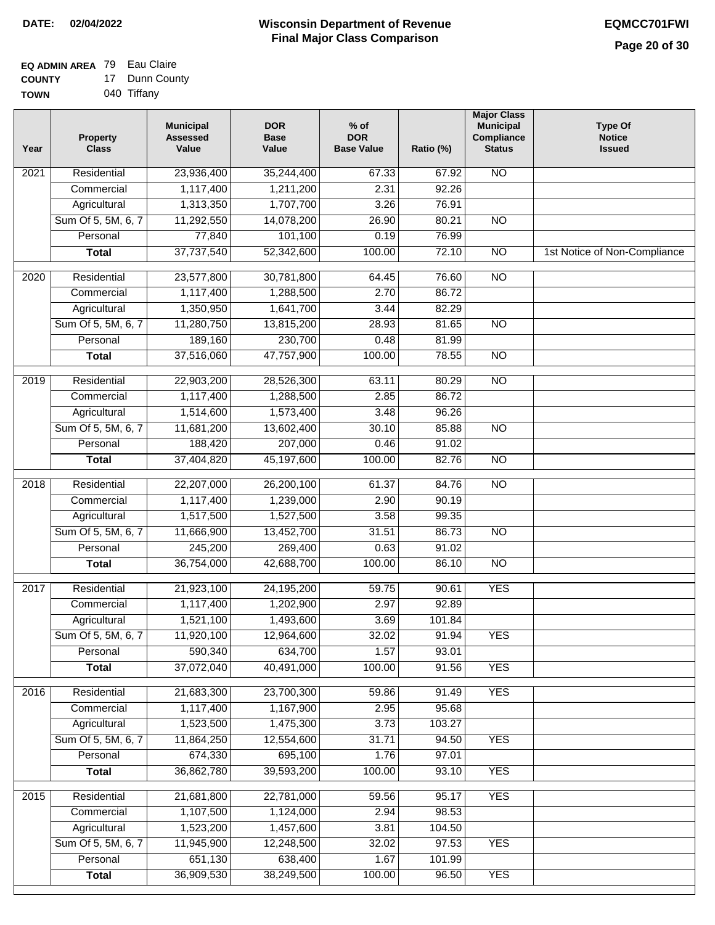#### **EQ ADMIN AREA** 79 Eau Claire **COUNTY** 17 Dunn County

| <b>UUUNIT</b> | Puni vui    |
|---------------|-------------|
| <b>TOWN</b>   | 040 Tiffany |

| Year              | <b>Property</b><br><b>Class</b> | <b>Municipal</b><br><b>Assessed</b><br>Value | <b>DOR</b><br><b>Base</b><br>Value | $%$ of<br><b>DOR</b><br><b>Base Value</b> | Ratio (%) | <b>Major Class</b><br><b>Municipal</b><br>Compliance<br><b>Status</b> | <b>Type Of</b><br><b>Notice</b><br><b>Issued</b> |
|-------------------|---------------------------------|----------------------------------------------|------------------------------------|-------------------------------------------|-----------|-----------------------------------------------------------------------|--------------------------------------------------|
| 2021              | Residential                     | 23,936,400                                   | 35,244,400                         | 67.33                                     | 67.92     | N <sub>O</sub>                                                        |                                                  |
|                   | Commercial                      | 1,117,400                                    | 1,211,200                          | 2.31                                      | 92.26     |                                                                       |                                                  |
|                   | Agricultural                    | 1,313,350                                    | 1,707,700                          | 3.26                                      | 76.91     |                                                                       |                                                  |
|                   | Sum Of 5, 5M, 6, 7              | 11,292,550                                   | 14,078,200                         | 26.90                                     | 80.21     | $\overline{NO}$                                                       |                                                  |
|                   | Personal                        | 77,840                                       | 101,100                            | 0.19                                      | 76.99     |                                                                       |                                                  |
|                   | <b>Total</b>                    | 37,737,540                                   | 52,342,600                         | 100.00                                    | 72.10     | $\overline{NO}$                                                       | 1st Notice of Non-Compliance                     |
| $\overline{2020}$ | Residential                     | 23,577,800                                   | 30,781,800                         | 64.45                                     | 76.60     | $\overline{NO}$                                                       |                                                  |
|                   | Commercial                      | 1,117,400                                    | 1,288,500                          | 2.70                                      | 86.72     |                                                                       |                                                  |
|                   | Agricultural                    | 1,350,950                                    | 1,641,700                          | 3.44                                      | 82.29     |                                                                       |                                                  |
|                   | Sum Of 5, 5M, 6, 7              | 11,280,750                                   | 13,815,200                         | 28.93                                     | 81.65     | $\overline{NO}$                                                       |                                                  |
|                   | Personal                        | 189,160                                      | 230,700                            | 0.48                                      | 81.99     |                                                                       |                                                  |
|                   | <b>Total</b>                    | 37,516,060                                   | 47,757,900                         | 100.00                                    | 78.55     | $\overline{NO}$                                                       |                                                  |
|                   |                                 |                                              |                                    |                                           |           |                                                                       |                                                  |
| $\frac{1}{2019}$  | Residential                     | 22,903,200                                   | 28,526,300                         | 63.11                                     | 80.29     | $\overline{NO}$                                                       |                                                  |
|                   | Commercial                      | 1,117,400                                    | 1,288,500                          | 2.85                                      | 86.72     |                                                                       |                                                  |
|                   | Agricultural                    | 1,514,600                                    | 1,573,400                          | 3.48                                      | 96.26     |                                                                       |                                                  |
|                   | Sum Of 5, 5M, 6, 7              | 11,681,200                                   | 13,602,400                         | 30.10                                     | 85.88     | $\overline{NO}$                                                       |                                                  |
|                   | Personal                        | 188,420                                      | 207,000                            | 0.46                                      | 91.02     |                                                                       |                                                  |
|                   | <b>Total</b>                    | 37,404,820                                   | 45,197,600                         | 100.00                                    | 82.76     | $\overline{N}$                                                        |                                                  |
| 2018              | Residential                     | 22,207,000                                   | 26,200,100                         | 61.37                                     | 84.76     | $\overline{NO}$                                                       |                                                  |
|                   | Commercial                      | 1,117,400                                    | 1,239,000                          | 2.90                                      | 90.19     |                                                                       |                                                  |
|                   | Agricultural                    | 1,517,500                                    | 1,527,500                          | 3.58                                      | 99.35     |                                                                       |                                                  |
|                   | Sum Of 5, 5M, 6, 7              | 11,666,900                                   | 13,452,700                         | 31.51                                     | 86.73     | $\overline{10}$                                                       |                                                  |
|                   | Personal                        | 245,200                                      | 269,400                            | 0.63                                      | 91.02     |                                                                       |                                                  |
|                   | <b>Total</b>                    | 36,754,000                                   | 42,688,700                         | 100.00                                    | 86.10     | <b>NO</b>                                                             |                                                  |
| 2017              | Residential                     | 21,923,100                                   | 24,195,200                         | 59.75                                     | 90.61     | <b>YES</b>                                                            |                                                  |
|                   | Commercial                      | 1,117,400                                    | 1,202,900                          | 2.97                                      | 92.89     |                                                                       |                                                  |
|                   | Agricultural                    | 1,521,100                                    | 1,493,600                          | 3.69                                      | 101.84    |                                                                       |                                                  |
|                   | Sum Of 5, 5M, 6, 7              | 11,920,100                                   | 12,964,600                         | 32.02                                     | 91.94     | <b>YES</b>                                                            |                                                  |
|                   | Personal                        | 590,340                                      | 634,700                            | 1.57                                      | 93.01     |                                                                       |                                                  |
|                   | <b>Total</b>                    | 37,072,040                                   | 40,491,000                         | 100.00                                    | 91.56     | <b>YES</b>                                                            |                                                  |
| 2016              | Residential                     | 21,683,300                                   | 23,700,300                         | 59.86                                     | 91.49     | <b>YES</b>                                                            |                                                  |
|                   | Commercial                      | 1,117,400                                    | 1,167,900                          | 2.95                                      | 95.68     |                                                                       |                                                  |
|                   | Agricultural                    | 1,523,500                                    | 1,475,300                          | 3.73                                      | 103.27    |                                                                       |                                                  |
|                   | Sum Of 5, 5M, 6, 7              | 11,864,250                                   | 12,554,600                         | 31.71                                     | 94.50     | <b>YES</b>                                                            |                                                  |
|                   | Personal                        | 674,330                                      | 695,100                            | 1.76                                      | 97.01     |                                                                       |                                                  |
|                   | <b>Total</b>                    | 36,862,780                                   | 39,593,200                         | 100.00                                    | 93.10     | <b>YES</b>                                                            |                                                  |
|                   |                                 |                                              |                                    |                                           |           |                                                                       |                                                  |
| 2015              | Residential                     | 21,681,800                                   | 22,781,000                         | 59.56                                     | 95.17     | <b>YES</b>                                                            |                                                  |
|                   | Commercial                      | 1,107,500                                    | 1,124,000                          | 2.94                                      | 98.53     |                                                                       |                                                  |
|                   | Agricultural                    | 1,523,200                                    | 1,457,600                          | 3.81                                      | 104.50    |                                                                       |                                                  |
|                   | Sum Of 5, 5M, 6, 7              | 11,945,900                                   | 12,248,500                         | 32.02                                     | 97.53     | <b>YES</b>                                                            |                                                  |
|                   | Personal                        | 651,130                                      | 638,400                            | 1.67                                      | 101.99    |                                                                       |                                                  |
|                   | <b>Total</b>                    | 36,909,530                                   | 38,249,500                         | 100.00                                    | 96.50     | <b>YES</b>                                                            |                                                  |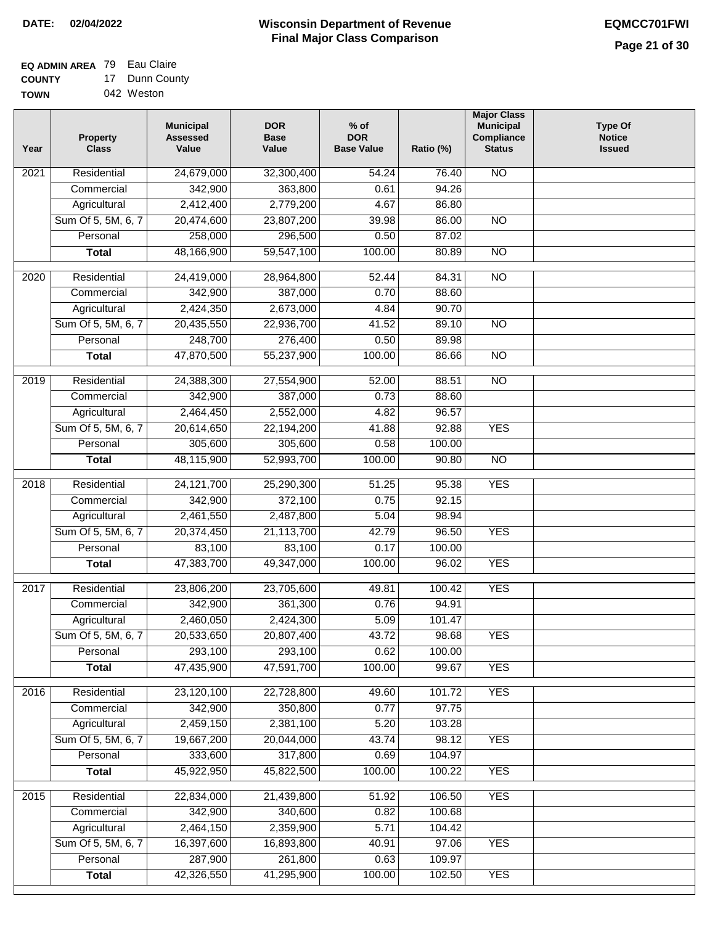# **EQ ADMIN AREA** 79 Eau Claire

**COUNTY TOWN** 17 Dunn County 042 Weston

| Year              | <b>Property</b><br><b>Class</b> | <b>Municipal</b><br><b>Assessed</b><br>Value | <b>DOR</b><br><b>Base</b><br>Value | % of<br><b>DOR</b><br><b>Base Value</b> | Ratio (%) | <b>Major Class</b><br><b>Municipal</b><br>Compliance<br><b>Status</b> | <b>Type Of</b><br><b>Notice</b><br><b>Issued</b> |
|-------------------|---------------------------------|----------------------------------------------|------------------------------------|-----------------------------------------|-----------|-----------------------------------------------------------------------|--------------------------------------------------|
| $\overline{202}1$ | Residential                     | 24,679,000                                   | 32,300,400                         | $\frac{1}{54.24}$                       | 76.40     | <b>NO</b>                                                             |                                                  |
|                   | Commercial                      | 342,900                                      | 363,800                            | 0.61                                    | 94.26     |                                                                       |                                                  |
|                   | Agricultural                    | 2,412,400                                    | 2,779,200                          | 4.67                                    | 86.80     |                                                                       |                                                  |
|                   | Sum Of 5, 5M, 6, 7              | 20,474,600                                   | 23,807,200                         | 39.98                                   | 86.00     | N <sub>O</sub>                                                        |                                                  |
|                   | Personal                        | 258,000                                      | 296,500                            | 0.50                                    | 87.02     |                                                                       |                                                  |
|                   | <b>Total</b>                    | 48,166,900                                   | 59,547,100                         | 100.00                                  | 80.89     | $\overline{NO}$                                                       |                                                  |
| $\overline{2020}$ | Residential                     | 24,419,000                                   | 28,964,800                         | 52.44                                   | 84.31     | $\overline{NO}$                                                       |                                                  |
|                   | Commercial                      | 342,900                                      | 387,000                            | 0.70                                    | 88.60     |                                                                       |                                                  |
|                   | Agricultural                    | 2,424,350                                    | 2,673,000                          | 4.84                                    | 90.70     |                                                                       |                                                  |
|                   | Sum Of 5, 5M, 6, 7              | 20,435,550                                   | 22,936,700                         | 41.52                                   | 89.10     | $\overline{NO}$                                                       |                                                  |
|                   | Personal                        | 248,700                                      | 276,400                            | 0.50                                    | 89.98     |                                                                       |                                                  |
|                   | <b>Total</b>                    | 47,870,500                                   | 55,237,900                         | 100.00                                  | 86.66     | $\overline{NO}$                                                       |                                                  |
| 2019              | Residential                     | 24,388,300                                   | 27,554,900                         | 52.00                                   | 88.51     | $\overline{N}$                                                        |                                                  |
|                   | Commercial                      | 342,900                                      | 387,000                            | 0.73                                    | 88.60     |                                                                       |                                                  |
|                   | Agricultural                    | 2,464,450                                    | 2,552,000                          | 4.82                                    | 96.57     |                                                                       |                                                  |
|                   | Sum Of 5, 5M, 6, 7              | 20,614,650                                   | 22,194,200                         | 41.88                                   | 92.88     | <b>YES</b>                                                            |                                                  |
|                   | Personal                        | 305,600                                      | 305,600                            | 0.58                                    | 100.00    |                                                                       |                                                  |
|                   | <b>Total</b>                    | 48,115,900                                   | 52,993,700                         | 100.00                                  | 90.80     | $\overline{NO}$                                                       |                                                  |
| 2018              | Residential                     | 24, 121, 700                                 | 25,290,300                         | 51.25                                   | 95.38     | <b>YES</b>                                                            |                                                  |
|                   | Commercial                      | 342,900                                      | 372,100                            | 0.75                                    | 92.15     |                                                                       |                                                  |
|                   | Agricultural                    | 2,461,550                                    | 2,487,800                          | 5.04                                    | 98.94     |                                                                       |                                                  |
|                   | Sum Of 5, 5M, 6, 7              | 20,374,450                                   | 21,113,700                         | 42.79                                   | 96.50     | <b>YES</b>                                                            |                                                  |
|                   | Personal                        | 83,100                                       | 83,100                             | 0.17                                    | 100.00    |                                                                       |                                                  |
|                   | <b>Total</b>                    | 47,383,700                                   | 49,347,000                         | 100.00                                  | 96.02     | <b>YES</b>                                                            |                                                  |
|                   |                                 |                                              |                                    |                                         |           |                                                                       |                                                  |
| 2017              | Residential                     | 23,806,200                                   | 23,705,600                         | 49.81                                   | 100.42    | <b>YES</b>                                                            |                                                  |
|                   | Commercial                      | 342,900                                      | 361,300                            | 0.76                                    | 94.91     |                                                                       |                                                  |
|                   | Agricultural                    | 2,460,050                                    | 2,424,300                          | 5.09                                    | 101.47    |                                                                       |                                                  |
|                   | Sum Of 5, 5M, 6, 7              | 20,533,650                                   | 20,807,400                         | 43.72                                   | 98.68     | <b>YES</b>                                                            |                                                  |
|                   | Personal                        | 293,100                                      | 293,100                            | 0.62                                    | 100.00    |                                                                       |                                                  |
|                   | <b>Total</b>                    | 47,435,900                                   | 47,591,700                         | 100.00                                  | 99.67     | <b>YES</b>                                                            |                                                  |
| 2016              | Residential                     | 23,120,100                                   | 22,728,800                         | 49.60                                   | 101.72    | <b>YES</b>                                                            |                                                  |
|                   | Commercial                      | 342,900                                      | 350,800                            | 0.77                                    | 97.75     |                                                                       |                                                  |
|                   | Agricultural                    | 2,459,150                                    | 2,381,100                          | 5.20                                    | 103.28    |                                                                       |                                                  |
|                   | Sum Of 5, 5M, 6, 7              | 19,667,200                                   | 20,044,000                         | 43.74                                   | 98.12     | <b>YES</b>                                                            |                                                  |
|                   | Personal                        | 333,600                                      | 317,800                            | 0.69                                    | 104.97    |                                                                       |                                                  |
|                   | <b>Total</b>                    | 45,922,950                                   | 45,822,500                         | 100.00                                  | 100.22    | <b>YES</b>                                                            |                                                  |
| 2015              | Residential                     | 22,834,000                                   | 21,439,800                         | 51.92                                   | 106.50    | <b>YES</b>                                                            |                                                  |
|                   | Commercial                      | 342,900                                      | 340,600                            | 0.82                                    | 100.68    |                                                                       |                                                  |
|                   | Agricultural                    | 2,464,150                                    | 2,359,900                          | 5.71                                    | 104.42    |                                                                       |                                                  |
|                   | Sum Of 5, 5M, 6, 7              | 16,397,600                                   | 16,893,800                         | 40.91                                   | 97.06     | <b>YES</b>                                                            |                                                  |
|                   | Personal                        | 287,900                                      | 261,800                            | 0.63                                    | 109.97    |                                                                       |                                                  |
|                   | <b>Total</b>                    | 42,326,550                                   | 41,295,900                         | 100.00                                  | 102.50    | <b>YES</b>                                                            |                                                  |
|                   |                                 |                                              |                                    |                                         |           |                                                                       |                                                  |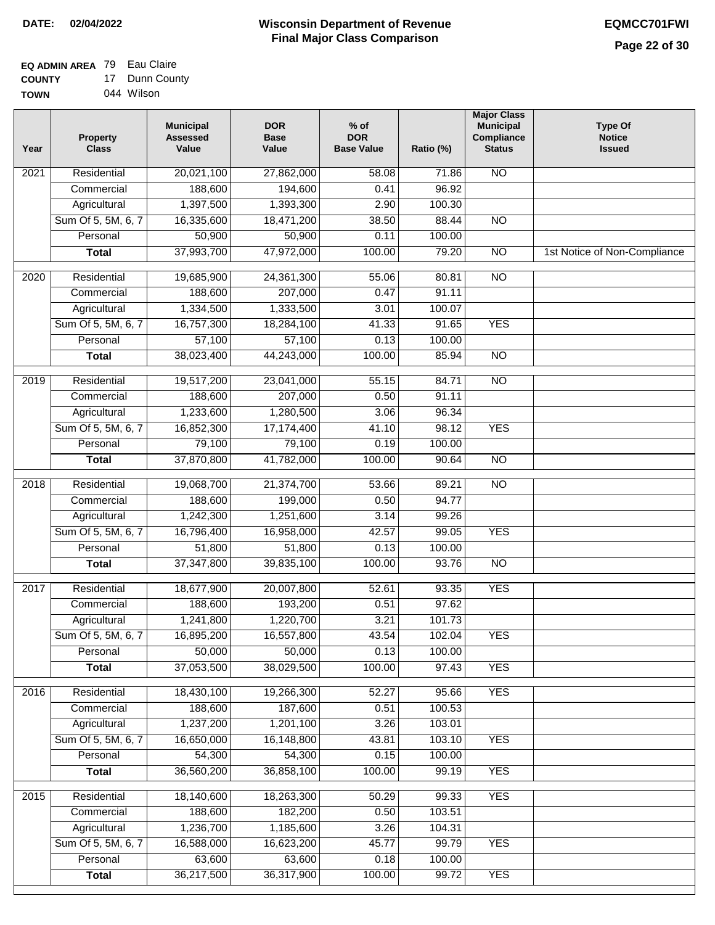#### **EQ ADMIN AREA** 79 Eau Claire **COUNTY** 17 Dunn County

**TOWN** 044 Wilson

| Year              | <b>Property</b><br><b>Class</b> | <b>Municipal</b><br><b>Assessed</b><br>Value | <b>DOR</b><br><b>Base</b><br>Value | % of<br><b>DOR</b><br><b>Base Value</b> | Ratio (%) | <b>Major Class</b><br><b>Municipal</b><br>Compliance<br><b>Status</b> | <b>Type Of</b><br><b>Notice</b><br><b>Issued</b> |
|-------------------|---------------------------------|----------------------------------------------|------------------------------------|-----------------------------------------|-----------|-----------------------------------------------------------------------|--------------------------------------------------|
| $\overline{202}1$ | Residential                     | 20,021,100                                   | 27,862,000                         | 58.08                                   | 71.86     | <b>NO</b>                                                             |                                                  |
|                   | Commercial                      | 188,600                                      | 194,600                            | 0.41                                    | 96.92     |                                                                       |                                                  |
|                   | Agricultural                    | 1,397,500                                    | 1,393,300                          | 2.90                                    | 100.30    |                                                                       |                                                  |
|                   | Sum Of 5, 5M, 6, 7              | 16,335,600                                   | 18,471,200                         | 38.50                                   | 88.44     | $\overline{NO}$                                                       |                                                  |
|                   | Personal                        | 50,900                                       | 50,900                             | 0.11                                    | 100.00    |                                                                       |                                                  |
|                   | <b>Total</b>                    | 37,993,700                                   | 47,972,000                         | 100.00                                  | 79.20     | $\overline{NO}$                                                       | 1st Notice of Non-Compliance                     |
| $\overline{2020}$ | Residential                     | 19,685,900                                   | 24,361,300                         | 55.06                                   | 80.81     | $\overline{NO}$                                                       |                                                  |
|                   | Commercial                      | 188,600                                      | 207,000                            | 0.47                                    | 91.11     |                                                                       |                                                  |
|                   | Agricultural                    | 1,334,500                                    | 1,333,500                          | 3.01                                    | 100.07    |                                                                       |                                                  |
|                   | Sum Of 5, 5M, 6, 7              | 16,757,300                                   | 18,284,100                         | 41.33                                   | 91.65     | <b>YES</b>                                                            |                                                  |
|                   | Personal                        | 57,100                                       | 57,100                             | 0.13                                    | 100.00    |                                                                       |                                                  |
|                   | <b>Total</b>                    | 38,023,400                                   | 44,243,000                         | 100.00                                  | 85.94     | $\overline{NO}$                                                       |                                                  |
| 2019              | Residential                     | 19,517,200                                   | 23,041,000                         | 55.15                                   | 84.71     | $\overline{3}$                                                        |                                                  |
|                   | Commercial                      | 188,600                                      | 207,000                            | 0.50                                    | 91.11     |                                                                       |                                                  |
|                   | Agricultural                    | 1,233,600                                    | 1,280,500                          | 3.06                                    | 96.34     |                                                                       |                                                  |
|                   | Sum Of 5, 5M, 6, 7              | 16,852,300                                   | 17,174,400                         | 41.10                                   | 98.12     | <b>YES</b>                                                            |                                                  |
|                   | Personal                        | 79,100                                       | 79,100                             | 0.19                                    | 100.00    |                                                                       |                                                  |
|                   | <b>Total</b>                    | 37,870,800                                   | 41,782,000                         | 100.00                                  | 90.64     | $\overline{NO}$                                                       |                                                  |
| 2018              | Residential                     | 19,068,700                                   | 21,374,700                         | 53.66                                   | 89.21     | $\overline{10}$                                                       |                                                  |
|                   | Commercial                      | 188,600                                      | 199,000                            | 0.50                                    | 94.77     |                                                                       |                                                  |
|                   | Agricultural                    | 1,242,300                                    | 1,251,600                          | 3.14                                    | 99.26     |                                                                       |                                                  |
|                   | Sum Of 5, 5M, 6, 7              | 16,796,400                                   | 16,958,000                         | 42.57                                   | 99.05     | <b>YES</b>                                                            |                                                  |
|                   | Personal                        | 51,800                                       | 51,800                             | 0.13                                    | 100.00    |                                                                       |                                                  |
|                   | <b>Total</b>                    | 37,347,800                                   | 39,835,100                         | 100.00                                  | 93.76     | <b>NO</b>                                                             |                                                  |
| $\overline{2017}$ | Residential                     | 18,677,900                                   | 20,007,800                         | 52.61                                   | 93.35     | <b>YES</b>                                                            |                                                  |
|                   | Commercial                      | 188,600                                      | 193,200                            | 0.51                                    | 97.62     |                                                                       |                                                  |
|                   | Agricultural                    | 1,241,800                                    | 1,220,700                          | 3.21                                    | 101.73    |                                                                       |                                                  |
|                   | Sum Of 5, 5M, 6, 7              | 16,895,200                                   | 16,557,800                         | 43.54                                   | 102.04    | <b>YES</b>                                                            |                                                  |
|                   | Personal                        | 50,000                                       | 50,000                             | 0.13                                    | 100.00    |                                                                       |                                                  |
|                   | <b>Total</b>                    | 37,053,500                                   | 38,029,500                         | 100.00                                  | 97.43     | <b>YES</b>                                                            |                                                  |
| 2016              | Residential                     | 18,430,100                                   | 19,266,300                         | 52.27                                   | 95.66     | <b>YES</b>                                                            |                                                  |
|                   | Commercial                      | 188,600                                      | 187,600                            | 0.51                                    | 100.53    |                                                                       |                                                  |
|                   | Agricultural                    | 1,237,200                                    | 1,201,100                          | 3.26                                    | 103.01    |                                                                       |                                                  |
|                   | Sum Of 5, 5M, 6, 7              | 16,650,000                                   | 16,148,800                         | 43.81                                   | 103.10    | <b>YES</b>                                                            |                                                  |
|                   | Personal                        | 54,300                                       | 54,300                             | 0.15                                    | 100.00    |                                                                       |                                                  |
|                   | <b>Total</b>                    | 36,560,200                                   | 36,858,100                         | 100.00                                  | 99.19     | <b>YES</b>                                                            |                                                  |
| 2015              | Residential                     | 18,140,600                                   | 18,263,300                         | 50.29                                   | 99.33     | <b>YES</b>                                                            |                                                  |
|                   | Commercial                      | 188,600                                      | 182,200                            | 0.50                                    | 103.51    |                                                                       |                                                  |
|                   | Agricultural                    | 1,236,700                                    | 1,185,600                          | 3.26                                    | 104.31    |                                                                       |                                                  |
|                   | Sum Of 5, 5M, 6, 7              | 16,588,000                                   | 16,623,200                         | 45.77                                   | 99.79     | <b>YES</b>                                                            |                                                  |
|                   | Personal                        | 63,600                                       | 63,600                             | 0.18                                    | 100.00    |                                                                       |                                                  |
|                   | <b>Total</b>                    | 36,217,500                                   | 36,317,900                         | 100.00                                  | 99.72     | <b>YES</b>                                                            |                                                  |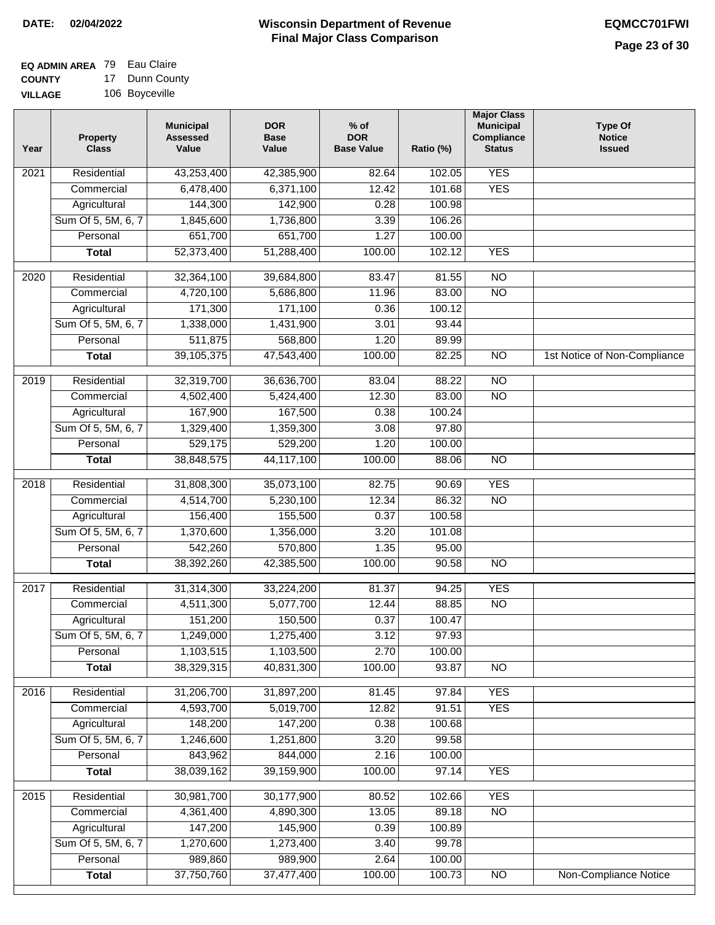#### **EQ ADMIN AREA** 79 Eau Claire **COUNTY** 17 Dunn County

**VILLAGE** 106 Boyceville

| Year             | <b>Property</b><br><b>Class</b> | <b>Municipal</b><br><b>Assessed</b><br>Value | <b>DOR</b><br><b>Base</b><br>Value | $%$ of<br><b>DOR</b><br><b>Base Value</b> | Ratio (%) | <b>Major Class</b><br><b>Municipal</b><br>Compliance<br><b>Status</b> | <b>Type Of</b><br><b>Notice</b><br><b>Issued</b> |
|------------------|---------------------------------|----------------------------------------------|------------------------------------|-------------------------------------------|-----------|-----------------------------------------------------------------------|--------------------------------------------------|
| 2021             | Residential                     | 43,253,400                                   | 42,385,900                         | 82.64                                     | 102.05    | <b>YES</b>                                                            |                                                  |
|                  | Commercial                      | 6,478,400                                    | 6,371,100                          | 12.42                                     | 101.68    | <b>YES</b>                                                            |                                                  |
|                  | Agricultural                    | 144,300                                      | 142,900                            | 0.28                                      | 100.98    |                                                                       |                                                  |
|                  | Sum Of 5, 5M, 6, 7              | 1,845,600                                    | 1,736,800                          | 3.39                                      | 106.26    |                                                                       |                                                  |
|                  | Personal                        | 651,700                                      | 651,700                            | 1.27                                      | 100.00    |                                                                       |                                                  |
|                  | <b>Total</b>                    | 52,373,400                                   | 51,288,400                         | 100.00                                    | 102.12    | <b>YES</b>                                                            |                                                  |
| $\frac{1}{2020}$ | Residential                     | 32,364,100                                   | 39,684,800                         | 83.47                                     | 81.55     | $\overline{10}$                                                       |                                                  |
|                  | Commercial                      | 4,720,100                                    | 5,686,800                          | 11.96                                     | 83.00     | $\overline{NO}$                                                       |                                                  |
|                  | Agricultural                    | 171,300                                      | 171,100                            | 0.36                                      | 100.12    |                                                                       |                                                  |
|                  | Sum Of 5, 5M, 6, 7              | 1,338,000                                    | 1,431,900                          | 3.01                                      | 93.44     |                                                                       |                                                  |
|                  | Personal                        | 511,875                                      | 568,800                            | 1.20                                      | 89.99     |                                                                       |                                                  |
|                  | <b>Total</b>                    | 39,105,375                                   | 47,543,400                         | 100.00                                    | 82.25     | $\overline{NO}$                                                       | 1st Notice of Non-Compliance                     |
| $\frac{1}{2019}$ | Residential                     | 32,319,700                                   | 36,636,700                         | 83.04                                     | 88.22     | $\overline{NO}$                                                       |                                                  |
|                  | Commercial                      | 4,502,400                                    | 5,424,400                          | 12.30                                     | 83.00     | $\overline{NO}$                                                       |                                                  |
|                  | Agricultural                    | 167,900                                      | 167,500                            | 0.38                                      | 100.24    |                                                                       |                                                  |
|                  | Sum Of 5, 5M, 6, 7              | 1,329,400                                    | 1,359,300                          | 3.08                                      | 97.80     |                                                                       |                                                  |
|                  | Personal                        | 529,175                                      | 529,200                            | 1.20                                      | 100.00    |                                                                       |                                                  |
|                  | <b>Total</b>                    | 38,848,575                                   | 44,117,100                         | 100.00                                    | 88.06     | $\overline{NO}$                                                       |                                                  |
| 2018             | Residential                     | 31,808,300                                   | 35,073,100                         | 82.75                                     | 90.69     | <b>YES</b>                                                            |                                                  |
|                  | Commercial                      | 4,514,700                                    | 5,230,100                          | 12.34                                     | 86.32     | <b>NO</b>                                                             |                                                  |
|                  | Agricultural                    | 156,400                                      | 155,500                            | 0.37                                      | 100.58    |                                                                       |                                                  |
|                  | Sum Of 5, 5M, 6, 7              | 1,370,600                                    | 1,356,000                          | 3.20                                      | 101.08    |                                                                       |                                                  |
|                  | Personal                        | 542,260                                      | 570,800                            | 1.35                                      | 95.00     |                                                                       |                                                  |
|                  | <b>Total</b>                    | 38,392,260                                   | 42,385,500                         | 100.00                                    | 90.58     | $\overline{10}$                                                       |                                                  |
| 2017             | Residential                     | 31,314,300                                   | 33,224,200                         | 81.37                                     | 94.25     | <b>YES</b>                                                            |                                                  |
|                  | Commercial                      | 4,511,300                                    | 5,077,700                          | 12.44                                     | 88.85     | <b>NO</b>                                                             |                                                  |
|                  | Agricultural                    | 151,200                                      | 150,500                            | 0.37                                      | 100.47    |                                                                       |                                                  |
|                  | Sum Of 5, 5M, 6, 7              | 1,249,000                                    | 1,275,400                          | 3.12                                      | 97.93     |                                                                       |                                                  |
|                  | Personal                        | 1,103,515                                    | 1,103,500                          | 2.70                                      | 100.00    |                                                                       |                                                  |
|                  | <b>Total</b>                    | 38,329,315                                   | 40,831,300                         | 100.00                                    | 93.87     | $\overline{NO}$                                                       |                                                  |
| 2016             | Residential                     | 31,206,700                                   | 31,897,200                         | 81.45                                     | 97.84     | <b>YES</b>                                                            |                                                  |
|                  | Commercial                      | 4,593,700                                    | 5,019,700                          | 12.82                                     | 91.51     | <b>YES</b>                                                            |                                                  |
|                  | Agricultural                    | 148,200                                      | 147,200                            | 0.38                                      | 100.68    |                                                                       |                                                  |
|                  | Sum Of 5, 5M, 6, 7              | 1,246,600                                    | 1,251,800                          | 3.20                                      | 99.58     |                                                                       |                                                  |
|                  | Personal                        | 843,962                                      | 844,000                            | 2.16                                      | 100.00    |                                                                       |                                                  |
|                  | <b>Total</b>                    | 38,039,162                                   | 39,159,900                         | 100.00                                    | 97.14     | <b>YES</b>                                                            |                                                  |
| 2015             | Residential                     | 30,981,700                                   | 30,177,900                         | 80.52                                     | 102.66    | <b>YES</b>                                                            |                                                  |
|                  | Commercial                      | 4,361,400                                    | 4,890,300                          | 13.05                                     | 89.18     | $\overline{NO}$                                                       |                                                  |
|                  | Agricultural                    | 147,200                                      | 145,900                            | 0.39                                      | 100.89    |                                                                       |                                                  |
|                  | Sum Of 5, 5M, 6, 7              | 1,270,600                                    | 1,273,400                          | 3.40                                      | 99.78     |                                                                       |                                                  |
|                  | Personal                        | 989,860                                      | 989,900                            | 2.64                                      | 100.00    |                                                                       |                                                  |
|                  | <b>Total</b>                    | 37,750,760                                   | 37,477,400                         | 100.00                                    | 100.73    | N <sub>O</sub>                                                        | <b>Non-Compliance Notice</b>                     |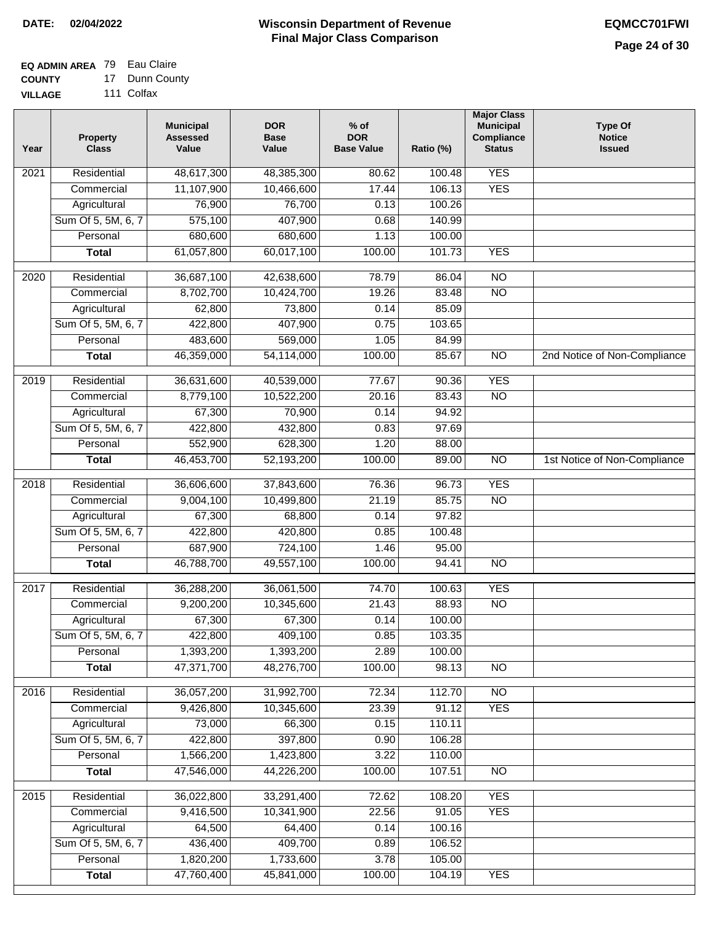## **EQ ADMIN AREA** 79 Eau Claire

**COUNTY VILLAGE** 17 Dunn County 111 Colfax

| Year              | <b>Property</b><br><b>Class</b> | <b>Municipal</b><br><b>Assessed</b><br>Value | <b>DOR</b><br><b>Base</b><br>Value | % of<br><b>DOR</b><br><b>Base Value</b> | Ratio (%)        | <b>Major Class</b><br><b>Municipal</b><br>Compliance<br><b>Status</b> | <b>Type Of</b><br><b>Notice</b><br><b>Issued</b> |
|-------------------|---------------------------------|----------------------------------------------|------------------------------------|-----------------------------------------|------------------|-----------------------------------------------------------------------|--------------------------------------------------|
| 2021              | Residential                     | 48,617,300                                   | 48,385,300                         | 80.62                                   | 100.48           | <b>YES</b>                                                            |                                                  |
|                   | Commercial                      | 11,107,900                                   | 10,466,600                         | 17.44                                   | 106.13           | <b>YES</b>                                                            |                                                  |
|                   | Agricultural                    | 76,900                                       | 76,700                             | 0.13                                    | 100.26           |                                                                       |                                                  |
|                   | Sum Of 5, 5M, 6, 7              | 575,100                                      | 407,900                            | 0.68                                    | 140.99           |                                                                       |                                                  |
|                   | Personal                        | 680,600                                      | 680,600                            | 1.13                                    | 100.00           |                                                                       |                                                  |
|                   | <b>Total</b>                    | 61,057,800                                   | 60,017,100                         | 100.00                                  | 101.73           | <b>YES</b>                                                            |                                                  |
| 2020              | Residential                     | 36,687,100                                   | 42,638,600                         | 78.79                                   | 86.04            | $\overline{NO}$                                                       |                                                  |
|                   | Commercial                      | 8,702,700                                    | 10,424,700                         | 19.26                                   | 83.48            | $\overline{NO}$                                                       |                                                  |
|                   | Agricultural                    | 62,800                                       | 73,800                             | 0.14                                    | 85.09            |                                                                       |                                                  |
|                   | Sum Of 5, 5M, 6, 7              | 422,800                                      | 407,900                            | 0.75                                    | 103.65           |                                                                       |                                                  |
|                   | Personal                        | 483,600                                      | 569,000                            | 1.05                                    | 84.99            |                                                                       |                                                  |
|                   | <b>Total</b>                    | 46,359,000                                   | 54,114,000                         | 100.00                                  | 85.67            | $\overline{NO}$                                                       | 2nd Notice of Non-Compliance                     |
|                   |                                 |                                              |                                    |                                         |                  |                                                                       |                                                  |
| 2019              | Residential                     | 36,631,600                                   | 40,539,000                         | 77.67                                   | 90.36            | <b>YES</b>                                                            |                                                  |
|                   | Commercial                      | 8,779,100                                    | 10,522,200                         | 20.16                                   | 83.43            | $\overline{NO}$                                                       |                                                  |
|                   | Agricultural                    | 67,300                                       | 70,900                             | 0.14                                    | 94.92            |                                                                       |                                                  |
|                   | Sum Of 5, 5M, 6, 7              | 422,800                                      | 432,800                            | 0.83                                    | 97.69            |                                                                       |                                                  |
|                   | Personal                        | 552,900                                      | 628,300                            | 1.20                                    | 88.00            |                                                                       |                                                  |
|                   | <b>Total</b>                    | 46,453,700                                   | 52,193,200                         | 100.00                                  | 89.00            | $\overline{N}$                                                        | 1st Notice of Non-Compliance                     |
| 2018              | Residential                     | 36,606,600                                   | 37,843,600                         | 76.36                                   | 96.73            | <b>YES</b>                                                            |                                                  |
|                   | Commercial                      | 9,004,100                                    | 10,499,800                         | 21.19                                   | 85.75            | <b>NO</b>                                                             |                                                  |
|                   | Agricultural                    | 67,300                                       | 68,800                             | 0.14                                    | 97.82            |                                                                       |                                                  |
|                   | Sum Of 5, 5M, 6, 7              | 422,800                                      | 420,800                            | 0.85                                    | 100.48           |                                                                       |                                                  |
|                   | Personal                        | 687,900                                      | 724,100                            | 1.46                                    | 95.00            |                                                                       |                                                  |
|                   | <b>Total</b>                    | 46,788,700                                   | 49,557,100                         | 100.00                                  | 94.41            | <b>NO</b>                                                             |                                                  |
| 2017              | Residential                     | 36,288,200                                   | 36,061,500                         | 74.70                                   | 100.63           | <b>YES</b>                                                            |                                                  |
|                   | Commercial                      | 9,200,200                                    | 10,345,600                         | 21.43                                   | 88.93            | <b>NO</b>                                                             |                                                  |
|                   | Agricultural                    | 67,300                                       | 67,300                             | 0.14                                    | 100.00           |                                                                       |                                                  |
|                   | Sum Of 5, 5M, 6, 7              | 422,800                                      | 409,100                            | 0.85                                    | 103.35           |                                                                       |                                                  |
|                   | Personal                        | 1,393,200                                    | 1,393,200                          | 2.89                                    | 100.00           |                                                                       |                                                  |
|                   | <b>Total</b>                    | 47,371,700                                   | 48,276,700                         | 100.00                                  | 98.13            | <b>NO</b>                                                             |                                                  |
|                   |                                 |                                              |                                    |                                         |                  |                                                                       |                                                  |
| 2016              | Residential                     | 36,057,200                                   | 31,992,700                         | 72.34                                   | 112.70           | $\overline{NO}$                                                       |                                                  |
|                   | Commercial                      | 9,426,800                                    | 10,345,600                         | 23.39                                   | 91.12            | <b>YES</b>                                                            |                                                  |
|                   | Agricultural                    | 73,000                                       | 66,300                             | 0.15                                    | 110.11           |                                                                       |                                                  |
|                   | Sum Of 5, 5M, 6, 7<br>Personal  | 422,800                                      | 397,800                            | 0.90<br>3.22                            | 106.28<br>110.00 |                                                                       |                                                  |
|                   | <b>Total</b>                    | 1,566,200<br>47,546,000                      | 1,423,800<br>44,226,200            | 100.00                                  | 107.51           | N <sub>O</sub>                                                        |                                                  |
|                   |                                 |                                              |                                    |                                         |                  |                                                                       |                                                  |
| $\overline{2015}$ | Residential                     | 36,022,800                                   | 33,291,400                         | 72.62                                   | 108.20           | <b>YES</b>                                                            |                                                  |
|                   | Commercial                      | 9,416,500                                    | 10,341,900                         | 22.56                                   | 91.05            | <b>YES</b>                                                            |                                                  |
|                   | Agricultural                    | 64,500                                       | 64,400                             | 0.14                                    | 100.16           |                                                                       |                                                  |
|                   | Sum Of 5, 5M, 6, 7              | 436,400                                      | 409,700                            | 0.89                                    | 106.52           |                                                                       |                                                  |
|                   | Personal                        | 1,820,200                                    | 1,733,600                          | 3.78                                    | 105.00           |                                                                       |                                                  |
|                   | <b>Total</b>                    | 47,760,400                                   | 45,841,000                         | 100.00                                  | 104.19           | <b>YES</b>                                                            |                                                  |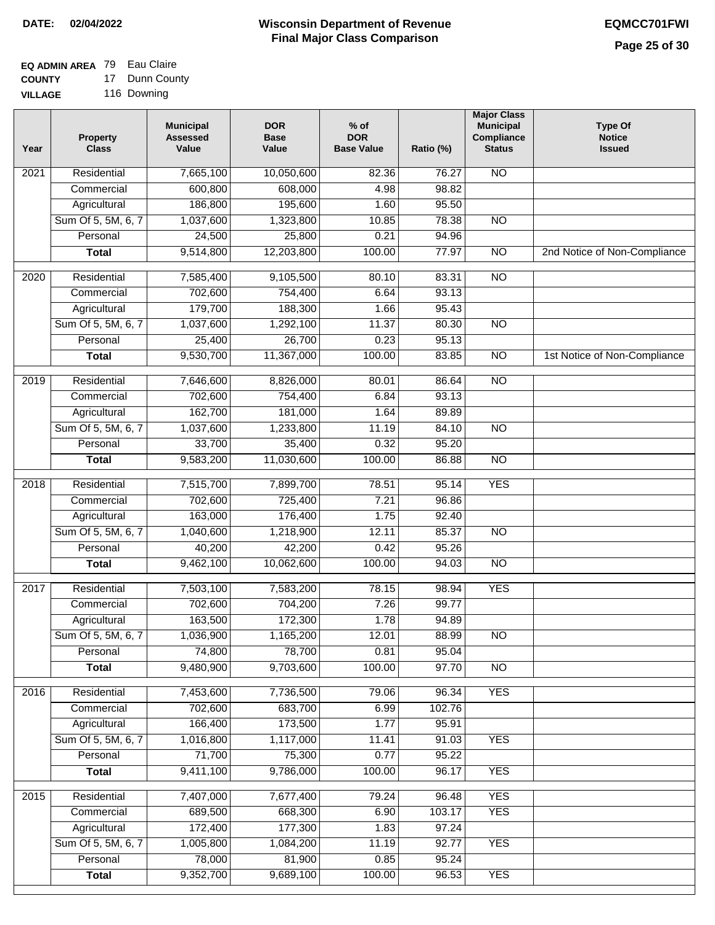# **EQ ADMIN AREA** 79 Eau Claire

**COUNTY VILLAGE** 17 Dunn County 116 Downing

| Year              | <b>Property</b><br><b>Class</b> | <b>Municipal</b><br><b>Assessed</b><br>Value | <b>DOR</b><br><b>Base</b><br>Value | % of<br><b>DOR</b><br><b>Base Value</b> | Ratio (%) | <b>Major Class</b><br><b>Municipal</b><br>Compliance<br><b>Status</b> | <b>Type Of</b><br><b>Notice</b><br><b>Issued</b> |
|-------------------|---------------------------------|----------------------------------------------|------------------------------------|-----------------------------------------|-----------|-----------------------------------------------------------------------|--------------------------------------------------|
| $\overline{202}1$ | Residential                     | 7,665,100                                    | 10,050,600                         | 82.36                                   | 76.27     | <b>NO</b>                                                             |                                                  |
|                   | Commercial                      | 600,800                                      | 608,000                            | 4.98                                    | 98.82     |                                                                       |                                                  |
|                   | Agricultural                    | 186,800                                      | 195,600                            | 1.60                                    | 95.50     |                                                                       |                                                  |
|                   | Sum Of 5, 5M, 6, 7              | 1,037,600                                    | 1,323,800                          | 10.85                                   | 78.38     | N <sub>O</sub>                                                        |                                                  |
|                   | Personal                        | 24,500                                       | 25,800                             | 0.21                                    | 94.96     |                                                                       |                                                  |
|                   | <b>Total</b>                    | 9,514,800                                    | 12,203,800                         | 100.00                                  | 77.97     | $\overline{NO}$                                                       | 2nd Notice of Non-Compliance                     |
| $\overline{2020}$ | Residential                     | 7,585,400                                    | 9,105,500                          | 80.10                                   | 83.31     | $\overline{NO}$                                                       |                                                  |
|                   | Commercial                      | 702,600                                      | 754,400                            | 6.64                                    | 93.13     |                                                                       |                                                  |
|                   | Agricultural                    | 179,700                                      | 188,300                            | 1.66                                    | 95.43     |                                                                       |                                                  |
|                   | Sum Of 5, 5M, 6, 7              | 1,037,600                                    | 1,292,100                          | 11.37                                   | 80.30     | $\overline{NO}$                                                       |                                                  |
|                   | Personal                        | 25,400                                       | 26,700                             | 0.23                                    | 95.13     |                                                                       |                                                  |
|                   | <b>Total</b>                    | 9,530,700                                    | 11,367,000                         | 100.00                                  | 83.85     | $\overline{NO}$                                                       | 1st Notice of Non-Compliance                     |
| 2019              | Residential                     | 7,646,600                                    | 8,826,000                          | 80.01                                   | 86.64     | $\overline{N}$                                                        |                                                  |
|                   | Commercial                      | 702,600                                      | 754,400                            | 6.84                                    | 93.13     |                                                                       |                                                  |
|                   | Agricultural                    | 162,700                                      | 181,000                            | 1.64                                    | 89.89     |                                                                       |                                                  |
|                   | Sum Of 5, 5M, 6, 7              | 1,037,600                                    | 1,233,800                          | 11.19                                   | 84.10     | N <sub>O</sub>                                                        |                                                  |
|                   | Personal                        | 33,700                                       | 35,400                             | 0.32                                    | 95.20     |                                                                       |                                                  |
|                   | <b>Total</b>                    | 9,583,200                                    | 11,030,600                         | 100.00                                  | 86.88     | $\overline{NO}$                                                       |                                                  |
| 2018              | Residential                     | 7,515,700                                    | 7,899,700                          | 78.51                                   | 95.14     | <b>YES</b>                                                            |                                                  |
|                   | Commercial                      | 702,600                                      | 725,400                            | 7.21                                    | 96.86     |                                                                       |                                                  |
|                   | Agricultural                    | 163,000                                      | 176,400                            | 1.75                                    | 92.40     |                                                                       |                                                  |
|                   | Sum Of 5, 5M, 6, 7              | 1,040,600                                    | 1,218,900                          | 12.11                                   | 85.37     | $\overline{10}$                                                       |                                                  |
|                   | Personal                        | 40,200                                       | 42,200                             | 0.42                                    | 95.26     |                                                                       |                                                  |
|                   | <b>Total</b>                    | 9,462,100                                    | 10,062,600                         | 100.00                                  | 94.03     | <b>NO</b>                                                             |                                                  |
| 2017              | Residential                     | 7,503,100                                    | 7,583,200                          | 78.15                                   | 98.94     | <b>YES</b>                                                            |                                                  |
|                   | Commercial                      | 702,600                                      | 704,200                            | 7.26                                    | 99.77     |                                                                       |                                                  |
|                   | Agricultural                    | 163,500                                      | 172,300                            | 1.78                                    | 94.89     |                                                                       |                                                  |
|                   | Sum Of 5, 5M, 6, 7              | 1,036,900                                    | 1,165,200                          | 12.01                                   | 88.99     | <b>NO</b>                                                             |                                                  |
|                   | Personal                        | 74,800                                       | 78,700                             | 0.81                                    | 95.04     |                                                                       |                                                  |
|                   | <b>Total</b>                    | 9,480,900                                    | 9,703,600                          | 100.00                                  | 97.70     | <b>NO</b>                                                             |                                                  |
| 2016              | Residential                     | 7,453,600                                    | 7,736,500                          | 79.06                                   | 96.34     | <b>YES</b>                                                            |                                                  |
|                   | Commercial                      | 702,600                                      | 683,700                            | 6.99                                    | 102.76    |                                                                       |                                                  |
|                   | Agricultural                    | 166,400                                      | 173,500                            | 1.77                                    | 95.91     |                                                                       |                                                  |
|                   | Sum Of 5, 5M, 6, 7              | 1,016,800                                    | 1,117,000                          | 11.41                                   | 91.03     | <b>YES</b>                                                            |                                                  |
|                   | Personal                        | 71,700                                       | 75,300                             | 0.77                                    | 95.22     |                                                                       |                                                  |
|                   | <b>Total</b>                    | 9,411,100                                    | 9,786,000                          | 100.00                                  | 96.17     | <b>YES</b>                                                            |                                                  |
| 2015              | Residential                     | 7,407,000                                    | 7,677,400                          | 79.24                                   | 96.48     | <b>YES</b>                                                            |                                                  |
|                   | Commercial                      | 689,500                                      | 668,300                            | 6.90                                    | 103.17    | <b>YES</b>                                                            |                                                  |
|                   | Agricultural                    | 172,400                                      | 177,300                            | 1.83                                    | 97.24     |                                                                       |                                                  |
|                   | Sum Of 5, 5M, 6, 7              | 1,005,800                                    | 1,084,200                          | 11.19                                   | 92.77     | <b>YES</b>                                                            |                                                  |
|                   | Personal                        | 78,000                                       | 81,900                             | 0.85                                    | 95.24     |                                                                       |                                                  |
|                   | <b>Total</b>                    | 9,352,700                                    | 9,689,100                          | 100.00                                  | 96.53     | <b>YES</b>                                                            |                                                  |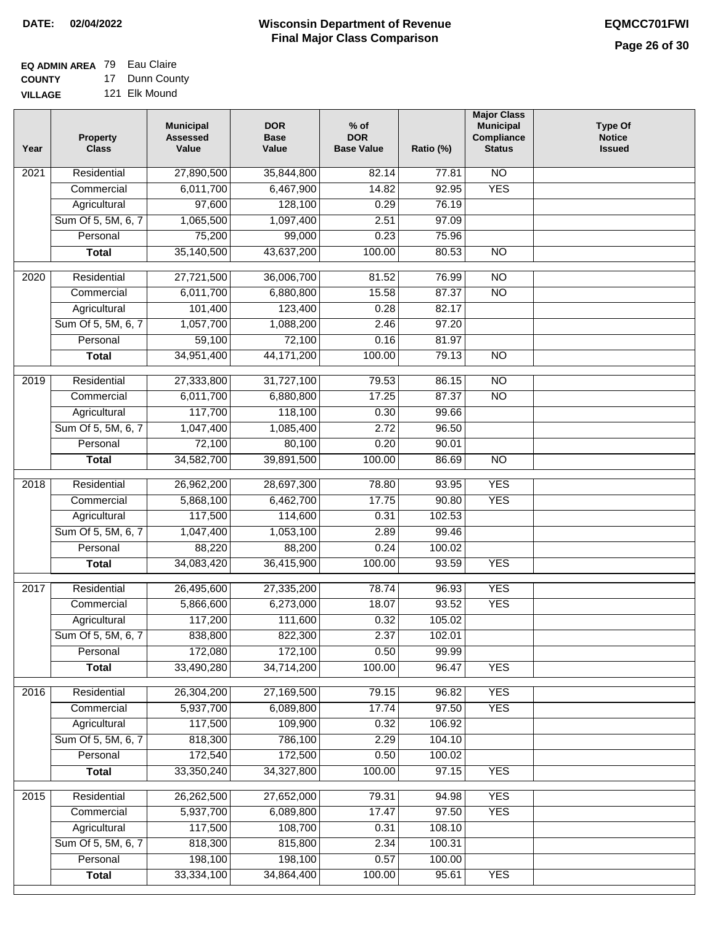#### **EQ ADMIN AREA** 79 Eau Claire **COUNTY** 17 Dunn County

**VILLAGE** 121 Elk Mound

| 27,890,500<br><b>NO</b><br>Residential<br>35,844,800<br>82.14<br>77.81<br>2021<br><b>YES</b><br>6,011,700<br>92.95<br>Commercial<br>6,467,900<br>14.82<br>97,600<br>128,100<br>0.29<br>76.19<br>Agricultural<br>Sum Of 5, 5M, 6, 7<br>1,065,500<br>1,097,400<br>2.51<br>97.09<br>75,200<br>Personal<br>99,000<br>0.23<br>75.96<br>35,140,500<br>43,637,200<br>100.00<br>80.53<br>$\overline{NO}$<br><b>Total</b><br>$\overline{2020}$<br>Residential<br>27,721,500<br>36,006,700<br>81.52<br>76.99<br>$\overline{10}$<br>6,011,700<br>87.37<br>$\overline{NO}$<br>Commercial<br>6,880,800<br>15.58<br>101,400<br>82.17<br>Agricultural<br>123,400<br>0.28<br>Sum Of 5, 5M, 6, 7<br>1,057,700<br>1,088,200<br>2.46<br>97.20<br>59,100<br>72,100<br>0.16<br>81.97<br>Personal<br>34,951,400<br>$\overline{NO}$<br><b>Total</b><br>44, 171, 200<br>100.00<br>79.13<br>$\overline{NO}$<br>2019<br>Residential<br>27,333,800<br>31,727,100<br>79.53<br>86.15<br>6,011,700<br>17.25<br>87.37<br>$\overline{NO}$<br>Commercial<br>6,880,800<br>117,700<br>118,100<br>Agricultural<br>0.30<br>99.66<br>Sum Of 5, 5M, 6, 7<br>1,047,400<br>1,085,400<br>2.72<br>96.50<br>72,100<br>0.20<br>Personal<br>80,100<br>90.01<br>34,582,700<br>39,891,500<br>100.00<br>86.69<br>$\overline{NO}$<br>Total<br><b>YES</b><br>2018<br>Residential<br>26,962,200<br>28,697,300<br>78.80<br>93.95<br>17.75<br><b>YES</b><br>Commercial<br>5,868,100<br>6,462,700<br>90.80<br>117,500<br>114,600<br>0.31<br>102.53<br>Agricultural<br>Sum Of 5, 5M, 6, 7<br>1,047,400<br>1,053,100<br>2.89<br>99.46<br>88,220<br>88,200<br>0.24<br>100.02<br>Personal<br><b>YES</b><br>34,083,420<br>36,415,900<br>100.00<br>93.59<br><b>Total</b><br><b>YES</b><br>Residential<br>26,495,600<br>78.74<br>96.93<br>2017<br>27,335,200<br>5,866,600<br>6,273,000<br>18.07<br>93.52<br><b>YES</b><br>Commercial<br>117,200<br>0.32<br>111,600<br>105.02<br>Agricultural<br>Sum Of 5, 5M, 6, 7<br>838,800<br>822,300<br>2.37<br>102.01<br>172,080<br>172,100<br>Personal<br>0.50<br>99.99<br>33,490,280<br>34,714,200<br>100.00<br>96.47<br><b>YES</b><br><b>Total</b><br>2016<br>Residential<br>26,304,200<br>27,169,500<br>79.15<br>96.82<br><b>YES</b><br><b>YES</b><br>5,937,700<br>17.74<br>Commercial<br>6,089,800<br>97.50<br>117,500<br>109,900<br>106.92<br>Agricultural<br>0.32<br>818,300<br>786,100<br>Sum Of 5, 5M, 6, 7<br>2.29<br>104.10<br>172,540<br>172,500<br>Personal<br>0.50<br>100.02<br>33,350,240<br>34,327,800<br>100.00<br>97.15<br><b>YES</b><br><b>Total</b><br>2015<br>26,262,500<br>27,652,000<br>79.31<br><b>YES</b><br>Residential<br>94.98<br>5,937,700<br>17.47<br>97.50<br><b>YES</b><br>6,089,800<br>Commercial<br>117,500<br>Agricultural<br>108,700<br>108.10<br>0.31<br>Sum Of 5, 5M, 6, 7<br>818,300<br>815,800<br>2.34<br>100.31 | Year | <b>Property</b><br><b>Class</b> | <b>Municipal</b><br><b>Assessed</b><br>Value | <b>DOR</b><br><b>Base</b><br>Value | $%$ of<br><b>DOR</b><br><b>Base Value</b> | Ratio (%) | <b>Major Class</b><br><b>Municipal</b><br>Compliance<br><b>Status</b> | <b>Type Of</b><br><b>Notice</b><br><b>Issued</b> |
|---------------------------------------------------------------------------------------------------------------------------------------------------------------------------------------------------------------------------------------------------------------------------------------------------------------------------------------------------------------------------------------------------------------------------------------------------------------------------------------------------------------------------------------------------------------------------------------------------------------------------------------------------------------------------------------------------------------------------------------------------------------------------------------------------------------------------------------------------------------------------------------------------------------------------------------------------------------------------------------------------------------------------------------------------------------------------------------------------------------------------------------------------------------------------------------------------------------------------------------------------------------------------------------------------------------------------------------------------------------------------------------------------------------------------------------------------------------------------------------------------------------------------------------------------------------------------------------------------------------------------------------------------------------------------------------------------------------------------------------------------------------------------------------------------------------------------------------------------------------------------------------------------------------------------------------------------------------------------------------------------------------------------------------------------------------------------------------------------------------------------------------------------------------------------------------------------------------------------------------------------------------------------------------------------------------------------------------------------------------------------------------------------------------------------------------------------------------------------------------------------------------------------------------------------------------------------------------------------------------------------------------------------------------------------------------------------------------------------------------------------------------------------------------------------------------------------------|------|---------------------------------|----------------------------------------------|------------------------------------|-------------------------------------------|-----------|-----------------------------------------------------------------------|--------------------------------------------------|
|                                                                                                                                                                                                                                                                                                                                                                                                                                                                                                                                                                                                                                                                                                                                                                                                                                                                                                                                                                                                                                                                                                                                                                                                                                                                                                                                                                                                                                                                                                                                                                                                                                                                                                                                                                                                                                                                                                                                                                                                                                                                                                                                                                                                                                                                                                                                                                                                                                                                                                                                                                                                                                                                                                                                                                                                                                 |      |                                 |                                              |                                    |                                           |           |                                                                       |                                                  |
|                                                                                                                                                                                                                                                                                                                                                                                                                                                                                                                                                                                                                                                                                                                                                                                                                                                                                                                                                                                                                                                                                                                                                                                                                                                                                                                                                                                                                                                                                                                                                                                                                                                                                                                                                                                                                                                                                                                                                                                                                                                                                                                                                                                                                                                                                                                                                                                                                                                                                                                                                                                                                                                                                                                                                                                                                                 |      |                                 |                                              |                                    |                                           |           |                                                                       |                                                  |
|                                                                                                                                                                                                                                                                                                                                                                                                                                                                                                                                                                                                                                                                                                                                                                                                                                                                                                                                                                                                                                                                                                                                                                                                                                                                                                                                                                                                                                                                                                                                                                                                                                                                                                                                                                                                                                                                                                                                                                                                                                                                                                                                                                                                                                                                                                                                                                                                                                                                                                                                                                                                                                                                                                                                                                                                                                 |      |                                 |                                              |                                    |                                           |           |                                                                       |                                                  |
|                                                                                                                                                                                                                                                                                                                                                                                                                                                                                                                                                                                                                                                                                                                                                                                                                                                                                                                                                                                                                                                                                                                                                                                                                                                                                                                                                                                                                                                                                                                                                                                                                                                                                                                                                                                                                                                                                                                                                                                                                                                                                                                                                                                                                                                                                                                                                                                                                                                                                                                                                                                                                                                                                                                                                                                                                                 |      |                                 |                                              |                                    |                                           |           |                                                                       |                                                  |
|                                                                                                                                                                                                                                                                                                                                                                                                                                                                                                                                                                                                                                                                                                                                                                                                                                                                                                                                                                                                                                                                                                                                                                                                                                                                                                                                                                                                                                                                                                                                                                                                                                                                                                                                                                                                                                                                                                                                                                                                                                                                                                                                                                                                                                                                                                                                                                                                                                                                                                                                                                                                                                                                                                                                                                                                                                 |      |                                 |                                              |                                    |                                           |           |                                                                       |                                                  |
|                                                                                                                                                                                                                                                                                                                                                                                                                                                                                                                                                                                                                                                                                                                                                                                                                                                                                                                                                                                                                                                                                                                                                                                                                                                                                                                                                                                                                                                                                                                                                                                                                                                                                                                                                                                                                                                                                                                                                                                                                                                                                                                                                                                                                                                                                                                                                                                                                                                                                                                                                                                                                                                                                                                                                                                                                                 |      |                                 |                                              |                                    |                                           |           |                                                                       |                                                  |
|                                                                                                                                                                                                                                                                                                                                                                                                                                                                                                                                                                                                                                                                                                                                                                                                                                                                                                                                                                                                                                                                                                                                                                                                                                                                                                                                                                                                                                                                                                                                                                                                                                                                                                                                                                                                                                                                                                                                                                                                                                                                                                                                                                                                                                                                                                                                                                                                                                                                                                                                                                                                                                                                                                                                                                                                                                 |      |                                 |                                              |                                    |                                           |           |                                                                       |                                                  |
|                                                                                                                                                                                                                                                                                                                                                                                                                                                                                                                                                                                                                                                                                                                                                                                                                                                                                                                                                                                                                                                                                                                                                                                                                                                                                                                                                                                                                                                                                                                                                                                                                                                                                                                                                                                                                                                                                                                                                                                                                                                                                                                                                                                                                                                                                                                                                                                                                                                                                                                                                                                                                                                                                                                                                                                                                                 |      |                                 |                                              |                                    |                                           |           |                                                                       |                                                  |
|                                                                                                                                                                                                                                                                                                                                                                                                                                                                                                                                                                                                                                                                                                                                                                                                                                                                                                                                                                                                                                                                                                                                                                                                                                                                                                                                                                                                                                                                                                                                                                                                                                                                                                                                                                                                                                                                                                                                                                                                                                                                                                                                                                                                                                                                                                                                                                                                                                                                                                                                                                                                                                                                                                                                                                                                                                 |      |                                 |                                              |                                    |                                           |           |                                                                       |                                                  |
|                                                                                                                                                                                                                                                                                                                                                                                                                                                                                                                                                                                                                                                                                                                                                                                                                                                                                                                                                                                                                                                                                                                                                                                                                                                                                                                                                                                                                                                                                                                                                                                                                                                                                                                                                                                                                                                                                                                                                                                                                                                                                                                                                                                                                                                                                                                                                                                                                                                                                                                                                                                                                                                                                                                                                                                                                                 |      |                                 |                                              |                                    |                                           |           |                                                                       |                                                  |
|                                                                                                                                                                                                                                                                                                                                                                                                                                                                                                                                                                                                                                                                                                                                                                                                                                                                                                                                                                                                                                                                                                                                                                                                                                                                                                                                                                                                                                                                                                                                                                                                                                                                                                                                                                                                                                                                                                                                                                                                                                                                                                                                                                                                                                                                                                                                                                                                                                                                                                                                                                                                                                                                                                                                                                                                                                 |      |                                 |                                              |                                    |                                           |           |                                                                       |                                                  |
|                                                                                                                                                                                                                                                                                                                                                                                                                                                                                                                                                                                                                                                                                                                                                                                                                                                                                                                                                                                                                                                                                                                                                                                                                                                                                                                                                                                                                                                                                                                                                                                                                                                                                                                                                                                                                                                                                                                                                                                                                                                                                                                                                                                                                                                                                                                                                                                                                                                                                                                                                                                                                                                                                                                                                                                                                                 |      |                                 |                                              |                                    |                                           |           |                                                                       |                                                  |
|                                                                                                                                                                                                                                                                                                                                                                                                                                                                                                                                                                                                                                                                                                                                                                                                                                                                                                                                                                                                                                                                                                                                                                                                                                                                                                                                                                                                                                                                                                                                                                                                                                                                                                                                                                                                                                                                                                                                                                                                                                                                                                                                                                                                                                                                                                                                                                                                                                                                                                                                                                                                                                                                                                                                                                                                                                 |      |                                 |                                              |                                    |                                           |           |                                                                       |                                                  |
|                                                                                                                                                                                                                                                                                                                                                                                                                                                                                                                                                                                                                                                                                                                                                                                                                                                                                                                                                                                                                                                                                                                                                                                                                                                                                                                                                                                                                                                                                                                                                                                                                                                                                                                                                                                                                                                                                                                                                                                                                                                                                                                                                                                                                                                                                                                                                                                                                                                                                                                                                                                                                                                                                                                                                                                                                                 |      |                                 |                                              |                                    |                                           |           |                                                                       |                                                  |
|                                                                                                                                                                                                                                                                                                                                                                                                                                                                                                                                                                                                                                                                                                                                                                                                                                                                                                                                                                                                                                                                                                                                                                                                                                                                                                                                                                                                                                                                                                                                                                                                                                                                                                                                                                                                                                                                                                                                                                                                                                                                                                                                                                                                                                                                                                                                                                                                                                                                                                                                                                                                                                                                                                                                                                                                                                 |      |                                 |                                              |                                    |                                           |           |                                                                       |                                                  |
|                                                                                                                                                                                                                                                                                                                                                                                                                                                                                                                                                                                                                                                                                                                                                                                                                                                                                                                                                                                                                                                                                                                                                                                                                                                                                                                                                                                                                                                                                                                                                                                                                                                                                                                                                                                                                                                                                                                                                                                                                                                                                                                                                                                                                                                                                                                                                                                                                                                                                                                                                                                                                                                                                                                                                                                                                                 |      |                                 |                                              |                                    |                                           |           |                                                                       |                                                  |
|                                                                                                                                                                                                                                                                                                                                                                                                                                                                                                                                                                                                                                                                                                                                                                                                                                                                                                                                                                                                                                                                                                                                                                                                                                                                                                                                                                                                                                                                                                                                                                                                                                                                                                                                                                                                                                                                                                                                                                                                                                                                                                                                                                                                                                                                                                                                                                                                                                                                                                                                                                                                                                                                                                                                                                                                                                 |      |                                 |                                              |                                    |                                           |           |                                                                       |                                                  |
|                                                                                                                                                                                                                                                                                                                                                                                                                                                                                                                                                                                                                                                                                                                                                                                                                                                                                                                                                                                                                                                                                                                                                                                                                                                                                                                                                                                                                                                                                                                                                                                                                                                                                                                                                                                                                                                                                                                                                                                                                                                                                                                                                                                                                                                                                                                                                                                                                                                                                                                                                                                                                                                                                                                                                                                                                                 |      |                                 |                                              |                                    |                                           |           |                                                                       |                                                  |
|                                                                                                                                                                                                                                                                                                                                                                                                                                                                                                                                                                                                                                                                                                                                                                                                                                                                                                                                                                                                                                                                                                                                                                                                                                                                                                                                                                                                                                                                                                                                                                                                                                                                                                                                                                                                                                                                                                                                                                                                                                                                                                                                                                                                                                                                                                                                                                                                                                                                                                                                                                                                                                                                                                                                                                                                                                 |      |                                 |                                              |                                    |                                           |           |                                                                       |                                                  |
|                                                                                                                                                                                                                                                                                                                                                                                                                                                                                                                                                                                                                                                                                                                                                                                                                                                                                                                                                                                                                                                                                                                                                                                                                                                                                                                                                                                                                                                                                                                                                                                                                                                                                                                                                                                                                                                                                                                                                                                                                                                                                                                                                                                                                                                                                                                                                                                                                                                                                                                                                                                                                                                                                                                                                                                                                                 |      |                                 |                                              |                                    |                                           |           |                                                                       |                                                  |
|                                                                                                                                                                                                                                                                                                                                                                                                                                                                                                                                                                                                                                                                                                                                                                                                                                                                                                                                                                                                                                                                                                                                                                                                                                                                                                                                                                                                                                                                                                                                                                                                                                                                                                                                                                                                                                                                                                                                                                                                                                                                                                                                                                                                                                                                                                                                                                                                                                                                                                                                                                                                                                                                                                                                                                                                                                 |      |                                 |                                              |                                    |                                           |           |                                                                       |                                                  |
|                                                                                                                                                                                                                                                                                                                                                                                                                                                                                                                                                                                                                                                                                                                                                                                                                                                                                                                                                                                                                                                                                                                                                                                                                                                                                                                                                                                                                                                                                                                                                                                                                                                                                                                                                                                                                                                                                                                                                                                                                                                                                                                                                                                                                                                                                                                                                                                                                                                                                                                                                                                                                                                                                                                                                                                                                                 |      |                                 |                                              |                                    |                                           |           |                                                                       |                                                  |
|                                                                                                                                                                                                                                                                                                                                                                                                                                                                                                                                                                                                                                                                                                                                                                                                                                                                                                                                                                                                                                                                                                                                                                                                                                                                                                                                                                                                                                                                                                                                                                                                                                                                                                                                                                                                                                                                                                                                                                                                                                                                                                                                                                                                                                                                                                                                                                                                                                                                                                                                                                                                                                                                                                                                                                                                                                 |      |                                 |                                              |                                    |                                           |           |                                                                       |                                                  |
|                                                                                                                                                                                                                                                                                                                                                                                                                                                                                                                                                                                                                                                                                                                                                                                                                                                                                                                                                                                                                                                                                                                                                                                                                                                                                                                                                                                                                                                                                                                                                                                                                                                                                                                                                                                                                                                                                                                                                                                                                                                                                                                                                                                                                                                                                                                                                                                                                                                                                                                                                                                                                                                                                                                                                                                                                                 |      |                                 |                                              |                                    |                                           |           |                                                                       |                                                  |
|                                                                                                                                                                                                                                                                                                                                                                                                                                                                                                                                                                                                                                                                                                                                                                                                                                                                                                                                                                                                                                                                                                                                                                                                                                                                                                                                                                                                                                                                                                                                                                                                                                                                                                                                                                                                                                                                                                                                                                                                                                                                                                                                                                                                                                                                                                                                                                                                                                                                                                                                                                                                                                                                                                                                                                                                                                 |      |                                 |                                              |                                    |                                           |           |                                                                       |                                                  |
|                                                                                                                                                                                                                                                                                                                                                                                                                                                                                                                                                                                                                                                                                                                                                                                                                                                                                                                                                                                                                                                                                                                                                                                                                                                                                                                                                                                                                                                                                                                                                                                                                                                                                                                                                                                                                                                                                                                                                                                                                                                                                                                                                                                                                                                                                                                                                                                                                                                                                                                                                                                                                                                                                                                                                                                                                                 |      |                                 |                                              |                                    |                                           |           |                                                                       |                                                  |
|                                                                                                                                                                                                                                                                                                                                                                                                                                                                                                                                                                                                                                                                                                                                                                                                                                                                                                                                                                                                                                                                                                                                                                                                                                                                                                                                                                                                                                                                                                                                                                                                                                                                                                                                                                                                                                                                                                                                                                                                                                                                                                                                                                                                                                                                                                                                                                                                                                                                                                                                                                                                                                                                                                                                                                                                                                 |      |                                 |                                              |                                    |                                           |           |                                                                       |                                                  |
|                                                                                                                                                                                                                                                                                                                                                                                                                                                                                                                                                                                                                                                                                                                                                                                                                                                                                                                                                                                                                                                                                                                                                                                                                                                                                                                                                                                                                                                                                                                                                                                                                                                                                                                                                                                                                                                                                                                                                                                                                                                                                                                                                                                                                                                                                                                                                                                                                                                                                                                                                                                                                                                                                                                                                                                                                                 |      |                                 |                                              |                                    |                                           |           |                                                                       |                                                  |
|                                                                                                                                                                                                                                                                                                                                                                                                                                                                                                                                                                                                                                                                                                                                                                                                                                                                                                                                                                                                                                                                                                                                                                                                                                                                                                                                                                                                                                                                                                                                                                                                                                                                                                                                                                                                                                                                                                                                                                                                                                                                                                                                                                                                                                                                                                                                                                                                                                                                                                                                                                                                                                                                                                                                                                                                                                 |      |                                 |                                              |                                    |                                           |           |                                                                       |                                                  |
|                                                                                                                                                                                                                                                                                                                                                                                                                                                                                                                                                                                                                                                                                                                                                                                                                                                                                                                                                                                                                                                                                                                                                                                                                                                                                                                                                                                                                                                                                                                                                                                                                                                                                                                                                                                                                                                                                                                                                                                                                                                                                                                                                                                                                                                                                                                                                                                                                                                                                                                                                                                                                                                                                                                                                                                                                                 |      |                                 |                                              |                                    |                                           |           |                                                                       |                                                  |
|                                                                                                                                                                                                                                                                                                                                                                                                                                                                                                                                                                                                                                                                                                                                                                                                                                                                                                                                                                                                                                                                                                                                                                                                                                                                                                                                                                                                                                                                                                                                                                                                                                                                                                                                                                                                                                                                                                                                                                                                                                                                                                                                                                                                                                                                                                                                                                                                                                                                                                                                                                                                                                                                                                                                                                                                                                 |      |                                 |                                              |                                    |                                           |           |                                                                       |                                                  |
|                                                                                                                                                                                                                                                                                                                                                                                                                                                                                                                                                                                                                                                                                                                                                                                                                                                                                                                                                                                                                                                                                                                                                                                                                                                                                                                                                                                                                                                                                                                                                                                                                                                                                                                                                                                                                                                                                                                                                                                                                                                                                                                                                                                                                                                                                                                                                                                                                                                                                                                                                                                                                                                                                                                                                                                                                                 |      |                                 |                                              |                                    |                                           |           |                                                                       |                                                  |
|                                                                                                                                                                                                                                                                                                                                                                                                                                                                                                                                                                                                                                                                                                                                                                                                                                                                                                                                                                                                                                                                                                                                                                                                                                                                                                                                                                                                                                                                                                                                                                                                                                                                                                                                                                                                                                                                                                                                                                                                                                                                                                                                                                                                                                                                                                                                                                                                                                                                                                                                                                                                                                                                                                                                                                                                                                 |      |                                 |                                              |                                    |                                           |           |                                                                       |                                                  |
|                                                                                                                                                                                                                                                                                                                                                                                                                                                                                                                                                                                                                                                                                                                                                                                                                                                                                                                                                                                                                                                                                                                                                                                                                                                                                                                                                                                                                                                                                                                                                                                                                                                                                                                                                                                                                                                                                                                                                                                                                                                                                                                                                                                                                                                                                                                                                                                                                                                                                                                                                                                                                                                                                                                                                                                                                                 |      |                                 |                                              |                                    |                                           |           |                                                                       |                                                  |
|                                                                                                                                                                                                                                                                                                                                                                                                                                                                                                                                                                                                                                                                                                                                                                                                                                                                                                                                                                                                                                                                                                                                                                                                                                                                                                                                                                                                                                                                                                                                                                                                                                                                                                                                                                                                                                                                                                                                                                                                                                                                                                                                                                                                                                                                                                                                                                                                                                                                                                                                                                                                                                                                                                                                                                                                                                 |      |                                 |                                              |                                    |                                           |           |                                                                       |                                                  |
|                                                                                                                                                                                                                                                                                                                                                                                                                                                                                                                                                                                                                                                                                                                                                                                                                                                                                                                                                                                                                                                                                                                                                                                                                                                                                                                                                                                                                                                                                                                                                                                                                                                                                                                                                                                                                                                                                                                                                                                                                                                                                                                                                                                                                                                                                                                                                                                                                                                                                                                                                                                                                                                                                                                                                                                                                                 |      |                                 |                                              |                                    |                                           |           |                                                                       |                                                  |
|                                                                                                                                                                                                                                                                                                                                                                                                                                                                                                                                                                                                                                                                                                                                                                                                                                                                                                                                                                                                                                                                                                                                                                                                                                                                                                                                                                                                                                                                                                                                                                                                                                                                                                                                                                                                                                                                                                                                                                                                                                                                                                                                                                                                                                                                                                                                                                                                                                                                                                                                                                                                                                                                                                                                                                                                                                 |      |                                 |                                              |                                    |                                           |           |                                                                       |                                                  |
|                                                                                                                                                                                                                                                                                                                                                                                                                                                                                                                                                                                                                                                                                                                                                                                                                                                                                                                                                                                                                                                                                                                                                                                                                                                                                                                                                                                                                                                                                                                                                                                                                                                                                                                                                                                                                                                                                                                                                                                                                                                                                                                                                                                                                                                                                                                                                                                                                                                                                                                                                                                                                                                                                                                                                                                                                                 |      |                                 |                                              |                                    |                                           |           |                                                                       |                                                  |
|                                                                                                                                                                                                                                                                                                                                                                                                                                                                                                                                                                                                                                                                                                                                                                                                                                                                                                                                                                                                                                                                                                                                                                                                                                                                                                                                                                                                                                                                                                                                                                                                                                                                                                                                                                                                                                                                                                                                                                                                                                                                                                                                                                                                                                                                                                                                                                                                                                                                                                                                                                                                                                                                                                                                                                                                                                 |      |                                 |                                              |                                    |                                           |           |                                                                       |                                                  |
|                                                                                                                                                                                                                                                                                                                                                                                                                                                                                                                                                                                                                                                                                                                                                                                                                                                                                                                                                                                                                                                                                                                                                                                                                                                                                                                                                                                                                                                                                                                                                                                                                                                                                                                                                                                                                                                                                                                                                                                                                                                                                                                                                                                                                                                                                                                                                                                                                                                                                                                                                                                                                                                                                                                                                                                                                                 |      |                                 |                                              |                                    |                                           |           |                                                                       |                                                  |
|                                                                                                                                                                                                                                                                                                                                                                                                                                                                                                                                                                                                                                                                                                                                                                                                                                                                                                                                                                                                                                                                                                                                                                                                                                                                                                                                                                                                                                                                                                                                                                                                                                                                                                                                                                                                                                                                                                                                                                                                                                                                                                                                                                                                                                                                                                                                                                                                                                                                                                                                                                                                                                                                                                                                                                                                                                 |      |                                 |                                              |                                    |                                           |           |                                                                       |                                                  |
|                                                                                                                                                                                                                                                                                                                                                                                                                                                                                                                                                                                                                                                                                                                                                                                                                                                                                                                                                                                                                                                                                                                                                                                                                                                                                                                                                                                                                                                                                                                                                                                                                                                                                                                                                                                                                                                                                                                                                                                                                                                                                                                                                                                                                                                                                                                                                                                                                                                                                                                                                                                                                                                                                                                                                                                                                                 |      |                                 |                                              |                                    |                                           |           |                                                                       |                                                  |
| 198,100<br>198,100<br>Personal<br>0.57<br>100.00                                                                                                                                                                                                                                                                                                                                                                                                                                                                                                                                                                                                                                                                                                                                                                                                                                                                                                                                                                                                                                                                                                                                                                                                                                                                                                                                                                                                                                                                                                                                                                                                                                                                                                                                                                                                                                                                                                                                                                                                                                                                                                                                                                                                                                                                                                                                                                                                                                                                                                                                                                                                                                                                                                                                                                                |      |                                 |                                              |                                    |                                           |           |                                                                       |                                                  |
| 33,334,100<br>34,864,400<br>100.00<br><b>YES</b><br>95.61<br><b>Total</b>                                                                                                                                                                                                                                                                                                                                                                                                                                                                                                                                                                                                                                                                                                                                                                                                                                                                                                                                                                                                                                                                                                                                                                                                                                                                                                                                                                                                                                                                                                                                                                                                                                                                                                                                                                                                                                                                                                                                                                                                                                                                                                                                                                                                                                                                                                                                                                                                                                                                                                                                                                                                                                                                                                                                                       |      |                                 |                                              |                                    |                                           |           |                                                                       |                                                  |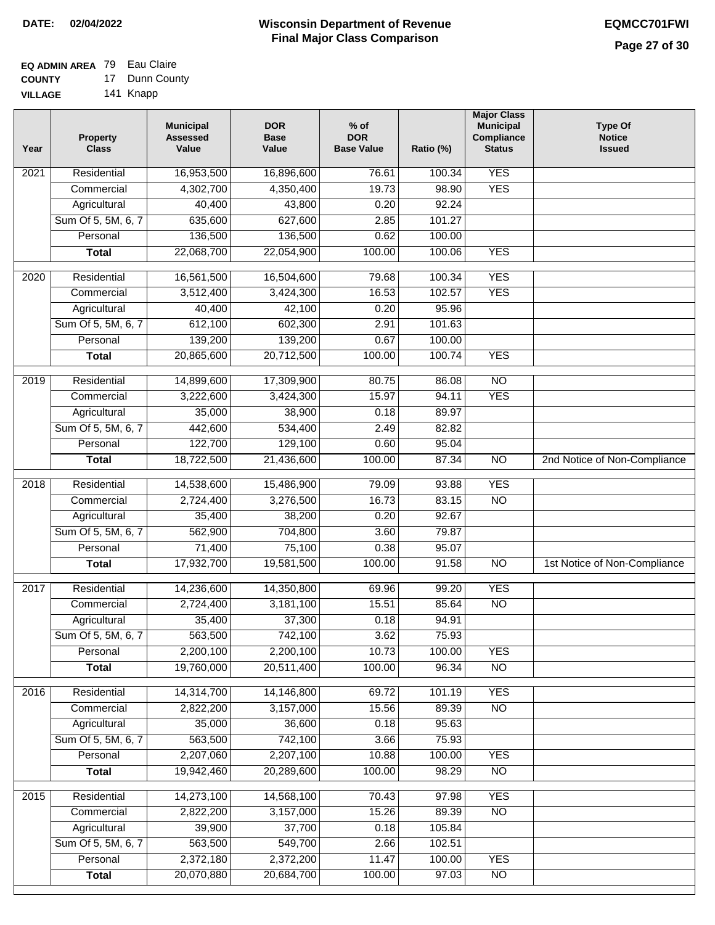#### **EQ ADMIN AREA** 79 Eau Claire **COUNTY** 17 Dunn County

**VILLAGE** 141 Knapp

| Year              | <b>Property</b><br><b>Class</b> | <b>Municipal</b><br><b>Assessed</b><br>Value | <b>DOR</b><br><b>Base</b><br>Value | $%$ of<br><b>DOR</b><br><b>Base Value</b> | Ratio (%)       | <b>Major Class</b><br><b>Municipal</b><br>Compliance<br><b>Status</b> | <b>Type Of</b><br><b>Notice</b><br><b>Issued</b> |
|-------------------|---------------------------------|----------------------------------------------|------------------------------------|-------------------------------------------|-----------------|-----------------------------------------------------------------------|--------------------------------------------------|
| $\overline{202}1$ | Residential                     | 16,953,500                                   | 16,896,600                         | 76.61                                     | 100.34          | <b>YES</b>                                                            |                                                  |
|                   | Commercial                      | 4,302,700                                    | 4,350,400                          | 19.73                                     | 98.90           | <b>YES</b>                                                            |                                                  |
|                   | Agricultural                    | 40,400                                       | 43,800                             | 0.20                                      | 92.24           |                                                                       |                                                  |
|                   | Sum Of 5, 5M, 6, 7              | 635,600                                      | 627,600                            | 2.85                                      | 101.27          |                                                                       |                                                  |
|                   | Personal                        | 136,500                                      | 136,500                            | 0.62                                      | 100.00          |                                                                       |                                                  |
|                   | <b>Total</b>                    | 22,068,700                                   | 22,054,900                         | 100.00                                    | 100.06          | <b>YES</b>                                                            |                                                  |
| $\overline{2020}$ | Residential                     | 16,561,500                                   | 16,504,600                         | 79.68                                     | 100.34          | <b>YES</b>                                                            |                                                  |
|                   | Commercial                      | 3,512,400                                    | 3,424,300                          | 16.53                                     | 102.57          | <b>YES</b>                                                            |                                                  |
|                   | Agricultural                    | 40,400                                       | 42,100                             | 0.20                                      | 95.96           |                                                                       |                                                  |
|                   | Sum Of 5, 5M, 6, 7              | 612,100                                      | 602,300                            | 2.91                                      | 101.63          |                                                                       |                                                  |
|                   | Personal                        | 139,200                                      | 139,200                            | 0.67                                      | 100.00          |                                                                       |                                                  |
|                   | <b>Total</b>                    | 20,865,600                                   | 20,712,500                         | 100.00                                    | 100.74          | <b>YES</b>                                                            |                                                  |
| 2019              | Residential                     | 14,899,600                                   | 17,309,900                         | 80.75                                     | 86.08           | $\overline{10}$                                                       |                                                  |
|                   | Commercial                      | 3,222,600                                    | 3,424,300                          | 15.97                                     | 94.11           | <b>YES</b>                                                            |                                                  |
|                   | Agricultural                    | 35,000                                       | 38,900                             | 0.18                                      | 89.97           |                                                                       |                                                  |
|                   | Sum Of 5, 5M, 6, 7              | 442,600                                      | 534,400                            | 2.49                                      | 82.82           |                                                                       |                                                  |
|                   | Personal                        | 122,700                                      | 129,100                            | 0.60                                      | 95.04           |                                                                       |                                                  |
|                   | <b>Total</b>                    | 18,722,500                                   | 21,436,600                         | 100.00                                    | 87.34           | $\overline{NO}$                                                       | 2nd Notice of Non-Compliance                     |
|                   |                                 |                                              |                                    |                                           |                 |                                                                       |                                                  |
| 2018              | Residential                     | 14,538,600                                   | 15,486,900                         | 79.09                                     | 93.88           | <b>YES</b>                                                            |                                                  |
|                   | Commercial                      | 2,724,400                                    | 3,276,500                          | 16.73                                     | 83.15           | <b>NO</b>                                                             |                                                  |
|                   | Agricultural                    | 35,400                                       | 38,200                             | 0.20                                      | 92.67           |                                                                       |                                                  |
|                   | Sum Of 5, 5M, 6, 7              | 562,900                                      | 704,800                            | 3.60                                      | 79.87           |                                                                       |                                                  |
|                   | Personal                        | 71,400                                       | 75,100                             | 0.38                                      | 95.07           |                                                                       |                                                  |
|                   | <b>Total</b>                    | 17,932,700                                   | 19,581,500                         | 100.00                                    | 91.58           | $\overline{10}$                                                       | 1st Notice of Non-Compliance                     |
| 2017              | Residential                     | 14,236,600                                   | 14,350,800                         | 69.96                                     | 99.20           | <b>YES</b>                                                            |                                                  |
|                   | Commercial                      | 2,724,400                                    | 3,181,100                          | 15.51                                     | 85.64           | $\overline{NO}$                                                       |                                                  |
|                   | Agricultural                    | 35,400                                       | 37,300                             | 0.18                                      | 94.91           |                                                                       |                                                  |
|                   | Sum Of 5, 5M, 6, 7              | 563,500                                      | 742,100                            | 3.62                                      | 75.93           |                                                                       |                                                  |
|                   | Personal                        | 2,200,100                                    | 2,200,100                          | 10.73                                     | 100.00          | <b>YES</b>                                                            |                                                  |
|                   | <b>Total</b>                    | 19,760,000                                   | 20,511,400                         | 100.00                                    | 96.34           | $\overline{NO}$                                                       |                                                  |
| 2016              | Residential                     | 14,314,700                                   | 14,146,800                         | 69.72                                     | 101.19          | <b>YES</b>                                                            |                                                  |
|                   | Commercial                      | 2,822,200                                    | 3,157,000                          | 15.56                                     | 89.39           | N <sub>O</sub>                                                        |                                                  |
|                   | Agricultural                    | 35,000                                       | 36,600                             | 0.18                                      | 95.63           |                                                                       |                                                  |
|                   | Sum Of 5, 5M, 6, 7              | 563,500                                      | 742,100                            | 3.66                                      | 75.93           |                                                                       |                                                  |
|                   | Personal                        | 2,207,060                                    | 2,207,100                          | 10.88                                     | 100.00          | <b>YES</b>                                                            |                                                  |
|                   | <b>Total</b>                    | 19,942,460                                   | 20,289,600                         | 100.00                                    | 98.29           | N <sub>O</sub>                                                        |                                                  |
|                   | Residential                     |                                              |                                    |                                           | 97.98           | <b>YES</b>                                                            |                                                  |
| 2015              |                                 | 14,273,100<br>2,822,200                      | 14,568,100<br>3,157,000            | 70.43<br>15.26                            |                 | $\overline{NO}$                                                       |                                                  |
|                   | Commercial<br>Agricultural      | 39,900                                       | 37,700                             | 0.18                                      | 89.39<br>105.84 |                                                                       |                                                  |
|                   | Sum Of 5, 5M, 6, 7              | 563,500                                      | 549,700                            | 2.66                                      | 102.51          |                                                                       |                                                  |
|                   | Personal                        | 2,372,180                                    | 2,372,200                          | 11.47                                     | 100.00          | <b>YES</b>                                                            |                                                  |
|                   | <b>Total</b>                    | 20,070,880                                   | 20,684,700                         | 100.00                                    | 97.03           | NO                                                                    |                                                  |
|                   |                                 |                                              |                                    |                                           |                 |                                                                       |                                                  |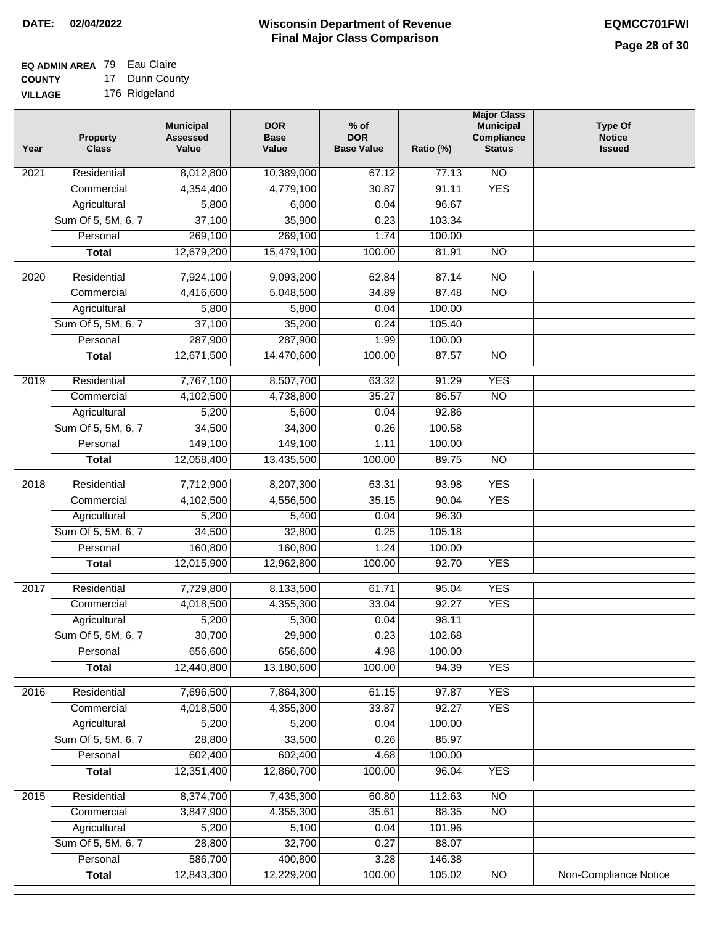#### **Wisconsin Department of Revenue Final Major Class Comparison DATE: 02/04/2022 EQMCC701FWI**

#### **EQ ADMIN AREA** 79 Eau Claire **COUNTY** 17 Dunn County

**VILLAGE** 176 Ridgeland

| Year             | <b>Property</b><br><b>Class</b> | <b>Municipal</b><br><b>Assessed</b><br>Value | <b>DOR</b><br><b>Base</b><br>Value | $%$ of<br><b>DOR</b><br><b>Base Value</b> | Ratio (%) | <b>Major Class</b><br><b>Municipal</b><br>Compliance<br><b>Status</b> | <b>Type Of</b><br><b>Notice</b><br><b>Issued</b> |
|------------------|---------------------------------|----------------------------------------------|------------------------------------|-------------------------------------------|-----------|-----------------------------------------------------------------------|--------------------------------------------------|
| 2021             | Residential                     | 8,012,800                                    | 10,389,000                         | 67.12                                     | 77.13     | <b>NO</b>                                                             |                                                  |
|                  | Commercial                      | 4,354,400                                    | 4,779,100                          | 30.87                                     | 91.11     | <b>YES</b>                                                            |                                                  |
|                  | Agricultural                    | 5,800                                        | 6,000                              | 0.04                                      | 96.67     |                                                                       |                                                  |
|                  | Sum Of 5, 5M, 6, 7              | 37,100                                       | 35,900                             | 0.23                                      | 103.34    |                                                                       |                                                  |
|                  | Personal                        | 269,100                                      | 269,100                            | 1.74                                      | 100.00    |                                                                       |                                                  |
|                  | <b>Total</b>                    | 12,679,200                                   | 15,479,100                         | 100.00                                    | 81.91     | $\overline{NO}$                                                       |                                                  |
| $\frac{1}{2020}$ | Residential                     | 7,924,100                                    | 9,093,200                          | 62.84                                     | 87.14     | $\overline{10}$                                                       |                                                  |
|                  | Commercial                      | 4,416,600                                    | 5,048,500                          | 34.89                                     | 87.48     | $\overline{NO}$                                                       |                                                  |
|                  | Agricultural                    | 5,800                                        | 5,800                              | 0.04                                      | 100.00    |                                                                       |                                                  |
|                  | Sum Of 5, 5M, 6, 7              | 37,100                                       | 35,200                             | 0.24                                      | 105.40    |                                                                       |                                                  |
|                  | Personal                        | 287,900                                      | 287,900                            | 1.99                                      | 100.00    |                                                                       |                                                  |
|                  | <b>Total</b>                    | 12,671,500                                   | 14,470,600                         | 100.00                                    | 87.57     | $\overline{NO}$                                                       |                                                  |
|                  |                                 |                                              |                                    |                                           |           |                                                                       |                                                  |
| 2019             | Residential                     | 7,767,100                                    | 8,507,700                          | 63.32                                     | 91.29     | <b>YES</b>                                                            |                                                  |
|                  | Commercial                      | 4,102,500                                    | 4,738,800                          | 35.27                                     | 86.57     | $\overline{NO}$                                                       |                                                  |
|                  | Agricultural                    | 5,200                                        | 5,600                              | 0.04                                      | 92.86     |                                                                       |                                                  |
|                  | Sum Of 5, 5M, 6, 7              | 34,500                                       | 34,300                             | 0.26                                      | 100.58    |                                                                       |                                                  |
|                  | Personal                        | 149,100                                      | 149,100                            | 1.11                                      | 100.00    |                                                                       |                                                  |
|                  | <b>Total</b>                    | 12,058,400                                   | 13,435,500                         | 100.00                                    | 89.75     | $\overline{NO}$                                                       |                                                  |
| 2018             | Residential                     | 7,712,900                                    | 8,207,300                          | 63.31                                     | 93.98     | <b>YES</b>                                                            |                                                  |
|                  | Commercial                      | 4,102,500                                    | 4,556,500                          | 35.15                                     | 90.04     | <b>YES</b>                                                            |                                                  |
|                  | Agricultural                    | 5,200                                        | 5,400                              | 0.04                                      | 96.30     |                                                                       |                                                  |
|                  | Sum Of 5, 5M, 6, 7              | 34,500                                       | 32,800                             | 0.25                                      | 105.18    |                                                                       |                                                  |
|                  | Personal                        | 160,800                                      | 160,800                            | 1.24                                      | 100.00    |                                                                       |                                                  |
|                  | <b>Total</b>                    | 12,015,900                                   | 12,962,800                         | 100.00                                    | 92.70     | <b>YES</b>                                                            |                                                  |
| 2017             | Residential                     | 7,729,800                                    | 8,133,500                          | 61.71                                     | 95.04     | <b>YES</b>                                                            |                                                  |
|                  | Commercial                      | 4,018,500                                    | 4,355,300                          | 33.04                                     | 92.27     | <b>YES</b>                                                            |                                                  |
|                  | Agricultural                    | 5,200                                        | 5,300                              | 0.04                                      | 98.11     |                                                                       |                                                  |
|                  | Sum Of 5, 5M, 6, 7              | 30,700                                       | 29,900                             | 0.23                                      | 102.68    |                                                                       |                                                  |
|                  | Personal                        | 656,600                                      | 656,600                            | 4.98                                      | 100.00    |                                                                       |                                                  |
|                  | <b>Total</b>                    | 12,440,800                                   | 13,180,600                         | 100.00                                    | 94.39     | <b>YES</b>                                                            |                                                  |
| 2016             | Residential                     | 7,696,500                                    | 7,864,300                          | 61.15                                     | 97.87     | <b>YES</b>                                                            |                                                  |
|                  | Commercial                      | 4,018,500                                    | 4,355,300                          | 33.87                                     | 92.27     | <b>YES</b>                                                            |                                                  |
|                  | Agricultural                    | 5,200                                        | 5,200                              | 0.04                                      | 100.00    |                                                                       |                                                  |
|                  | Sum Of 5, 5M, 6, 7              | 28,800                                       | 33,500                             | 0.26                                      | 85.97     |                                                                       |                                                  |
|                  | Personal                        | 602,400                                      | 602,400                            | 4.68                                      | 100.00    |                                                                       |                                                  |
|                  |                                 | 12,351,400                                   | 12,860,700                         |                                           | 96.04     | <b>YES</b>                                                            |                                                  |
|                  | <b>Total</b>                    |                                              |                                    | 100.00                                    |           |                                                                       |                                                  |
| 2015             | Residential                     | 8,374,700                                    | 7,435,300                          | 60.80                                     | 112.63    | N <sub>O</sub>                                                        |                                                  |
|                  | Commercial                      | 3,847,900                                    | 4,355,300                          | 35.61                                     | 88.35     | $\overline{NO}$                                                       |                                                  |
|                  | Agricultural                    | 5,200                                        | 5,100                              | 0.04                                      | 101.96    |                                                                       |                                                  |
|                  | Sum Of 5, 5M, 6, 7              | 28,800                                       | 32,700                             | 0.27                                      | 88.07     |                                                                       |                                                  |
|                  | Personal                        | 586,700                                      | 400,800                            | 3.28                                      | 146.38    |                                                                       |                                                  |
|                  | <b>Total</b>                    | 12,843,300                                   | 12,229,200                         | 100.00                                    | 105.02    | $\overline{NO}$                                                       | Non-Compliance Notice                            |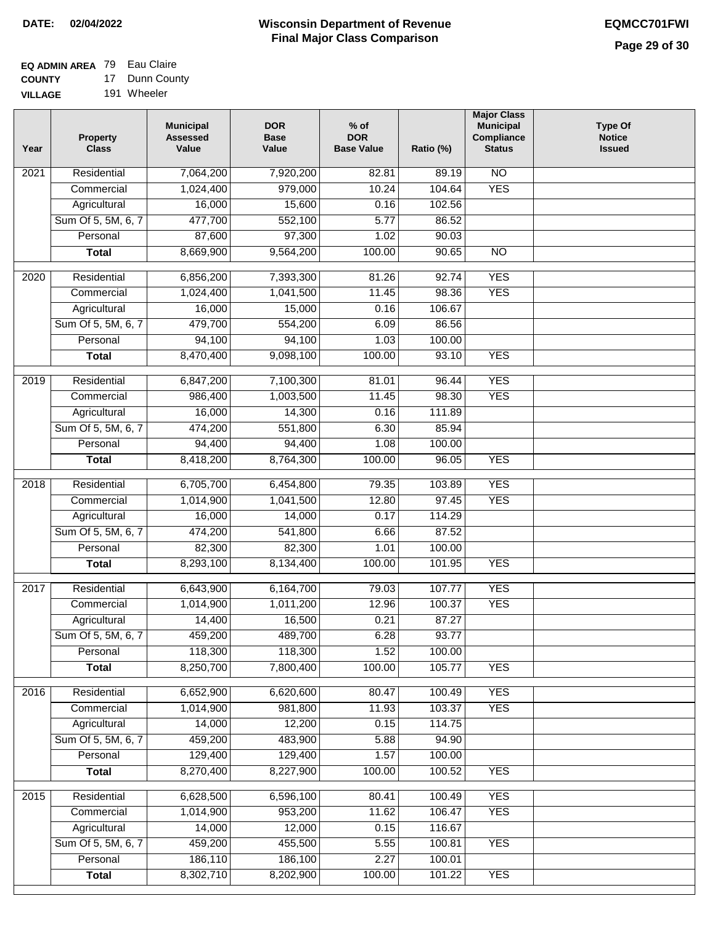#### **EQ ADMIN AREA** 79 Eau Claire **COUNTY** 17 Dunn County

**VILLAGE** 191 Wheeler

| Year             | <b>Property</b><br><b>Class</b>    | <b>Municipal</b><br><b>Assessed</b><br>Value | <b>DOR</b><br><b>Base</b><br>Value | $%$ of<br><b>DOR</b><br><b>Base Value</b> | Ratio (%)       | <b>Major Class</b><br><b>Municipal</b><br>Compliance<br><b>Status</b> | <b>Type Of</b><br><b>Notice</b><br><b>Issued</b> |
|------------------|------------------------------------|----------------------------------------------|------------------------------------|-------------------------------------------|-----------------|-----------------------------------------------------------------------|--------------------------------------------------|
| 2021             | Residential                        | 7,064,200                                    | 7,920,200                          | 82.81                                     | 89.19           | $\overline{NO}$                                                       |                                                  |
|                  | Commercial                         | 1,024,400                                    | 979,000                            | 10.24                                     | 104.64          | <b>YES</b>                                                            |                                                  |
|                  | Agricultural                       | 16,000                                       | 15,600                             | 0.16                                      | 102.56          |                                                                       |                                                  |
|                  | Sum Of 5, 5M, 6, 7                 | 477,700                                      | 552,100                            | 5.77                                      | 86.52           |                                                                       |                                                  |
|                  | Personal                           | 87,600                                       | 97,300                             | 1.02                                      | 90.03           |                                                                       |                                                  |
|                  | <b>Total</b>                       | 8,669,900                                    | 9,564,200                          | 100.00                                    | 90.65           | $\overline{NO}$                                                       |                                                  |
| $\frac{1}{2020}$ | Residential                        | 6,856,200                                    | 7,393,300                          | 81.26                                     | 92.74           | <b>YES</b>                                                            |                                                  |
|                  | Commercial                         | 1,024,400                                    | 1,041,500                          | 11.45                                     | 98.36           | <b>YES</b>                                                            |                                                  |
|                  | Agricultural                       | 16,000                                       | 15,000                             | 0.16                                      | 106.67          |                                                                       |                                                  |
|                  | Sum Of 5, 5M, 6, 7                 | 479,700                                      | 554,200                            | 6.09                                      | 86.56           |                                                                       |                                                  |
|                  | Personal                           | 94,100                                       | 94,100                             | 1.03                                      | 100.00          |                                                                       |                                                  |
|                  | <b>Total</b>                       | 8,470,400                                    | 9,098,100                          | 100.00                                    | 93.10           | <b>YES</b>                                                            |                                                  |
|                  |                                    |                                              |                                    |                                           |                 |                                                                       |                                                  |
| $\frac{1}{2019}$ | Residential                        | 6,847,200                                    | 7,100,300                          | 81.01                                     | 96.44           | <b>YES</b>                                                            |                                                  |
|                  | Commercial                         | 986,400                                      | 1,003,500                          | 11.45                                     | 98.30           | <b>YES</b>                                                            |                                                  |
|                  | Agricultural                       | 16,000                                       | 14,300                             | 0.16                                      | 111.89          |                                                                       |                                                  |
|                  | Sum Of 5, 5M, 6, 7                 | 474,200                                      | 551,800                            | 6.30                                      | 85.94           |                                                                       |                                                  |
|                  | Personal                           | 94,400                                       | 94,400                             | 1.08                                      | 100.00          |                                                                       |                                                  |
|                  | <b>Total</b>                       | 8,418,200                                    | 8,764,300                          | 100.00                                    | 96.05           | <b>YES</b>                                                            |                                                  |
| 2018             | Residential                        | 6,705,700                                    | 6,454,800                          | 79.35                                     | 103.89          | <b>YES</b>                                                            |                                                  |
|                  | Commercial                         | 1,014,900                                    | 1,041,500                          | 12.80                                     | 97.45           | <b>YES</b>                                                            |                                                  |
|                  | Agricultural                       | 16,000                                       | 14,000                             | 0.17                                      | 114.29          |                                                                       |                                                  |
|                  | Sum Of 5, 5M, 6, 7                 | 474,200                                      | 541,800                            | 6.66                                      | 87.52           |                                                                       |                                                  |
|                  | Personal                           | 82,300                                       | 82,300                             | 1.01                                      | 100.00          |                                                                       |                                                  |
|                  | <b>Total</b>                       | 8,293,100                                    | 8,134,400                          | 100.00                                    | 101.95          | <b>YES</b>                                                            |                                                  |
| 2017             | Residential                        | 6,643,900                                    | 6,164,700                          | 79.03                                     | 107.77          | <b>YES</b>                                                            |                                                  |
|                  | Commercial                         | 1,014,900                                    | 1,011,200                          | 12.96                                     | 100.37          | <b>YES</b>                                                            |                                                  |
|                  | Agricultural                       | 14,400                                       | 16,500                             | 0.21                                      | 87.27           |                                                                       |                                                  |
|                  | Sum Of 5, 5M, 6, 7                 | 459,200                                      | 489,700                            | 6.28                                      | 93.77           |                                                                       |                                                  |
|                  | Personal                           | 118,300                                      | 118,300                            | 1.52                                      | 100.00          |                                                                       |                                                  |
|                  | <b>Total</b>                       | 8,250,700                                    | 7,800,400                          | 100.00                                    | 105.77          | <b>YES</b>                                                            |                                                  |
|                  | Residential                        |                                              |                                    |                                           | 100.49          |                                                                       |                                                  |
| 2016             |                                    | 6,652,900<br>1,014,900                       | 6,620,600                          | 80.47                                     |                 | <b>YES</b><br><b>YES</b>                                              |                                                  |
|                  | Commercial                         |                                              | 981,800                            | 11.93                                     | 103.37          |                                                                       |                                                  |
|                  | Agricultural<br>Sum Of 5, 5M, 6, 7 | 14,000<br>459,200                            | 12,200<br>483,900                  | 0.15<br>5.88                              | 114.75<br>94.90 |                                                                       |                                                  |
|                  | Personal                           | 129,400                                      | 129,400                            | 1.57                                      | 100.00          |                                                                       |                                                  |
|                  |                                    | 8,270,400                                    | 8,227,900                          | 100.00                                    | 100.52          | <b>YES</b>                                                            |                                                  |
|                  | <b>Total</b>                       |                                              |                                    |                                           |                 |                                                                       |                                                  |
| 2015             | Residential                        | 6,628,500                                    | 6,596,100                          | 80.41                                     | 100.49          | <b>YES</b>                                                            |                                                  |
|                  | Commercial                         | 1,014,900                                    | 953,200                            | 11.62                                     | 106.47          | <b>YES</b>                                                            |                                                  |
|                  | Agricultural                       | 14,000                                       | 12,000                             | 0.15                                      | 116.67          |                                                                       |                                                  |
|                  | Sum Of 5, 5M, 6, 7                 | 459,200                                      | 455,500                            | 5.55                                      | 100.81          | <b>YES</b>                                                            |                                                  |
|                  | Personal                           | 186,110                                      | 186,100                            | 2.27                                      | 100.01          |                                                                       |                                                  |
|                  | <b>Total</b>                       | 8,302,710                                    | 8,202,900                          | 100.00                                    | 101.22          | <b>YES</b>                                                            |                                                  |